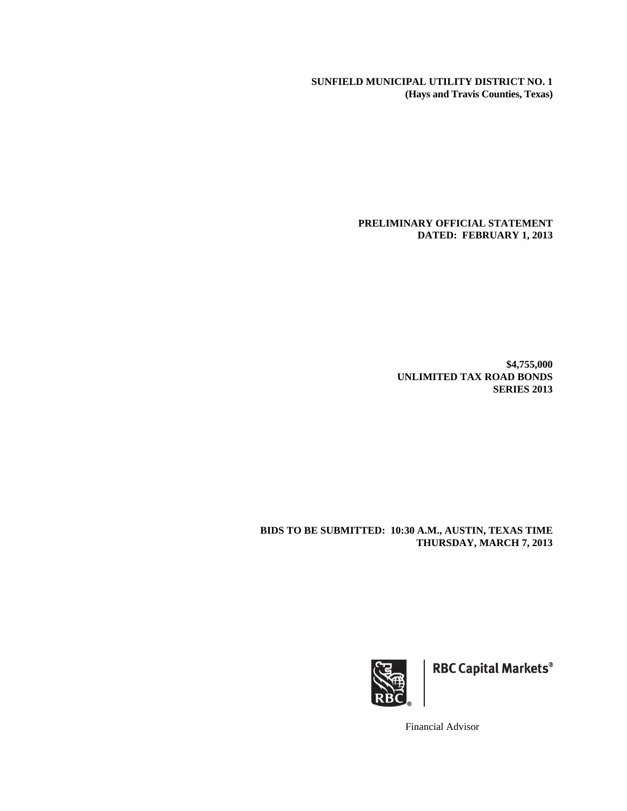**SUNFIELD MUNICIPAL UTILITY DISTRICT NO. 1 (Hays and Travis Counties, Texas)** 

> **PRELIMINARY OFFICIAL STATEMENT DATED: FEBRUARY 1, 2013**

> > **\$4,755,000 UNLIMITED TAX ROAD BONDS SERIES 2013**

**BIDS TO BE SUBMITTED: 10:30 A.M., AUSTIN, TEXAS TIME THURSDAY, MARCH 7, 2013** 



**RBC Capital Markets®** 

Financial Advisor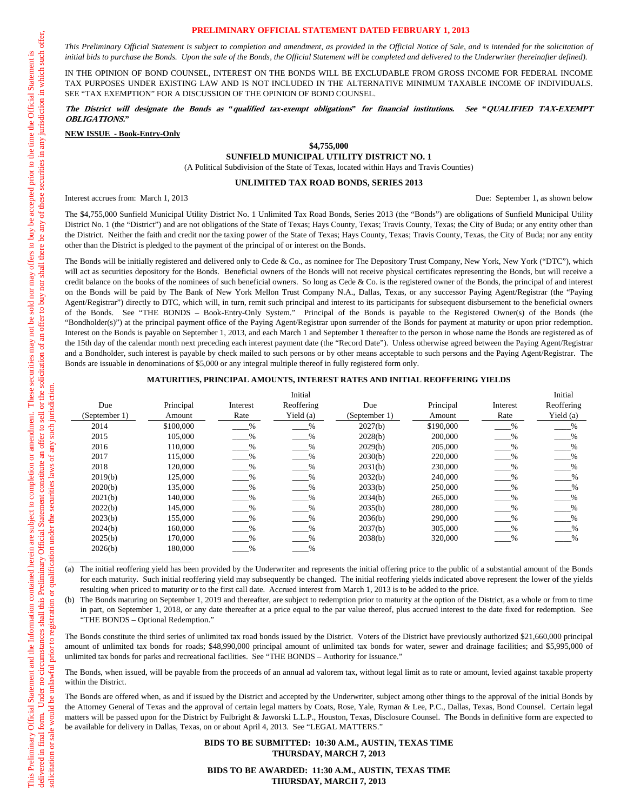#### **PRELIMINARY OFFICIAL STATEMENT DATED FEBRUARY 1, 2013**

*This Preliminary Official Statement is subject to completion and amendment, as provided in the Official Notice of Sale, and is intended for the solicitation of*  initial bids to purchase the Bonds. Upon the sale of the Bonds, the Official Statement will be completed and delivered to the Underwriter (hereinafter defined).

IN THE OPINION OF BOND COUNSEL, INTEREST ON THE BONDS WILL BE EXCLUDABLE FROM GROSS INCOME FOR FEDERAL INCOME TAX PURPOSES UNDER EXISTING LAW AND IS NOT INCLUDED IN THE ALTERNATIVE MINIMUM TAXABLE INCOME OF INDIVIDUALS. SEE "TAX EXEMPTION" FOR A DISCUSSION OF THE OPINION OF BOND COUNSEL.

#### **The District will designate the Bonds as "qualified tax-exempt obligations" for financial institutions. See "QUALIFIED TAX-EXEMPT OBLIGATIONS."**

**NEW ISSUE - Book-Entry-Only**

#### **\$4,755,000**

**SUNFIELD MUNICIPAL UTILITY DISTRICT NO. 1** 

(A Political Subdivision of the State of Texas, located within Hays and Travis Counties)

#### **UNLIMITED TAX ROAD BONDS, SERIES 2013**

Interest accrues from: March 1, 2013 Due: September 1, as shown below

\_\_\_\_\_\_\_\_\_\_\_\_\_\_\_\_\_\_\_\_\_\_\_\_\_\_\_\_\_\_

The \$4,755,000 Sunfield Municipal Utility District No. 1 Unlimited Tax Road Bonds, Series 2013 (the "Bonds") are obligations of Sunfield Municipal Utility District No. 1 (the "District") and are not obligations of the State of Texas; Hays County, Texas; Travis County, Texas; the City of Buda; or any entity other than the District. Neither the faith and credit nor the taxing power of the State of Texas; Hays County, Texas; Travis County, Texas, the City of Buda; nor any entity other than the District is pledged to the payment of the principal of or interest on the Bonds.

The Bonds will be initially registered and delivered only to Cede & Co., as nominee for The Depository Trust Company, New York, New York ("DTC"), which will act as securities depository for the Bonds. Beneficial owners of the Bonds will not receive physical certificates representing the Bonds, but will receive a credit balance on the books of the nominees of such beneficial owners. So long as Cede & Co. is the registered owner of the Bonds, the principal of and interest on the Bonds will be paid by The Bank of New York Mellon Trust Company N.A., Dallas, Texas, or any successor Paying Agent/Registrar (the "Paying Agent/Registrar") directly to DTC, which will, in turn, remit such principal and interest to its participants for subsequent disbursement to the beneficial owners of the Bonds. See "THE BONDS – Book-Entry-Only System." Principal of the Bonds is payable to the Registered Owner(s) of the Bonds (the "Bondholder(s)") at the principal payment office of the Paying Agent/Registrar upon surrender of the Bonds for payment at maturity or upon prior redemption. Interest on the Bonds is payable on September 1, 2013, and each March 1 and September 1 thereafter to the person in whose name the Bonds are registered as of the 15th day of the calendar month next preceding each interest payment date (the "Record Date"). Unless otherwise agreed between the Paying Agent/Registrar and a Bondholder, such interest is payable by check mailed to such persons or by other means acceptable to such persons and the Paying Agent/Registrar. The Bonds are issuable in denominations of \$5,000 or any integral multiple thereof in fully registered form only.

#### **MATURITIES, PRINCIPAL AMOUNTS, INTEREST RATES AND INITIAL REOFFERING YIELDS**

|               |           |               | Initial       |               |           |               | Initial       |
|---------------|-----------|---------------|---------------|---------------|-----------|---------------|---------------|
| Due           | Principal | Interest      | Reoffering    | Due           | Principal | Interest      | Reoffering    |
| (September 1) | Amount    | Rate          | Yield (a)     | (September 1) | Amount    | Rate          | Yield (a)     |
| 2014          | \$100,000 | $\%$          | $\%$          | 2027(b)       | \$190,000 | $\%$          | $\%$          |
| 2015          | 105,000   | $\%$          | $\%$          | 2028(b)       | 200,000   | $\%$          | $\%$          |
| 2016          | 110,000   | $\frac{0}{0}$ | $\%$          | 2029(b)       | 205,000   | $\frac{0}{0}$ | $\%$          |
| 2017          | 115,000   | $\%$          | $\%$          | 2030(b)       | 220,000   | $\%$          | $\frac{0}{0}$ |
| 2018          | 120,000   | %             | $\%$          | 2031(b)       | 230,000   | $\frac{9}{6}$ |               |
| 2019(b)       | 125,000   | $\frac{0}{0}$ | $\%$          | 2032(b)       | 240,000   | $\frac{0}{0}$ | $\%$          |
| 2020(b)       | 135,000   | $\%$          | $\frac{0}{0}$ | 2033(b)       | 250,000   | $\frac{0}{0}$ | %             |
| 2021(b)       | 140,000   | $\%$          | $\%$          | 2034(b)       | 265,000   | $\frac{0}{0}$ | %             |
| 2022(b)       | 145,000   | $\frac{0}{0}$ | $\frac{0}{0}$ | 2035(b)       | 280,000   | $\frac{0}{0}$ | $\frac{0}{0}$ |
| 2023(b)       | 155,000   | $\%$          | $\%$          | 2036(b)       | 290,000   | $\%$          | $\frac{0}{6}$ |
| 2024(b)       | 160,000   | %             | $\%$          | 2037(b)       | 305,000   | $\frac{0}{0}$ | %             |
| 2025(b)       | 170,000   | $\%$          | $\%$          | 2038(b)       | 320,000   | $\%$          | $\%$          |
| 2026(b)       | 180,000   | %             | $\%$          |               |           |               |               |

(a) The initial reoffering yield has been provided by the Underwriter and represents the initial offering price to the public of a substantial amount of the Bonds for each maturity. Such initial reoffering yield may subsequently be changed. The initial reoffering yields indicated above represent the lower of the yields resulting when priced to maturity or to the first call date. Accrued interest from March 1, 2013 is to be added to the price.

(b) The Bonds maturing on September 1, 2019 and thereafter, are subject to redemption prior to maturity at the option of the District, as a whole or from to time in part, on September 1, 2018, or any date thereafter at a price equal to the par value thereof, plus accrued interest to the date fixed for redemption. See "THE BONDS – Optional Redemption."

The Bonds constitute the third series of unlimited tax road bonds issued by the District. Voters of the District have previously authorized \$21,660,000 principal amount of unlimited tax bonds for roads; \$48,990,000 principal amount of unlimited tax bonds for water, sewer and drainage facilities; and \$5,995,000 of unlimited tax bonds for parks and recreational facilities. See "THE BONDS – Authority for Issuance."

The Bonds, when issued, will be payable from the proceeds of an annual ad valorem tax, without legal limit as to rate or amount, levied against taxable property within the District.

The Bonds are offered when, as and if issued by the District and accepted by the Underwriter, subject among other things to the approval of the initial Bonds by the Attorney General of Texas and the approval of certain legal matters by Coats, Rose, Yale, Ryman & Lee, P.C., Dallas, Texas, Bond Counsel. Certain legal matters will be passed upon for the District by Fulbright & Jaworski L.L.P., Houston, Texas, Disclosure Counsel. The Bonds in definitive form are expected to be available for delivery in Dallas, Texas, on or about April 4, 2013. See "LEGAL MATTERS."

#### **BIDS TO BE SUBMITTED: 10:30 A.M., AUSTIN, TEXAS TIME THURSDAY, MARCH 7, 2013**

**BIDS TO BE AWARDED: 11:30 A.M., AUSTIN, TEXAS TIME THURSDAY, MARCH 7, 2013**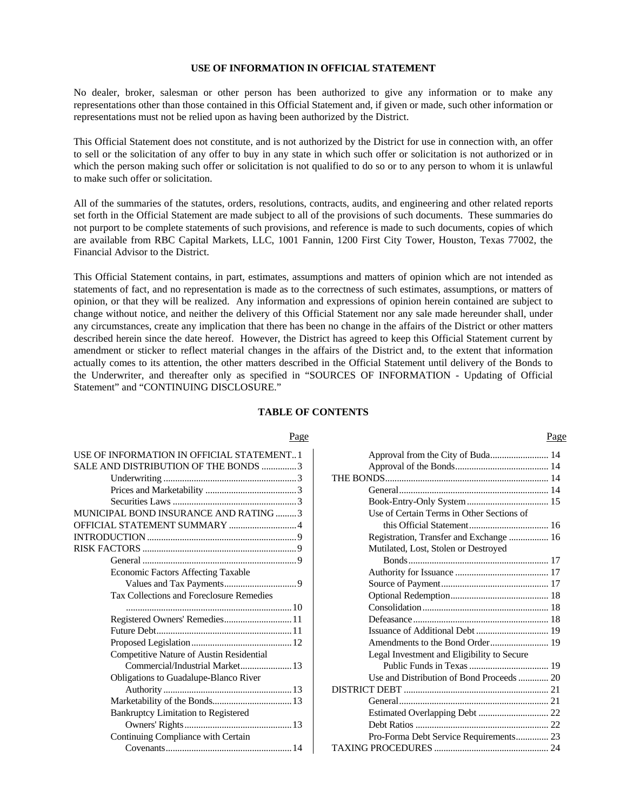# **USE OF INFORMATION IN OFFICIAL STATEMENT**

No dealer, broker, salesman or other person has been authorized to give any information or to make any representations other than those contained in this Official Statement and, if given or made, such other information or representations must not be relied upon as having been authorized by the District.

This Official Statement does not constitute, and is not authorized by the District for use in connection with, an offer to sell or the solicitation of any offer to buy in any state in which such offer or solicitation is not authorized or in which the person making such offer or solicitation is not qualified to do so or to any person to whom it is unlawful to make such offer or solicitation.

All of the summaries of the statutes, orders, resolutions, contracts, audits, and engineering and other related reports set forth in the Official Statement are made subject to all of the provisions of such documents. These summaries do not purport to be complete statements of such provisions, and reference is made to such documents, copies of which are available from RBC Capital Markets, LLC, 1001 Fannin, 1200 First City Tower, Houston, Texas 77002, the Financial Advisor to the District.

This Official Statement contains, in part, estimates, assumptions and matters of opinion which are not intended as statements of fact, and no representation is made as to the correctness of such estimates, assumptions, or matters of opinion, or that they will be realized. Any information and expressions of opinion herein contained are subject to change without notice, and neither the delivery of this Official Statement nor any sale made hereunder shall, under any circumstances, create any implication that there has been no change in the affairs of the District or other matters described herein since the date hereof. However, the District has agreed to keep this Official Statement current by amendment or sticker to reflect material changes in the affairs of the District and, to the extent that information actually comes to its attention, the other matters described in the Official Statement until delivery of the Bonds to the Underwriter, and thereafter only as specified in "SOURCES OF INFORMATION - Updating of Official Statement" and "CONTINUING DISCLOSURE."

### **TABLE OF CONTENTS**

| USE OF INFORMATION IN OFFICIAL STATEMENT 1   |
|----------------------------------------------|
| SALE AND DISTRIBUTION OF THE BONDS 3         |
|                                              |
|                                              |
|                                              |
| MUNICIPAL BOND INSURANCE AND RATING 3        |
| OFFICIAL STATEMENT SUMMARY  4                |
|                                              |
|                                              |
|                                              |
| Economic Factors Affecting Taxable           |
|                                              |
| Tax Collections and Foreclosure Remedies     |
|                                              |
| Registered Owners' Remedies 11               |
|                                              |
|                                              |
| Competitive Nature of Austin Residential     |
| Commercial/Industrial Market 13              |
| <b>Obligations to Guadalupe-Blanco River</b> |
|                                              |
|                                              |
| Bankruptcy Limitation to Registered          |
|                                              |
| Continuing Compliance with Certain           |
|                                              |

# Page Page

| Approval from the City of Buda 14          |  |
|--------------------------------------------|--|
|                                            |  |
|                                            |  |
|                                            |  |
|                                            |  |
| Use of Certain Terms in Other Sections of  |  |
|                                            |  |
| Registration, Transfer and Exchange  16    |  |
| Mutilated, Lost, Stolen or Destroyed       |  |
|                                            |  |
|                                            |  |
|                                            |  |
|                                            |  |
|                                            |  |
|                                            |  |
|                                            |  |
| Amendments to the Bond Order 19            |  |
| Legal Investment and Eligibility to Secure |  |
|                                            |  |
| Use and Distribution of Bond Proceeds  20  |  |
|                                            |  |
|                                            |  |
|                                            |  |
|                                            |  |
| Pro-Forma Debt Service Requirements 23     |  |
|                                            |  |
|                                            |  |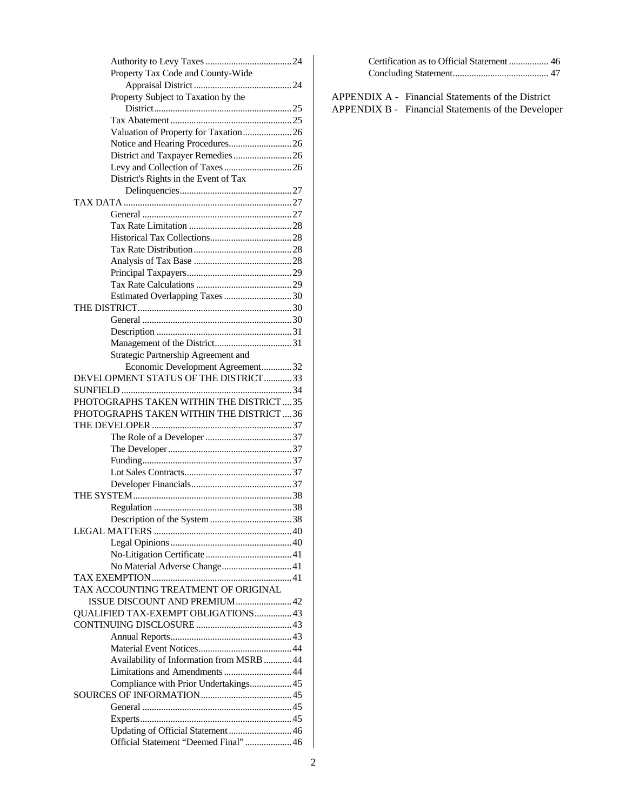| Property Tax Code and County-Wide                                           |
|-----------------------------------------------------------------------------|
|                                                                             |
| Property Subject to Taxation by the                                         |
|                                                                             |
|                                                                             |
| Valuation of Property for Taxation26                                        |
|                                                                             |
| District and Taxpayer Remedies 26                                           |
|                                                                             |
| District's Rights in the Event of Tax                                       |
|                                                                             |
|                                                                             |
|                                                                             |
|                                                                             |
|                                                                             |
|                                                                             |
|                                                                             |
|                                                                             |
|                                                                             |
| Estimated Overlapping Taxes 30                                              |
|                                                                             |
|                                                                             |
|                                                                             |
|                                                                             |
| Strategic Partnership Agreement and                                         |
| Economic Development Agreement32                                            |
| DEVELOPMENT STATUS OF THE DISTRICT33                                        |
|                                                                             |
| PHOTOGRAPHS TAKEN WITHIN THE DISTRICT35                                     |
| PHOTOGRAPHS TAKEN WITHIN THE DISTRICT  36                                   |
|                                                                             |
|                                                                             |
|                                                                             |
|                                                                             |
|                                                                             |
|                                                                             |
|                                                                             |
|                                                                             |
|                                                                             |
|                                                                             |
|                                                                             |
|                                                                             |
| No Material Adverse Change 41                                               |
|                                                                             |
| TAX ACCOUNTING TREATMENT OF ORIGINAL                                        |
| ISSUE DISCOUNT AND PREMIUM 42                                               |
| QUALIFIED TAX-EXEMPT OBLIGATIONS 43                                         |
|                                                                             |
|                                                                             |
|                                                                             |
|                                                                             |
| Availability of Information from MSRB  44                                   |
| Limitations and Amendments  44                                              |
| Compliance with Prior Undertakings 45                                       |
|                                                                             |
|                                                                             |
|                                                                             |
|                                                                             |
| Updating of Official Statement  46<br>Official Statement "Deemed Final"  46 |

APPENDIX A - Financial Statements of the District APPENDIX B - Financial Statements of the Developer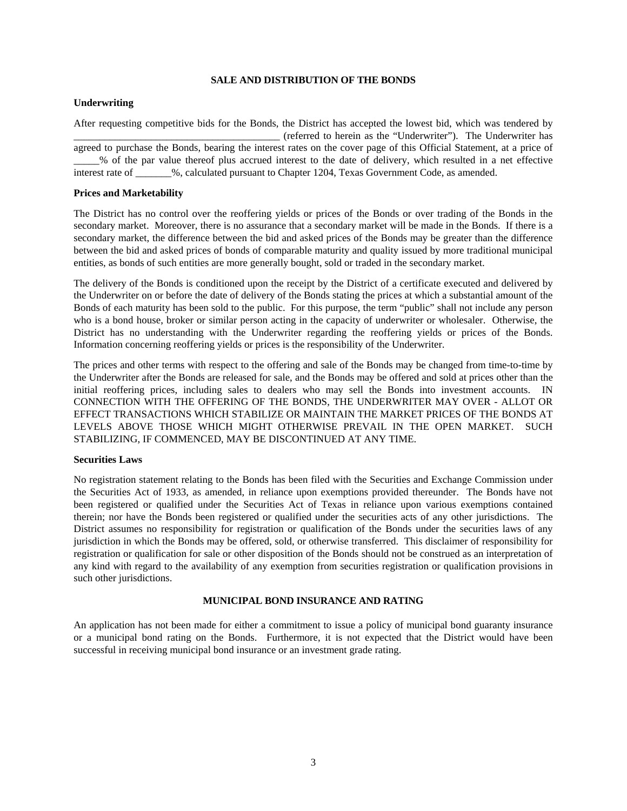# **SALE AND DISTRIBUTION OF THE BONDS**

## **Underwriting**

After requesting competitive bids for the Bonds, the District has accepted the lowest bid, which was tendered by \_\_\_\_\_\_\_\_\_\_\_\_\_\_\_\_\_\_\_\_\_\_\_\_\_\_\_\_\_\_\_\_\_\_\_\_\_\_\_\_ (referred to herein as the "Underwriter"). The Underwriter has agreed to purchase the Bonds, bearing the interest rates on the cover page of this Official Statement, at a price of \_\_\_\_\_% of the par value thereof plus accrued interest to the date of delivery, which resulted in a net effective interest rate of  $\%$ , calculated pursuant to Chapter 1204, Texas Government Code, as amended.

## **Prices and Marketability**

The District has no control over the reoffering yields or prices of the Bonds or over trading of the Bonds in the secondary market. Moreover, there is no assurance that a secondary market will be made in the Bonds. If there is a secondary market, the difference between the bid and asked prices of the Bonds may be greater than the difference between the bid and asked prices of bonds of comparable maturity and quality issued by more traditional municipal entities, as bonds of such entities are more generally bought, sold or traded in the secondary market.

The delivery of the Bonds is conditioned upon the receipt by the District of a certificate executed and delivered by the Underwriter on or before the date of delivery of the Bonds stating the prices at which a substantial amount of the Bonds of each maturity has been sold to the public. For this purpose, the term "public" shall not include any person who is a bond house, broker or similar person acting in the capacity of underwriter or wholesaler. Otherwise, the District has no understanding with the Underwriter regarding the reoffering yields or prices of the Bonds. Information concerning reoffering yields or prices is the responsibility of the Underwriter.

The prices and other terms with respect to the offering and sale of the Bonds may be changed from time-to-time by the Underwriter after the Bonds are released for sale, and the Bonds may be offered and sold at prices other than the initial reoffering prices, including sales to dealers who may sell the Bonds into investment accounts. IN CONNECTION WITH THE OFFERING OF THE BONDS, THE UNDERWRITER MAY OVER - ALLOT OR EFFECT TRANSACTIONS WHICH STABILIZE OR MAINTAIN THE MARKET PRICES OF THE BONDS AT LEVELS ABOVE THOSE WHICH MIGHT OTHERWISE PREVAIL IN THE OPEN MARKET. SUCH STABILIZING, IF COMMENCED, MAY BE DISCONTINUED AT ANY TIME.

# **Securities Laws**

No registration statement relating to the Bonds has been filed with the Securities and Exchange Commission under the Securities Act of 1933, as amended, in reliance upon exemptions provided thereunder. The Bonds have not been registered or qualified under the Securities Act of Texas in reliance upon various exemptions contained therein; nor have the Bonds been registered or qualified under the securities acts of any other jurisdictions. The District assumes no responsibility for registration or qualification of the Bonds under the securities laws of any jurisdiction in which the Bonds may be offered, sold, or otherwise transferred. This disclaimer of responsibility for registration or qualification for sale or other disposition of the Bonds should not be construed as an interpretation of any kind with regard to the availability of any exemption from securities registration or qualification provisions in such other jurisdictions.

# **MUNICIPAL BOND INSURANCE AND RATING**

An application has not been made for either a commitment to issue a policy of municipal bond guaranty insurance or a municipal bond rating on the Bonds. Furthermore, it is not expected that the District would have been successful in receiving municipal bond insurance or an investment grade rating.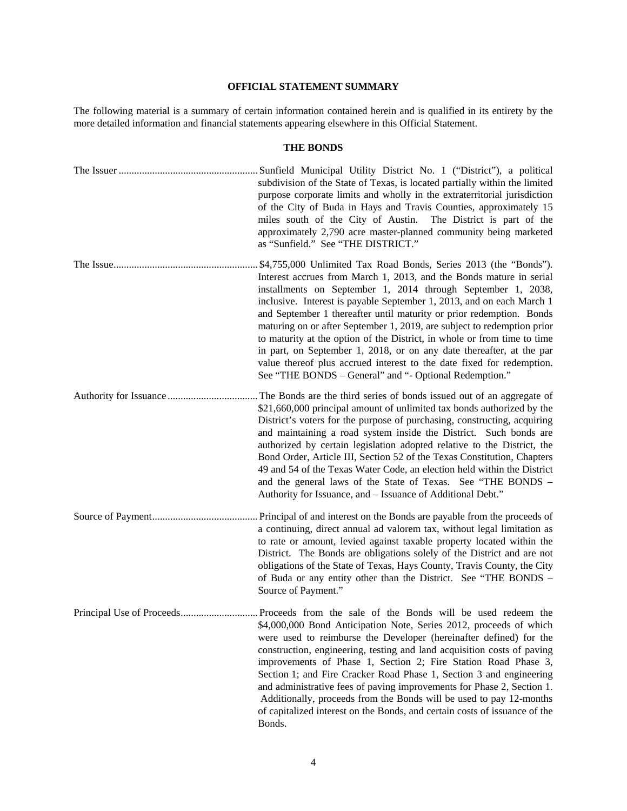# **OFFICIAL STATEMENT SUMMARY**

The following material is a summary of certain information contained herein and is qualified in its entirety by the more detailed information and financial statements appearing elsewhere in this Official Statement.

# **THE BONDS**

| subdivision of the State of Texas, is located partially within the limited<br>purpose corporate limits and wholly in the extraterritorial jurisdiction<br>of the City of Buda in Hays and Travis Counties, approximately 15<br>miles south of the City of Austin.<br>The District is part of the<br>approximately 2,790 acre master-planned community being marketed<br>as "Sunfield." See "THE DISTRICT."                                                                                                                                                                                                                                                                                                                 |
|----------------------------------------------------------------------------------------------------------------------------------------------------------------------------------------------------------------------------------------------------------------------------------------------------------------------------------------------------------------------------------------------------------------------------------------------------------------------------------------------------------------------------------------------------------------------------------------------------------------------------------------------------------------------------------------------------------------------------|
| \$4,755,000 Unlimited Tax Road Bonds, Series 2013 (the "Bonds").<br>Interest accrues from March 1, 2013, and the Bonds mature in serial<br>installments on September 1, 2014 through September 1, 2038,<br>inclusive. Interest is payable September 1, 2013, and on each March 1<br>and September 1 thereafter until maturity or prior redemption. Bonds<br>maturing on or after September 1, 2019, are subject to redemption prior<br>to maturity at the option of the District, in whole or from time to time<br>in part, on September 1, 2018, or on any date thereafter, at the par<br>value thereof plus accrued interest to the date fixed for redemption.<br>See "THE BONDS – General" and "- Optional Redemption." |
| The Bonds are the third series of bonds issued out of an aggregate of<br>\$21,660,000 principal amount of unlimited tax bonds authorized by the<br>District's voters for the purpose of purchasing, constructing, acquiring<br>and maintaining a road system inside the District. Such bonds are<br>authorized by certain legislation adopted relative to the District, the<br>Bond Order, Article III, Section 52 of the Texas Constitution, Chapters<br>49 and 54 of the Texas Water Code, an election held within the District<br>and the general laws of the State of Texas. See "THE BONDS -<br>Authority for Issuance, and - Issuance of Additional Debt."                                                           |
| Principal of and interest on the Bonds are payable from the proceeds of<br>a continuing, direct annual ad valorem tax, without legal limitation as<br>to rate or amount, levied against taxable property located within the<br>District. The Bonds are obligations solely of the District and are not<br>obligations of the State of Texas, Hays County, Travis County, the City<br>of Buda or any entity other than the District. See "THE BONDS -<br>Source of Payment."                                                                                                                                                                                                                                                 |
| \$4,000,000 Bond Anticipation Note, Series 2012, proceeds of which<br>were used to reimburse the Developer (hereinafter defined) for the<br>construction, engineering, testing and land acquisition costs of paving<br>improvements of Phase 1, Section 2; Fire Station Road Phase 3,<br>Section 1; and Fire Cracker Road Phase 1, Section 3 and engineering<br>and administrative fees of paving improvements for Phase 2, Section 1.<br>Additionally, proceeds from the Bonds will be used to pay 12-months<br>of capitalized interest on the Bonds, and certain costs of issuance of the<br>Bonds.                                                                                                                      |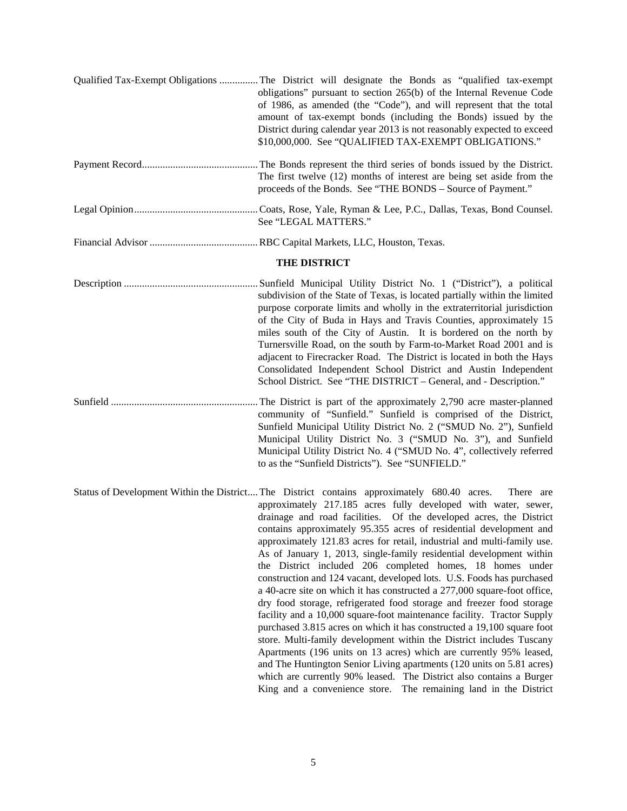| Qualified Tax-Exempt Obligations  The District will designate the Bonds as "qualified tax-exempt<br>obligations" pursuant to section 265(b) of the Internal Revenue Code<br>of 1986, as amended (the "Code"), and will represent that the total<br>amount of tax-exempt bonds (including the Bonds) issued by the<br>District during calendar year 2013 is not reasonably expected to exceed<br>\$10,000,000. See "QUALIFIED TAX-EXEMPT OBLIGATIONS."                                                                                                                                                                                                                                                                                                                                                                                                                                                                                                                                                                                                                                                                                         |
|-----------------------------------------------------------------------------------------------------------------------------------------------------------------------------------------------------------------------------------------------------------------------------------------------------------------------------------------------------------------------------------------------------------------------------------------------------------------------------------------------------------------------------------------------------------------------------------------------------------------------------------------------------------------------------------------------------------------------------------------------------------------------------------------------------------------------------------------------------------------------------------------------------------------------------------------------------------------------------------------------------------------------------------------------------------------------------------------------------------------------------------------------|
| The first twelve (12) months of interest are being set aside from the<br>proceeds of the Bonds. See "THE BONDS - Source of Payment."                                                                                                                                                                                                                                                                                                                                                                                                                                                                                                                                                                                                                                                                                                                                                                                                                                                                                                                                                                                                          |
| See "LEGAL MATTERS."                                                                                                                                                                                                                                                                                                                                                                                                                                                                                                                                                                                                                                                                                                                                                                                                                                                                                                                                                                                                                                                                                                                          |
|                                                                                                                                                                                                                                                                                                                                                                                                                                                                                                                                                                                                                                                                                                                                                                                                                                                                                                                                                                                                                                                                                                                                               |
| THE DISTRICT                                                                                                                                                                                                                                                                                                                                                                                                                                                                                                                                                                                                                                                                                                                                                                                                                                                                                                                                                                                                                                                                                                                                  |
| subdivision of the State of Texas, is located partially within the limited<br>purpose corporate limits and wholly in the extraterritorial jurisdiction<br>of the City of Buda in Hays and Travis Counties, approximately 15<br>miles south of the City of Austin. It is bordered on the north by<br>Turnersville Road, on the south by Farm-to-Market Road 2001 and is<br>adjacent to Firecracker Road. The District is located in both the Hays<br>Consolidated Independent School District and Austin Independent<br>School District. See "THE DISTRICT - General, and - Description."                                                                                                                                                                                                                                                                                                                                                                                                                                                                                                                                                      |
| The District is part of the approximately 2,790 acre master-planned<br>community of "Sunfield." Sunfield is comprised of the District,<br>Sunfield Municipal Utility District No. 2 ("SMUD No. 2"), Sunfield<br>Municipal Utility District No. 3 ("SMUD No. 3"), and Sunfield<br>Municipal Utility District No. 4 ("SMUD No. 4", collectively referred<br>to as the "Sunfield Districts"). See "SUNFIELD."                                                                                                                                                                                                                                                                                                                                                                                                                                                                                                                                                                                                                                                                                                                                    |
| Status of Development Within the District The District contains approximately 680.40 acres.<br>There are<br>approximately 217.185 acres fully developed with water, sewer,<br>drainage and road facilities. Of the developed acres, the District<br>contains approximately 95.355 acres of residential development and<br>approximately 121.83 acres for retail, industrial and multi-family use.<br>As of January 1, 2013, single-family residential development within<br>the District included 206 completed homes, 18 homes under<br>construction and 124 vacant, developed lots. U.S. Foods has purchased<br>a 40-acre site on which it has constructed a 277,000 square-foot office,<br>dry food storage, refrigerated food storage and freezer food storage<br>facility and a 10,000 square-foot maintenance facility. Tractor Supply<br>purchased 3.815 acres on which it has constructed a 19,100 square foot<br>store. Multi-family development within the District includes Tuscany<br>Apartments (196 units on 13 acres) which are currently 95% leased,<br>and The Huntington Senior Living apartments (120 units on 5.81 acres) |

which are currently 90% leased. The District also contains a Burger King and a convenience store. The remaining land in the District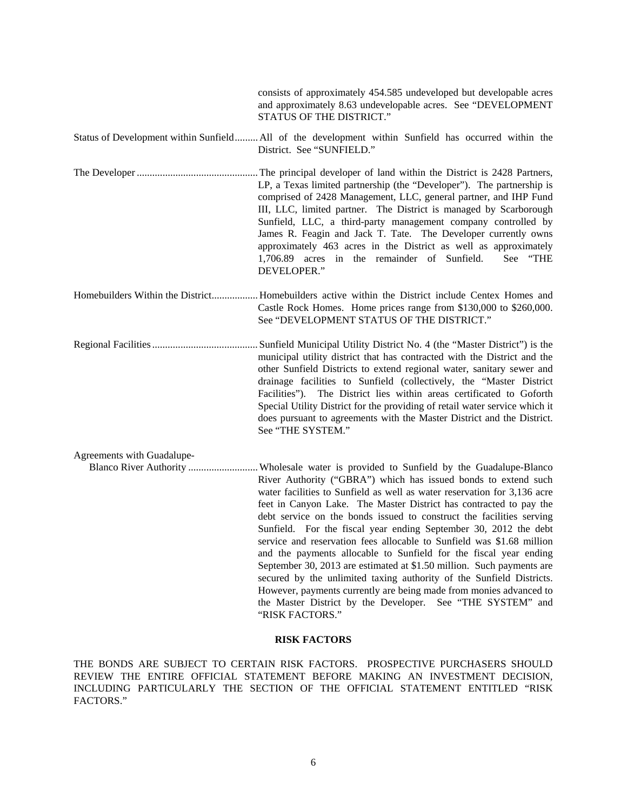|                            | consists of approximately 454.585 undeveloped but developable acres<br>and approximately 8.63 undevelopable acres. See "DEVELOPMENT<br>STATUS OF THE DISTRICT."                                                                                                                                                                                                                                                                                                                                                                                                                                                                                                                                                                   |
|----------------------------|-----------------------------------------------------------------------------------------------------------------------------------------------------------------------------------------------------------------------------------------------------------------------------------------------------------------------------------------------------------------------------------------------------------------------------------------------------------------------------------------------------------------------------------------------------------------------------------------------------------------------------------------------------------------------------------------------------------------------------------|
|                            | Status of Development within Sunfield All of the development within Sunfield has occurred within the<br>District. See "SUNFIELD."                                                                                                                                                                                                                                                                                                                                                                                                                                                                                                                                                                                                 |
|                            | LP, a Texas limited partnership (the "Developer"). The partnership is<br>comprised of 2428 Management, LLC, general partner, and IHP Fund<br>III, LLC, limited partner. The District is managed by Scarborough<br>Sunfield, LLC, a third-party management company controlled by<br>James R. Feagin and Jack T. Tate. The Developer currently owns<br>approximately 463 acres in the District as well as approximately<br>1,706.89 acres in the remainder of Sunfield.<br>See "THE<br>DEVELOPER."                                                                                                                                                                                                                                  |
|                            | Homebuilders Within the District Homebuilders active within the District include Centex Homes and<br>Castle Rock Homes. Home prices range from \$130,000 to \$260,000.<br>See "DEVELOPMENT STATUS OF THE DISTRICT."                                                                                                                                                                                                                                                                                                                                                                                                                                                                                                               |
|                            | municipal utility district that has contracted with the District and the<br>other Sunfield Districts to extend regional water, sanitary sewer and<br>drainage facilities to Sunfield (collectively, the "Master District<br>Facilities"). The District lies within areas certificated to Goforth<br>Special Utility District for the providing of retail water service which it<br>does pursuant to agreements with the Master District and the District.<br>See "THE SYSTEM."                                                                                                                                                                                                                                                    |
| Agreements with Guadalupe- | River Authority ("GBRA") which has issued bonds to extend such<br>water facilities to Sunfield as well as water reservation for 3,136 acre<br>feet in Canyon Lake. The Master District has contracted to pay the<br>debt service on the bonds issued to construct the facilities serving<br>Sunfield. For the fiscal year ending September 30, 2012 the debt<br>service and reservation fees allocable to Sunfield was \$1.68 million<br>and the payments allocable to Sunfield for the fiscal year ending<br>September 30, 2013 are estimated at \$1.50 million. Such payments are<br>secured by the unlimited taxing authority of the Sunfield Districts.<br>However, payments currently are being made from monies advanced to |

# **RISK FACTORS**

"RISK FACTORS."

the Master District by the Developer. See "THE SYSTEM" and

THE BONDS ARE SUBJECT TO CERTAIN RISK FACTORS. PROSPECTIVE PURCHASERS SHOULD REVIEW THE ENTIRE OFFICIAL STATEMENT BEFORE MAKING AN INVESTMENT DECISION, INCLUDING PARTICULARLY THE SECTION OF THE OFFICIAL STATEMENT ENTITLED "RISK FACTORS."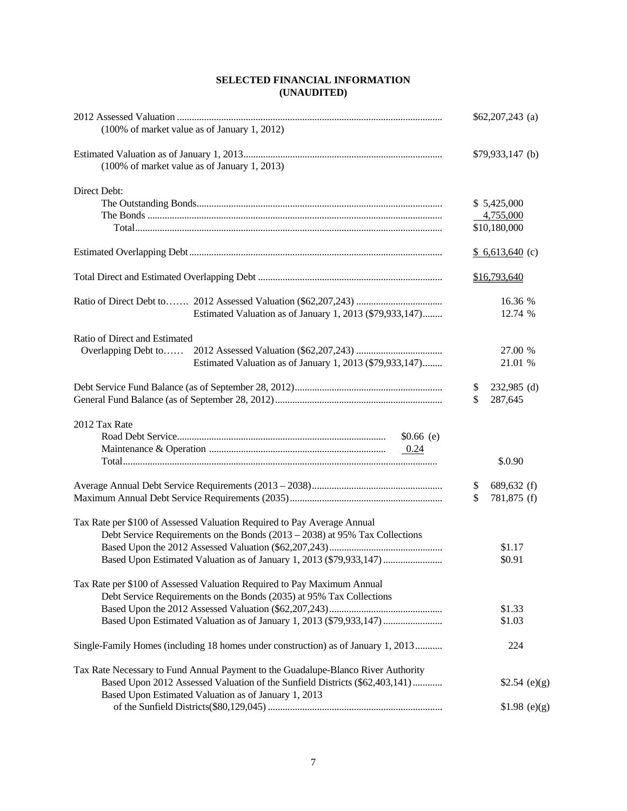# **SELECTED FINANCIAL INFORMATION (UNAUDITED)**

| (100% of market value as of January 1, 2012)                                      | $$62,207,243$ (a) |  |
|-----------------------------------------------------------------------------------|-------------------|--|
| $(100\% \text{ of market value as of January } 1, 2013)$                          | $$79,933,147$ (b) |  |
| Direct Debt:                                                                      |                   |  |
|                                                                                   | \$5,425,000       |  |
|                                                                                   | 4,755,000         |  |
|                                                                                   | \$10,180,000      |  |
|                                                                                   | $$6,613,640$ (c)  |  |
|                                                                                   | \$16,793,640      |  |
|                                                                                   | 16.36 %           |  |
| Estimated Valuation as of January 1, 2013 (\$79,933,147)                          | 12.74 %           |  |
| Ratio of Direct and Estimated                                                     |                   |  |
| Overlapping Debt to                                                               | 27.00 %           |  |
| Estimated Valuation as of January 1, 2013 (\$79,933,147)                          | 21.01 %           |  |
|                                                                                   | 232,985 (d)<br>\$ |  |
|                                                                                   | \$<br>287,645     |  |
| 2012 Tax Rate                                                                     |                   |  |
| $$0.66$ (e)                                                                       |                   |  |
| 0.24                                                                              |                   |  |
|                                                                                   | \$.0.90           |  |
|                                                                                   | 689,632 (f)<br>\$ |  |
|                                                                                   | \$<br>781,875 (f) |  |
| Tax Rate per \$100 of Assessed Valuation Required to Pay Average Annual           |                   |  |
| Debt Service Requirements on the Bonds $(2013 – 2038)$ at 95% Tax Collections     |                   |  |
|                                                                                   | \$1.17            |  |
| Based Upon Estimated Valuation as of January 1, 2013 (\$79,933,147)               | \$0.91            |  |
| Tax Rate per \$100 of Assessed Valuation Required to Pay Maximum Annual           |                   |  |
| Debt Service Requirements on the Bonds (2035) at 95% Tax Collections              |                   |  |
|                                                                                   | \$1.33            |  |
| Based Upon Estimated Valuation as of January 1, 2013 (\$79,933,147)               | \$1.03            |  |
| Single-Family Homes (including 18 homes under construction) as of January 1, 2013 | 224               |  |
| Tax Rate Necessary to Fund Annual Payment to the Guadalupe-Blanco River Authority |                   |  |
| Based Upon 2012 Assessed Valuation of the Sunfield Districts (\$62,403,141)       | \$2.54 (e)(g)     |  |
| Based Upon Estimated Valuation as of January 1, 2013                              |                   |  |
|                                                                                   | \$1.98 (e)(g)     |  |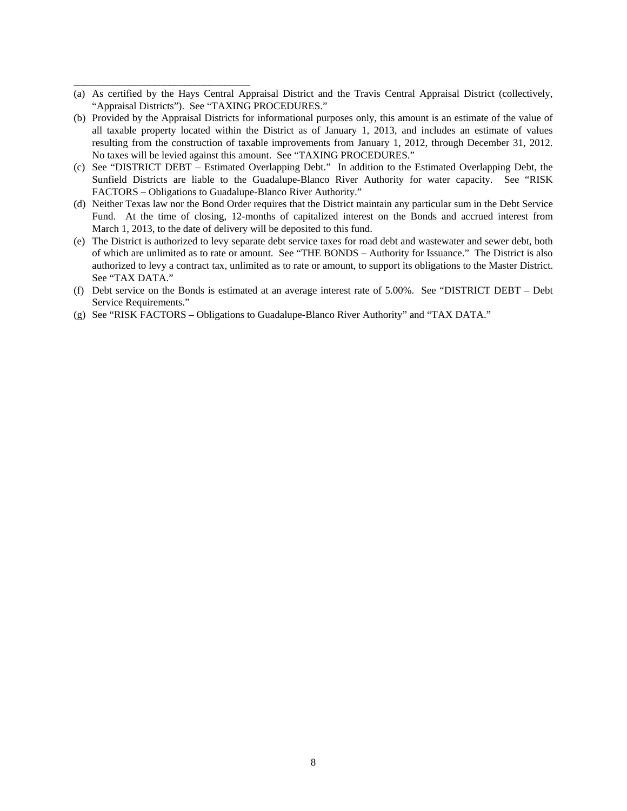(a) As certified by the Hays Central Appraisal District and the Travis Central Appraisal District (collectively, "Appraisal Districts"). See "TAXING PROCEDURES."

\_\_\_\_\_\_\_\_\_\_\_\_\_\_\_\_\_\_\_\_\_\_\_\_\_\_\_\_\_\_\_\_\_\_\_

- (b) Provided by the Appraisal Districts for informational purposes only, this amount is an estimate of the value of all taxable property located within the District as of January 1, 2013, and includes an estimate of values resulting from the construction of taxable improvements from January 1, 2012, through December 31, 2012. No taxes will be levied against this amount. See "TAXING PROCEDURES."
- (c) See "DISTRICT DEBT Estimated Overlapping Debt." In addition to the Estimated Overlapping Debt, the Sunfield Districts are liable to the Guadalupe-Blanco River Authority for water capacity. See "RISK FACTORS – Obligations to Guadalupe-Blanco River Authority."
- (d) Neither Texas law nor the Bond Order requires that the District maintain any particular sum in the Debt Service Fund. At the time of closing, 12-months of capitalized interest on the Bonds and accrued interest from March 1, 2013, to the date of delivery will be deposited to this fund.
- (e) The District is authorized to levy separate debt service taxes for road debt and wastewater and sewer debt, both of which are unlimited as to rate or amount. See "THE BONDS – Authority for Issuance." The District is also authorized to levy a contract tax, unlimited as to rate or amount, to support its obligations to the Master District. See "TAX DATA."
- (f) Debt service on the Bonds is estimated at an average interest rate of 5.00%. See "DISTRICT DEBT Debt Service Requirements."
- (g) See "RISK FACTORS Obligations to Guadalupe-Blanco River Authority" and "TAX DATA."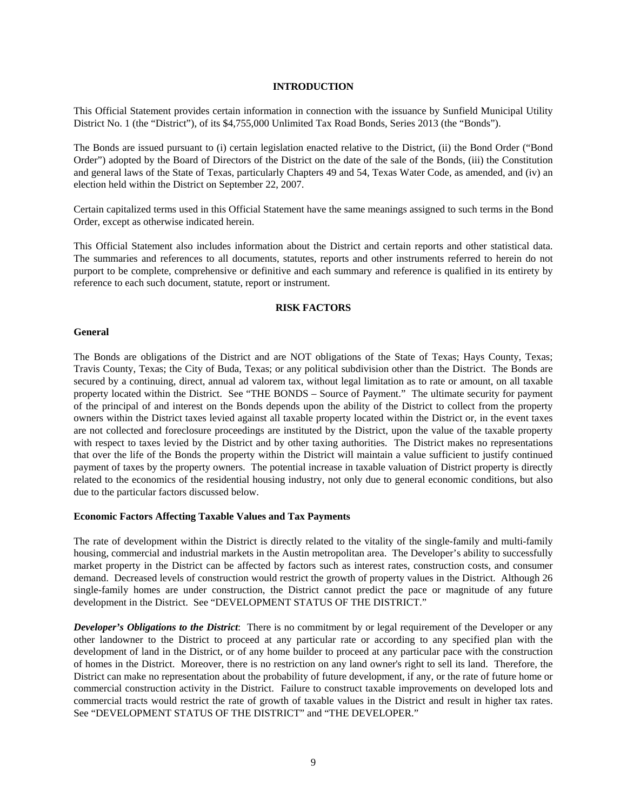# **INTRODUCTION**

This Official Statement provides certain information in connection with the issuance by Sunfield Municipal Utility District No. 1 (the "District"), of its \$4,755,000 Unlimited Tax Road Bonds, Series 2013 (the "Bonds").

The Bonds are issued pursuant to (i) certain legislation enacted relative to the District, (ii) the Bond Order ("Bond Order") adopted by the Board of Directors of the District on the date of the sale of the Bonds, (iii) the Constitution and general laws of the State of Texas, particularly Chapters 49 and 54, Texas Water Code, as amended, and (iv) an election held within the District on September 22, 2007.

Certain capitalized terms used in this Official Statement have the same meanings assigned to such terms in the Bond Order, except as otherwise indicated herein.

This Official Statement also includes information about the District and certain reports and other statistical data. The summaries and references to all documents, statutes, reports and other instruments referred to herein do not purport to be complete, comprehensive or definitive and each summary and reference is qualified in its entirety by reference to each such document, statute, report or instrument.

#### **RISK FACTORS**

#### **General**

The Bonds are obligations of the District and are NOT obligations of the State of Texas; Hays County, Texas; Travis County, Texas; the City of Buda, Texas; or any political subdivision other than the District. The Bonds are secured by a continuing, direct, annual ad valorem tax, without legal limitation as to rate or amount, on all taxable property located within the District. See "THE BONDS – Source of Payment." The ultimate security for payment of the principal of and interest on the Bonds depends upon the ability of the District to collect from the property owners within the District taxes levied against all taxable property located within the District or, in the event taxes are not collected and foreclosure proceedings are instituted by the District, upon the value of the taxable property with respect to taxes levied by the District and by other taxing authorities. The District makes no representations that over the life of the Bonds the property within the District will maintain a value sufficient to justify continued payment of taxes by the property owners. The potential increase in taxable valuation of District property is directly related to the economics of the residential housing industry, not only due to general economic conditions, but also due to the particular factors discussed below.

#### **Economic Factors Affecting Taxable Values and Tax Payments**

The rate of development within the District is directly related to the vitality of the single-family and multi-family housing, commercial and industrial markets in the Austin metropolitan area. The Developer's ability to successfully market property in the District can be affected by factors such as interest rates, construction costs, and consumer demand. Decreased levels of construction would restrict the growth of property values in the District. Although 26 single-family homes are under construction, the District cannot predict the pace or magnitude of any future development in the District. See "DEVELOPMENT STATUS OF THE DISTRICT."

*Developer's Obligations to the District*: There is no commitment by or legal requirement of the Developer or any other landowner to the District to proceed at any particular rate or according to any specified plan with the development of land in the District, or of any home builder to proceed at any particular pace with the construction of homes in the District. Moreover, there is no restriction on any land owner's right to sell its land. Therefore, the District can make no representation about the probability of future development, if any, or the rate of future home or commercial construction activity in the District. Failure to construct taxable improvements on developed lots and commercial tracts would restrict the rate of growth of taxable values in the District and result in higher tax rates. See "DEVELOPMENT STATUS OF THE DISTRICT" and "THE DEVELOPER."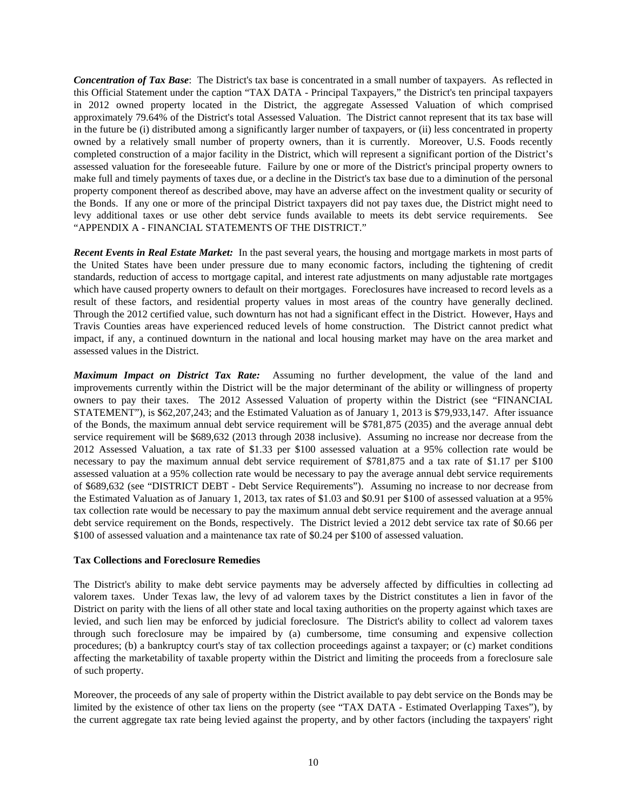*Concentration of Tax Base*: The District's tax base is concentrated in a small number of taxpayers. As reflected in this Official Statement under the caption "TAX DATA - Principal Taxpayers," the District's ten principal taxpayers in 2012 owned property located in the District, the aggregate Assessed Valuation of which comprised approximately 79.64% of the District's total Assessed Valuation. The District cannot represent that its tax base will in the future be (i) distributed among a significantly larger number of taxpayers, or (ii) less concentrated in property owned by a relatively small number of property owners, than it is currently. Moreover, U.S. Foods recently completed construction of a major facility in the District, which will represent a significant portion of the District's assessed valuation for the foreseeable future. Failure by one or more of the District's principal property owners to make full and timely payments of taxes due, or a decline in the District's tax base due to a diminution of the personal property component thereof as described above, may have an adverse affect on the investment quality or security of the Bonds. If any one or more of the principal District taxpayers did not pay taxes due, the District might need to levy additional taxes or use other debt service funds available to meets its debt service requirements. See "APPENDIX A - FINANCIAL STATEMENTS OF THE DISTRICT."

*Recent Events in Real Estate Market:* In the past several years, the housing and mortgage markets in most parts of the United States have been under pressure due to many economic factors, including the tightening of credit standards, reduction of access to mortgage capital, and interest rate adjustments on many adjustable rate mortgages which have caused property owners to default on their mortgages. Foreclosures have increased to record levels as a result of these factors, and residential property values in most areas of the country have generally declined. Through the 2012 certified value, such downturn has not had a significant effect in the District. However, Hays and Travis Counties areas have experienced reduced levels of home construction. The District cannot predict what impact, if any, a continued downturn in the national and local housing market may have on the area market and assessed values in the District.

*Maximum Impact on District Tax Rate:* Assuming no further development, the value of the land and improvements currently within the District will be the major determinant of the ability or willingness of property owners to pay their taxes. The 2012 Assessed Valuation of property within the District (see "FINANCIAL STATEMENT"), is \$62,207,243; and the Estimated Valuation as of January 1, 2013 is \$79,933,147. After issuance of the Bonds, the maximum annual debt service requirement will be \$781,875 (2035) and the average annual debt service requirement will be \$689,632 (2013 through 2038 inclusive). Assuming no increase nor decrease from the 2012 Assessed Valuation, a tax rate of \$1.33 per \$100 assessed valuation at a 95% collection rate would be necessary to pay the maximum annual debt service requirement of \$781,875 and a tax rate of \$1.17 per \$100 assessed valuation at a 95% collection rate would be necessary to pay the average annual debt service requirements of \$689,632 (see "DISTRICT DEBT - Debt Service Requirements"). Assuming no increase to nor decrease from the Estimated Valuation as of January 1, 2013, tax rates of \$1.03 and \$0.91 per \$100 of assessed valuation at a 95% tax collection rate would be necessary to pay the maximum annual debt service requirement and the average annual debt service requirement on the Bonds, respectively. The District levied a 2012 debt service tax rate of \$0.66 per \$100 of assessed valuation and a maintenance tax rate of \$0.24 per \$100 of assessed valuation.

# **Tax Collections and Foreclosure Remedies**

The District's ability to make debt service payments may be adversely affected by difficulties in collecting ad valorem taxes. Under Texas law, the levy of ad valorem taxes by the District constitutes a lien in favor of the District on parity with the liens of all other state and local taxing authorities on the property against which taxes are levied, and such lien may be enforced by judicial foreclosure. The District's ability to collect ad valorem taxes through such foreclosure may be impaired by (a) cumbersome, time consuming and expensive collection procedures; (b) a bankruptcy court's stay of tax collection proceedings against a taxpayer; or (c) market conditions affecting the marketability of taxable property within the District and limiting the proceeds from a foreclosure sale of such property.

Moreover, the proceeds of any sale of property within the District available to pay debt service on the Bonds may be limited by the existence of other tax liens on the property (see "TAX DATA - Estimated Overlapping Taxes"), by the current aggregate tax rate being levied against the property, and by other factors (including the taxpayers' right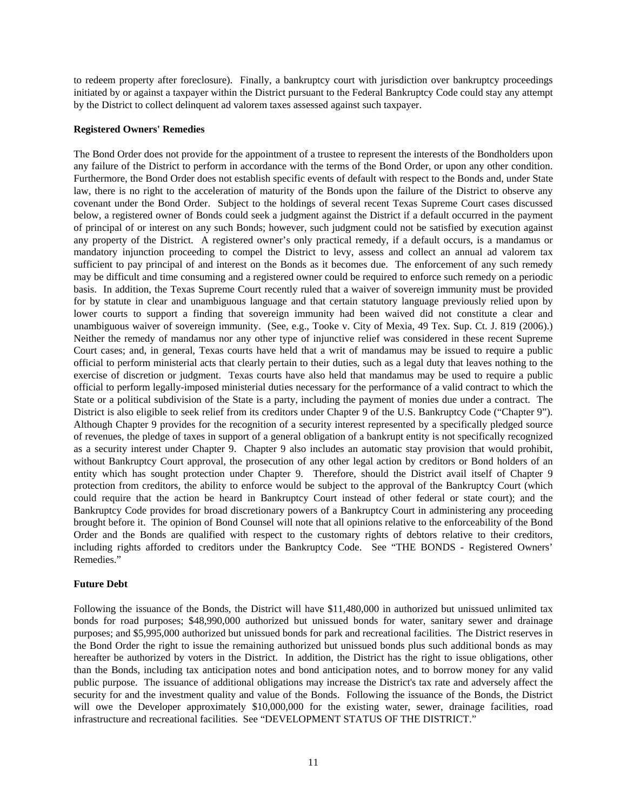to redeem property after foreclosure). Finally, a bankruptcy court with jurisdiction over bankruptcy proceedings initiated by or against a taxpayer within the District pursuant to the Federal Bankruptcy Code could stay any attempt by the District to collect delinquent ad valorem taxes assessed against such taxpayer.

# **Registered Owners' Remedies**

The Bond Order does not provide for the appointment of a trustee to represent the interests of the Bondholders upon any failure of the District to perform in accordance with the terms of the Bond Order, or upon any other condition. Furthermore, the Bond Order does not establish specific events of default with respect to the Bonds and, under State law, there is no right to the acceleration of maturity of the Bonds upon the failure of the District to observe any covenant under the Bond Order. Subject to the holdings of several recent Texas Supreme Court cases discussed below, a registered owner of Bonds could seek a judgment against the District if a default occurred in the payment of principal of or interest on any such Bonds; however, such judgment could not be satisfied by execution against any property of the District. A registered owner's only practical remedy, if a default occurs, is a mandamus or mandatory injunction proceeding to compel the District to levy, assess and collect an annual ad valorem tax sufficient to pay principal of and interest on the Bonds as it becomes due. The enforcement of any such remedy may be difficult and time consuming and a registered owner could be required to enforce such remedy on a periodic basis. In addition, the Texas Supreme Court recently ruled that a waiver of sovereign immunity must be provided for by statute in clear and unambiguous language and that certain statutory language previously relied upon by lower courts to support a finding that sovereign immunity had been waived did not constitute a clear and unambiguous waiver of sovereign immunity. (See, e.g., Tooke v. City of Mexia, 49 Tex. Sup. Ct. J. 819 (2006).) Neither the remedy of mandamus nor any other type of injunctive relief was considered in these recent Supreme Court cases; and, in general, Texas courts have held that a writ of mandamus may be issued to require a public official to perform ministerial acts that clearly pertain to their duties, such as a legal duty that leaves nothing to the exercise of discretion or judgment. Texas courts have also held that mandamus may be used to require a public official to perform legally-imposed ministerial duties necessary for the performance of a valid contract to which the State or a political subdivision of the State is a party, including the payment of monies due under a contract. The District is also eligible to seek relief from its creditors under Chapter 9 of the U.S. Bankruptcy Code ("Chapter 9"). Although Chapter 9 provides for the recognition of a security interest represented by a specifically pledged source of revenues, the pledge of taxes in support of a general obligation of a bankrupt entity is not specifically recognized as a security interest under Chapter 9. Chapter 9 also includes an automatic stay provision that would prohibit, without Bankruptcy Court approval, the prosecution of any other legal action by creditors or Bond holders of an entity which has sought protection under Chapter 9. Therefore, should the District avail itself of Chapter 9 protection from creditors, the ability to enforce would be subject to the approval of the Bankruptcy Court (which could require that the action be heard in Bankruptcy Court instead of other federal or state court); and the Bankruptcy Code provides for broad discretionary powers of a Bankruptcy Court in administering any proceeding brought before it. The opinion of Bond Counsel will note that all opinions relative to the enforceability of the Bond Order and the Bonds are qualified with respect to the customary rights of debtors relative to their creditors, including rights afforded to creditors under the Bankruptcy Code. See "THE BONDS - Registered Owners' Remedies."

# **Future Debt**

Following the issuance of the Bonds, the District will have \$11,480,000 in authorized but unissued unlimited tax bonds for road purposes; \$48,990,000 authorized but unissued bonds for water, sanitary sewer and drainage purposes; and \$5,995,000 authorized but unissued bonds for park and recreational facilities. The District reserves in the Bond Order the right to issue the remaining authorized but unissued bonds plus such additional bonds as may hereafter be authorized by voters in the District. In addition, the District has the right to issue obligations, other than the Bonds, including tax anticipation notes and bond anticipation notes, and to borrow money for any valid public purpose. The issuance of additional obligations may increase the District's tax rate and adversely affect the security for and the investment quality and value of the Bonds. Following the issuance of the Bonds, the District will owe the Developer approximately \$10,000,000 for the existing water, sewer, drainage facilities, road infrastructure and recreational facilities. See "DEVELOPMENT STATUS OF THE DISTRICT."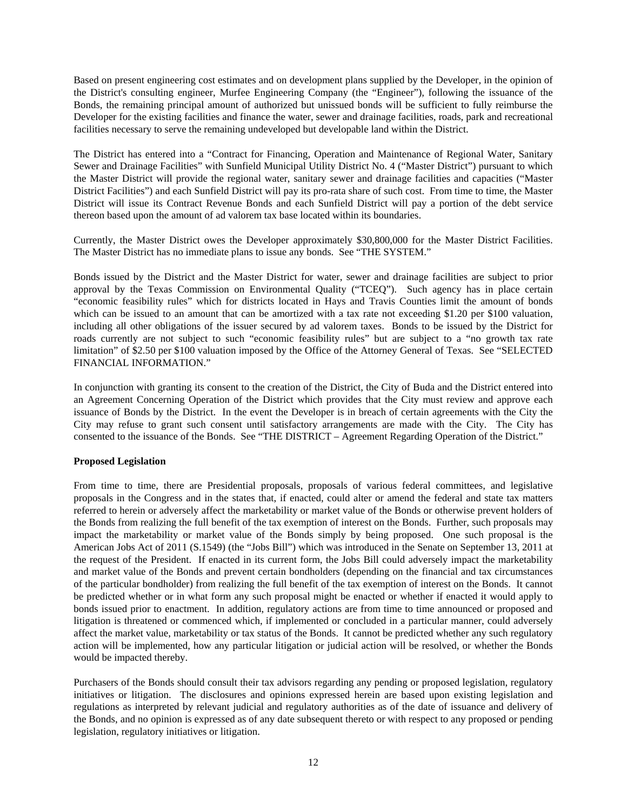Based on present engineering cost estimates and on development plans supplied by the Developer, in the opinion of the District's consulting engineer, Murfee Engineering Company (the "Engineer"), following the issuance of the Bonds, the remaining principal amount of authorized but unissued bonds will be sufficient to fully reimburse the Developer for the existing facilities and finance the water, sewer and drainage facilities, roads, park and recreational facilities necessary to serve the remaining undeveloped but developable land within the District.

The District has entered into a "Contract for Financing, Operation and Maintenance of Regional Water, Sanitary Sewer and Drainage Facilities" with Sunfield Municipal Utility District No. 4 ("Master District") pursuant to which the Master District will provide the regional water, sanitary sewer and drainage facilities and capacities ("Master District Facilities") and each Sunfield District will pay its pro-rata share of such cost. From time to time, the Master District will issue its Contract Revenue Bonds and each Sunfield District will pay a portion of the debt service thereon based upon the amount of ad valorem tax base located within its boundaries.

Currently, the Master District owes the Developer approximately \$30,800,000 for the Master District Facilities. The Master District has no immediate plans to issue any bonds. See "THE SYSTEM."

Bonds issued by the District and the Master District for water, sewer and drainage facilities are subject to prior approval by the Texas Commission on Environmental Quality ("TCEQ"). Such agency has in place certain "economic feasibility rules" which for districts located in Hays and Travis Counties limit the amount of bonds which can be issued to an amount that can be amortized with a tax rate not exceeding \$1.20 per \$100 valuation, including all other obligations of the issuer secured by ad valorem taxes. Bonds to be issued by the District for roads currently are not subject to such "economic feasibility rules" but are subject to a "no growth tax rate limitation" of \$2.50 per \$100 valuation imposed by the Office of the Attorney General of Texas. See "SELECTED FINANCIAL INFORMATION."

In conjunction with granting its consent to the creation of the District, the City of Buda and the District entered into an Agreement Concerning Operation of the District which provides that the City must review and approve each issuance of Bonds by the District. In the event the Developer is in breach of certain agreements with the City the City may refuse to grant such consent until satisfactory arrangements are made with the City. The City has consented to the issuance of the Bonds. See "THE DISTRICT – Agreement Regarding Operation of the District."

# **Proposed Legislation**

From time to time, there are Presidential proposals, proposals of various federal committees, and legislative proposals in the Congress and in the states that, if enacted, could alter or amend the federal and state tax matters referred to herein or adversely affect the marketability or market value of the Bonds or otherwise prevent holders of the Bonds from realizing the full benefit of the tax exemption of interest on the Bonds. Further, such proposals may impact the marketability or market value of the Bonds simply by being proposed. One such proposal is the American Jobs Act of 2011 (S.1549) (the "Jobs Bill") which was introduced in the Senate on September 13, 2011 at the request of the President. If enacted in its current form, the Jobs Bill could adversely impact the marketability and market value of the Bonds and prevent certain bondholders (depending on the financial and tax circumstances of the particular bondholder) from realizing the full benefit of the tax exemption of interest on the Bonds. It cannot be predicted whether or in what form any such proposal might be enacted or whether if enacted it would apply to bonds issued prior to enactment. In addition, regulatory actions are from time to time announced or proposed and litigation is threatened or commenced which, if implemented or concluded in a particular manner, could adversely affect the market value, marketability or tax status of the Bonds. It cannot be predicted whether any such regulatory action will be implemented, how any particular litigation or judicial action will be resolved, or whether the Bonds would be impacted thereby.

Purchasers of the Bonds should consult their tax advisors regarding any pending or proposed legislation, regulatory initiatives or litigation. The disclosures and opinions expressed herein are based upon existing legislation and regulations as interpreted by relevant judicial and regulatory authorities as of the date of issuance and delivery of the Bonds, and no opinion is expressed as of any date subsequent thereto or with respect to any proposed or pending legislation, regulatory initiatives or litigation.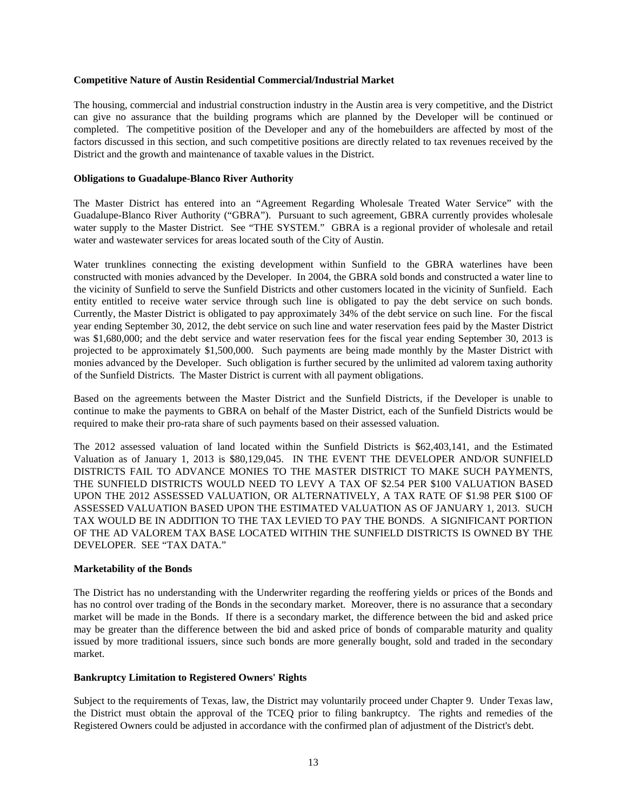# **Competitive Nature of Austin Residential Commercial/Industrial Market**

The housing, commercial and industrial construction industry in the Austin area is very competitive, and the District can give no assurance that the building programs which are planned by the Developer will be continued or completed. The competitive position of the Developer and any of the homebuilders are affected by most of the factors discussed in this section, and such competitive positions are directly related to tax revenues received by the District and the growth and maintenance of taxable values in the District.

# **Obligations to Guadalupe-Blanco River Authority**

The Master District has entered into an "Agreement Regarding Wholesale Treated Water Service" with the Guadalupe-Blanco River Authority ("GBRA"). Pursuant to such agreement, GBRA currently provides wholesale water supply to the Master District. See "THE SYSTEM." GBRA is a regional provider of wholesale and retail water and wastewater services for areas located south of the City of Austin.

Water trunklines connecting the existing development within Sunfield to the GBRA waterlines have been constructed with monies advanced by the Developer. In 2004, the GBRA sold bonds and constructed a water line to the vicinity of Sunfield to serve the Sunfield Districts and other customers located in the vicinity of Sunfield. Each entity entitled to receive water service through such line is obligated to pay the debt service on such bonds. Currently, the Master District is obligated to pay approximately 34% of the debt service on such line. For the fiscal year ending September 30, 2012, the debt service on such line and water reservation fees paid by the Master District was \$1,680,000; and the debt service and water reservation fees for the fiscal year ending September 30, 2013 is projected to be approximately \$1,500,000. Such payments are being made monthly by the Master District with monies advanced by the Developer. Such obligation is further secured by the unlimited ad valorem taxing authority of the Sunfield Districts. The Master District is current with all payment obligations.

Based on the agreements between the Master District and the Sunfield Districts, if the Developer is unable to continue to make the payments to GBRA on behalf of the Master District, each of the Sunfield Districts would be required to make their pro-rata share of such payments based on their assessed valuation.

The 2012 assessed valuation of land located within the Sunfield Districts is \$62,403,141, and the Estimated Valuation as of January 1, 2013 is \$80,129,045. IN THE EVENT THE DEVELOPER AND/OR SUNFIELD DISTRICTS FAIL TO ADVANCE MONIES TO THE MASTER DISTRICT TO MAKE SUCH PAYMENTS, THE SUNFIELD DISTRICTS WOULD NEED TO LEVY A TAX OF \$2.54 PER \$100 VALUATION BASED UPON THE 2012 ASSESSED VALUATION, OR ALTERNATIVELY, A TAX RATE OF \$1.98 PER \$100 OF ASSESSED VALUATION BASED UPON THE ESTIMATED VALUATION AS OF JANUARY 1, 2013. SUCH TAX WOULD BE IN ADDITION TO THE TAX LEVIED TO PAY THE BONDS. A SIGNIFICANT PORTION OF THE AD VALOREM TAX BASE LOCATED WITHIN THE SUNFIELD DISTRICTS IS OWNED BY THE DEVELOPER. SEE "TAX DATA."

# **Marketability of the Bonds**

The District has no understanding with the Underwriter regarding the reoffering yields or prices of the Bonds and has no control over trading of the Bonds in the secondary market. Moreover, there is no assurance that a secondary market will be made in the Bonds. If there is a secondary market, the difference between the bid and asked price may be greater than the difference between the bid and asked price of bonds of comparable maturity and quality issued by more traditional issuers, since such bonds are more generally bought, sold and traded in the secondary market.

# **Bankruptcy Limitation to Registered Owners' Rights**

Subject to the requirements of Texas, law, the District may voluntarily proceed under Chapter 9. Under Texas law, the District must obtain the approval of the TCEQ prior to filing bankruptcy. The rights and remedies of the Registered Owners could be adjusted in accordance with the confirmed plan of adjustment of the District's debt.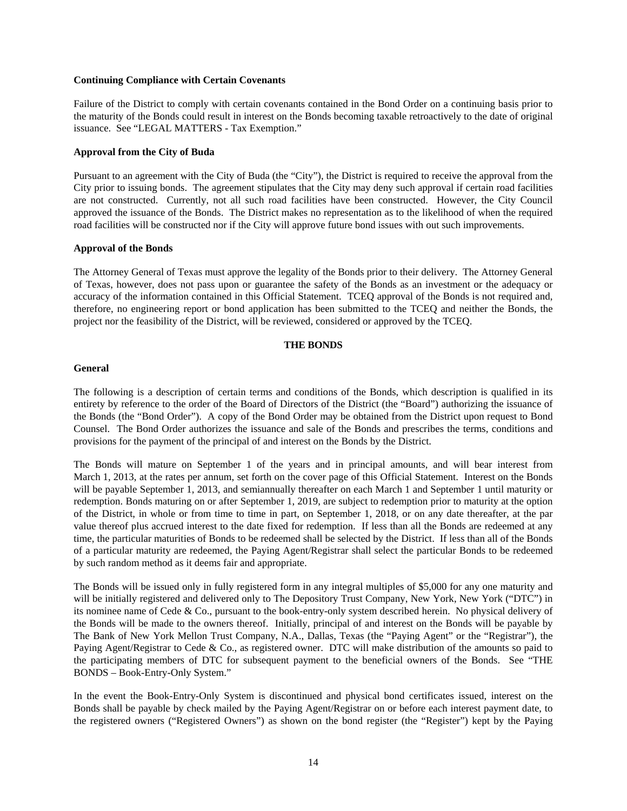#### **Continuing Compliance with Certain Covenants**

Failure of the District to comply with certain covenants contained in the Bond Order on a continuing basis prior to the maturity of the Bonds could result in interest on the Bonds becoming taxable retroactively to the date of original issuance. See "LEGAL MATTERS - Tax Exemption."

# **Approval from the City of Buda**

Pursuant to an agreement with the City of Buda (the "City"), the District is required to receive the approval from the City prior to issuing bonds. The agreement stipulates that the City may deny such approval if certain road facilities are not constructed. Currently, not all such road facilities have been constructed. However, the City Council approved the issuance of the Bonds. The District makes no representation as to the likelihood of when the required road facilities will be constructed nor if the City will approve future bond issues with out such improvements.

# **Approval of the Bonds**

The Attorney General of Texas must approve the legality of the Bonds prior to their delivery. The Attorney General of Texas, however, does not pass upon or guarantee the safety of the Bonds as an investment or the adequacy or accuracy of the information contained in this Official Statement. TCEQ approval of the Bonds is not required and, therefore, no engineering report or bond application has been submitted to the TCEQ and neither the Bonds, the project nor the feasibility of the District, will be reviewed, considered or approved by the TCEQ.

# **THE BONDS**

# **General**

The following is a description of certain terms and conditions of the Bonds, which description is qualified in its entirety by reference to the order of the Board of Directors of the District (the "Board") authorizing the issuance of the Bonds (the "Bond Order"). A copy of the Bond Order may be obtained from the District upon request to Bond Counsel. The Bond Order authorizes the issuance and sale of the Bonds and prescribes the terms, conditions and provisions for the payment of the principal of and interest on the Bonds by the District.

The Bonds will mature on September 1 of the years and in principal amounts, and will bear interest from March 1, 2013, at the rates per annum, set forth on the cover page of this Official Statement. Interest on the Bonds will be payable September 1, 2013, and semiannually thereafter on each March 1 and September 1 until maturity or redemption. Bonds maturing on or after September 1, 2019, are subject to redemption prior to maturity at the option of the District, in whole or from time to time in part, on September 1, 2018, or on any date thereafter, at the par value thereof plus accrued interest to the date fixed for redemption. If less than all the Bonds are redeemed at any time, the particular maturities of Bonds to be redeemed shall be selected by the District. If less than all of the Bonds of a particular maturity are redeemed, the Paying Agent/Registrar shall select the particular Bonds to be redeemed by such random method as it deems fair and appropriate.

The Bonds will be issued only in fully registered form in any integral multiples of \$5,000 for any one maturity and will be initially registered and delivered only to The Depository Trust Company, New York, New York ("DTC") in its nominee name of Cede & Co., pursuant to the book-entry-only system described herein. No physical delivery of the Bonds will be made to the owners thereof. Initially, principal of and interest on the Bonds will be payable by The Bank of New York Mellon Trust Company, N.A., Dallas, Texas (the "Paying Agent" or the "Registrar"), the Paying Agent/Registrar to Cede & Co., as registered owner. DTC will make distribution of the amounts so paid to the participating members of DTC for subsequent payment to the beneficial owners of the Bonds. See "THE BONDS – Book-Entry-Only System."

In the event the Book-Entry-Only System is discontinued and physical bond certificates issued, interest on the Bonds shall be payable by check mailed by the Paying Agent/Registrar on or before each interest payment date, to the registered owners ("Registered Owners") as shown on the bond register (the "Register") kept by the Paying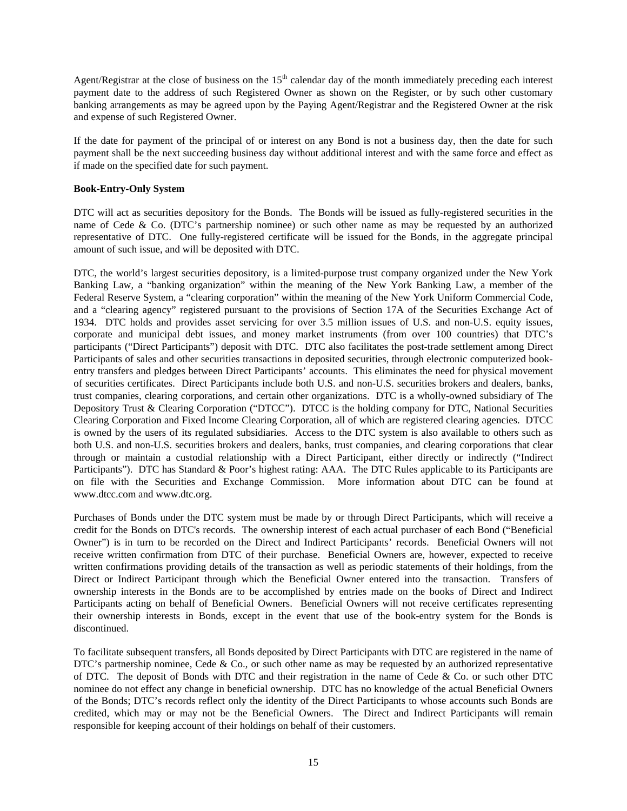Agent/Registrar at the close of business on the  $15<sup>th</sup>$  calendar day of the month immediately preceding each interest payment date to the address of such Registered Owner as shown on the Register, or by such other customary banking arrangements as may be agreed upon by the Paying Agent/Registrar and the Registered Owner at the risk and expense of such Registered Owner.

If the date for payment of the principal of or interest on any Bond is not a business day, then the date for such payment shall be the next succeeding business day without additional interest and with the same force and effect as if made on the specified date for such payment.

# **Book-Entry-Only System**

DTC will act as securities depository for the Bonds. The Bonds will be issued as fully-registered securities in the name of Cede & Co. (DTC's partnership nominee) or such other name as may be requested by an authorized representative of DTC. One fully-registered certificate will be issued for the Bonds, in the aggregate principal amount of such issue, and will be deposited with DTC.

DTC, the world's largest securities depository, is a limited-purpose trust company organized under the New York Banking Law, a "banking organization" within the meaning of the New York Banking Law, a member of the Federal Reserve System, a "clearing corporation" within the meaning of the New York Uniform Commercial Code, and a "clearing agency" registered pursuant to the provisions of Section 17A of the Securities Exchange Act of 1934. DTC holds and provides asset servicing for over 3.5 million issues of U.S. and non-U.S. equity issues, corporate and municipal debt issues, and money market instruments (from over 100 countries) that DTC's participants ("Direct Participants") deposit with DTC. DTC also facilitates the post-trade settlement among Direct Participants of sales and other securities transactions in deposited securities, through electronic computerized bookentry transfers and pledges between Direct Participants' accounts. This eliminates the need for physical movement of securities certificates. Direct Participants include both U.S. and non-U.S. securities brokers and dealers, banks, trust companies, clearing corporations, and certain other organizations. DTC is a wholly-owned subsidiary of The Depository Trust & Clearing Corporation ("DTCC"). DTCC is the holding company for DTC, National Securities Clearing Corporation and Fixed Income Clearing Corporation, all of which are registered clearing agencies. DTCC is owned by the users of its regulated subsidiaries. Access to the DTC system is also available to others such as both U.S. and non-U.S. securities brokers and dealers, banks, trust companies, and clearing corporations that clear through or maintain a custodial relationship with a Direct Participant, either directly or indirectly ("Indirect Participants"). DTC has Standard & Poor's highest rating: AAA. The DTC Rules applicable to its Participants are on file with the Securities and Exchange Commission. More information about DTC can be found at www.dtcc.com and www.dtc.org.

Purchases of Bonds under the DTC system must be made by or through Direct Participants, which will receive a credit for the Bonds on DTC's records. The ownership interest of each actual purchaser of each Bond ("Beneficial Owner") is in turn to be recorded on the Direct and Indirect Participants' records. Beneficial Owners will not receive written confirmation from DTC of their purchase. Beneficial Owners are, however, expected to receive written confirmations providing details of the transaction as well as periodic statements of their holdings, from the Direct or Indirect Participant through which the Beneficial Owner entered into the transaction. Transfers of ownership interests in the Bonds are to be accomplished by entries made on the books of Direct and Indirect Participants acting on behalf of Beneficial Owners. Beneficial Owners will not receive certificates representing their ownership interests in Bonds, except in the event that use of the book-entry system for the Bonds is discontinued.

To facilitate subsequent transfers, all Bonds deposited by Direct Participants with DTC are registered in the name of DTC's partnership nominee, Cede  $\&$  Co., or such other name as may be requested by an authorized representative of DTC. The deposit of Bonds with DTC and their registration in the name of Cede & Co. or such other DTC nominee do not effect any change in beneficial ownership. DTC has no knowledge of the actual Beneficial Owners of the Bonds; DTC's records reflect only the identity of the Direct Participants to whose accounts such Bonds are credited, which may or may not be the Beneficial Owners. The Direct and Indirect Participants will remain responsible for keeping account of their holdings on behalf of their customers.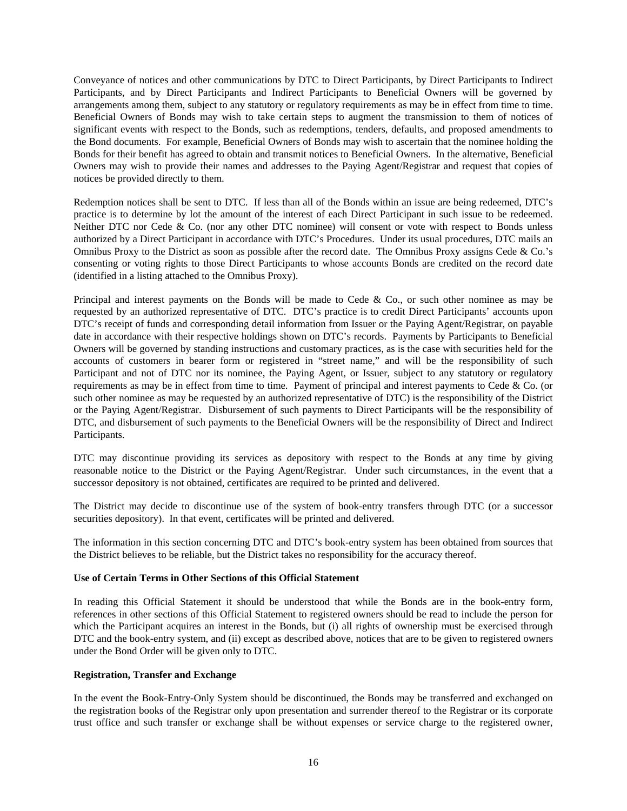Conveyance of notices and other communications by DTC to Direct Participants, by Direct Participants to Indirect Participants, and by Direct Participants and Indirect Participants to Beneficial Owners will be governed by arrangements among them, subject to any statutory or regulatory requirements as may be in effect from time to time. Beneficial Owners of Bonds may wish to take certain steps to augment the transmission to them of notices of significant events with respect to the Bonds, such as redemptions, tenders, defaults, and proposed amendments to the Bond documents. For example, Beneficial Owners of Bonds may wish to ascertain that the nominee holding the Bonds for their benefit has agreed to obtain and transmit notices to Beneficial Owners. In the alternative, Beneficial Owners may wish to provide their names and addresses to the Paying Agent/Registrar and request that copies of notices be provided directly to them.

Redemption notices shall be sent to DTC. If less than all of the Bonds within an issue are being redeemed, DTC's practice is to determine by lot the amount of the interest of each Direct Participant in such issue to be redeemed. Neither DTC nor Cede & Co. (nor any other DTC nominee) will consent or vote with respect to Bonds unless authorized by a Direct Participant in accordance with DTC's Procedures. Under its usual procedures, DTC mails an Omnibus Proxy to the District as soon as possible after the record date. The Omnibus Proxy assigns Cede & Co.'s consenting or voting rights to those Direct Participants to whose accounts Bonds are credited on the record date (identified in a listing attached to the Omnibus Proxy).

Principal and interest payments on the Bonds will be made to Cede & Co., or such other nominee as may be requested by an authorized representative of DTC. DTC's practice is to credit Direct Participants' accounts upon DTC's receipt of funds and corresponding detail information from Issuer or the Paying Agent/Registrar, on payable date in accordance with their respective holdings shown on DTC's records. Payments by Participants to Beneficial Owners will be governed by standing instructions and customary practices, as is the case with securities held for the accounts of customers in bearer form or registered in "street name," and will be the responsibility of such Participant and not of DTC nor its nominee, the Paying Agent, or Issuer, subject to any statutory or regulatory requirements as may be in effect from time to time. Payment of principal and interest payments to Cede & Co. (or such other nominee as may be requested by an authorized representative of DTC) is the responsibility of the District or the Paying Agent/Registrar. Disbursement of such payments to Direct Participants will be the responsibility of DTC, and disbursement of such payments to the Beneficial Owners will be the responsibility of Direct and Indirect Participants.

DTC may discontinue providing its services as depository with respect to the Bonds at any time by giving reasonable notice to the District or the Paying Agent/Registrar. Under such circumstances, in the event that a successor depository is not obtained, certificates are required to be printed and delivered.

The District may decide to discontinue use of the system of book-entry transfers through DTC (or a successor securities depository). In that event, certificates will be printed and delivered.

The information in this section concerning DTC and DTC's book-entry system has been obtained from sources that the District believes to be reliable, but the District takes no responsibility for the accuracy thereof.

# **Use of Certain Terms in Other Sections of this Official Statement**

In reading this Official Statement it should be understood that while the Bonds are in the book-entry form, references in other sections of this Official Statement to registered owners should be read to include the person for which the Participant acquires an interest in the Bonds, but (i) all rights of ownership must be exercised through DTC and the book-entry system, and (ii) except as described above, notices that are to be given to registered owners under the Bond Order will be given only to DTC.

# **Registration, Transfer and Exchange**

In the event the Book-Entry-Only System should be discontinued, the Bonds may be transferred and exchanged on the registration books of the Registrar only upon presentation and surrender thereof to the Registrar or its corporate trust office and such transfer or exchange shall be without expenses or service charge to the registered owner,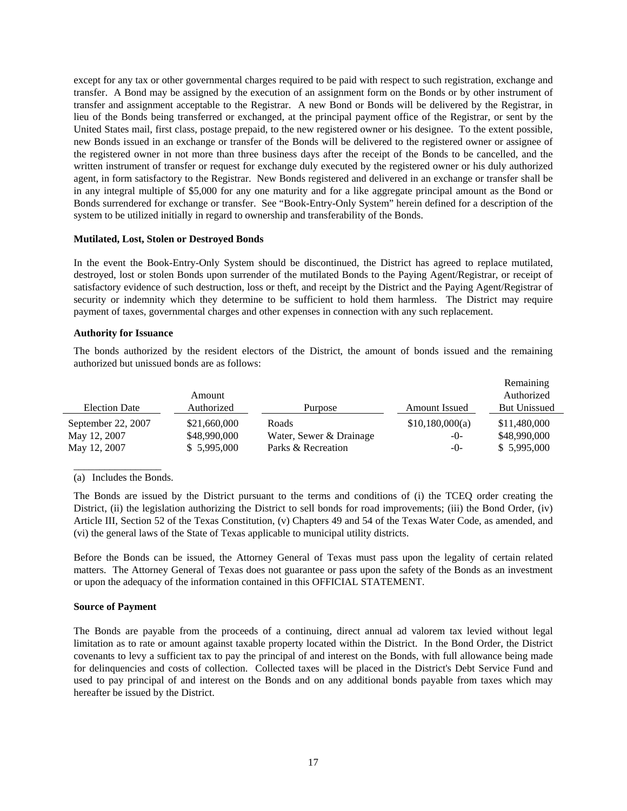except for any tax or other governmental charges required to be paid with respect to such registration, exchange and transfer. A Bond may be assigned by the execution of an assignment form on the Bonds or by other instrument of transfer and assignment acceptable to the Registrar. A new Bond or Bonds will be delivered by the Registrar, in lieu of the Bonds being transferred or exchanged, at the principal payment office of the Registrar, or sent by the United States mail, first class, postage prepaid, to the new registered owner or his designee. To the extent possible, new Bonds issued in an exchange or transfer of the Bonds will be delivered to the registered owner or assignee of the registered owner in not more than three business days after the receipt of the Bonds to be cancelled, and the written instrument of transfer or request for exchange duly executed by the registered owner or his duly authorized agent, in form satisfactory to the Registrar. New Bonds registered and delivered in an exchange or transfer shall be in any integral multiple of \$5,000 for any one maturity and for a like aggregate principal amount as the Bond or Bonds surrendered for exchange or transfer. See "Book-Entry-Only System" herein defined for a description of the system to be utilized initially in regard to ownership and transferability of the Bonds.

# **Mutilated, Lost, Stolen or Destroyed Bonds**

In the event the Book-Entry-Only System should be discontinued, the District has agreed to replace mutilated, destroyed, lost or stolen Bonds upon surrender of the mutilated Bonds to the Paying Agent/Registrar, or receipt of satisfactory evidence of such destruction, loss or theft, and receipt by the District and the Paying Agent/Registrar of security or indemnity which they determine to be sufficient to hold them harmless. The District may require payment of taxes, governmental charges and other expenses in connection with any such replacement.

# **Authority for Issuance**

The bonds authorized by the resident electors of the District, the amount of bonds issued and the remaining authorized but unissued bonds are as follows:

|                      |              |                         |                 | Remaining           |
|----------------------|--------------|-------------------------|-----------------|---------------------|
|                      | Amount       |                         |                 | Authorized          |
| <b>Election Date</b> | Authorized   | Purpose                 | Amount Issued   | <b>But Unissued</b> |
| September 22, 2007   | \$21,660,000 | Roads                   | \$10,180,000(a) | \$11,480,000        |
| May 12, 2007         | \$48,990,000 | Water, Sewer & Drainage | $-0-$           | \$48,990,000        |
| May 12, 2007         | \$5,995,000  | Parks & Recreation      | $-()$           | \$5,995,000         |

\_\_\_\_\_\_\_\_\_\_\_\_\_\_\_\_\_ (a) Includes the Bonds.

The Bonds are issued by the District pursuant to the terms and conditions of (i) the TCEQ order creating the District, (ii) the legislation authorizing the District to sell bonds for road improvements; (iii) the Bond Order, (iv) Article III, Section 52 of the Texas Constitution, (v) Chapters 49 and 54 of the Texas Water Code, as amended, and (vi) the general laws of the State of Texas applicable to municipal utility districts.

Before the Bonds can be issued, the Attorney General of Texas must pass upon the legality of certain related matters. The Attorney General of Texas does not guarantee or pass upon the safety of the Bonds as an investment or upon the adequacy of the information contained in this OFFICIAL STATEMENT.

# **Source of Payment**

The Bonds are payable from the proceeds of a continuing, direct annual ad valorem tax levied without legal limitation as to rate or amount against taxable property located within the District. In the Bond Order, the District covenants to levy a sufficient tax to pay the principal of and interest on the Bonds, with full allowance being made for delinquencies and costs of collection. Collected taxes will be placed in the District's Debt Service Fund and used to pay principal of and interest on the Bonds and on any additional bonds payable from taxes which may hereafter be issued by the District.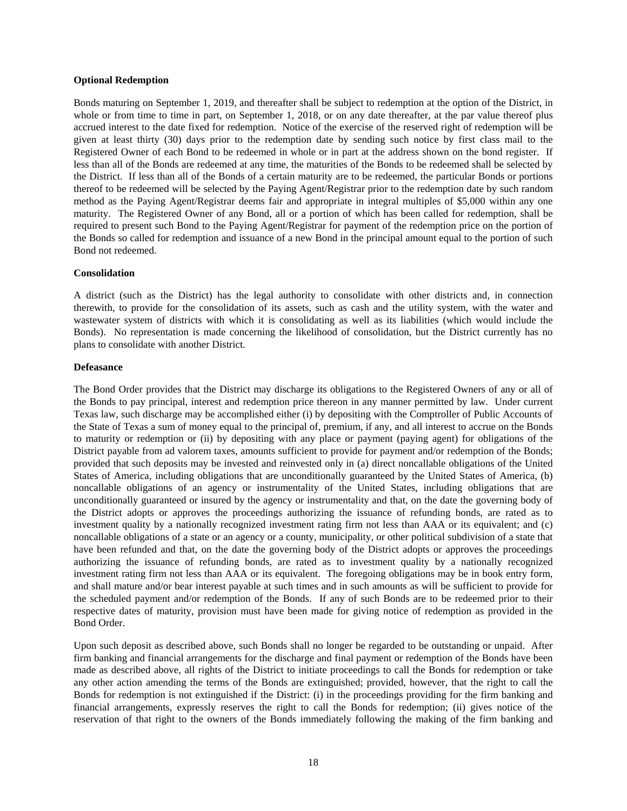### **Optional Redemption**

Bonds maturing on September 1, 2019, and thereafter shall be subject to redemption at the option of the District, in whole or from time to time in part, on September 1, 2018, or on any date thereafter, at the par value thereof plus accrued interest to the date fixed for redemption. Notice of the exercise of the reserved right of redemption will be given at least thirty (30) days prior to the redemption date by sending such notice by first class mail to the Registered Owner of each Bond to be redeemed in whole or in part at the address shown on the bond register. If less than all of the Bonds are redeemed at any time, the maturities of the Bonds to be redeemed shall be selected by the District. If less than all of the Bonds of a certain maturity are to be redeemed, the particular Bonds or portions thereof to be redeemed will be selected by the Paying Agent/Registrar prior to the redemption date by such random method as the Paying Agent/Registrar deems fair and appropriate in integral multiples of \$5,000 within any one maturity. The Registered Owner of any Bond, all or a portion of which has been called for redemption, shall be required to present such Bond to the Paying Agent/Registrar for payment of the redemption price on the portion of the Bonds so called for redemption and issuance of a new Bond in the principal amount equal to the portion of such Bond not redeemed.

#### **Consolidation**

A district (such as the District) has the legal authority to consolidate with other districts and, in connection therewith, to provide for the consolidation of its assets, such as cash and the utility system, with the water and wastewater system of districts with which it is consolidating as well as its liabilities (which would include the Bonds). No representation is made concerning the likelihood of consolidation, but the District currently has no plans to consolidate with another District.

#### **Defeasance**

The Bond Order provides that the District may discharge its obligations to the Registered Owners of any or all of the Bonds to pay principal, interest and redemption price thereon in any manner permitted by law. Under current Texas law, such discharge may be accomplished either (i) by depositing with the Comptroller of Public Accounts of the State of Texas a sum of money equal to the principal of, premium, if any, and all interest to accrue on the Bonds to maturity or redemption or (ii) by depositing with any place or payment (paying agent) for obligations of the District payable from ad valorem taxes, amounts sufficient to provide for payment and/or redemption of the Bonds; provided that such deposits may be invested and reinvested only in (a) direct noncallable obligations of the United States of America, including obligations that are unconditionally guaranteed by the United States of America, (b) noncallable obligations of an agency or instrumentality of the United States, including obligations that are unconditionally guaranteed or insured by the agency or instrumentality and that, on the date the governing body of the District adopts or approves the proceedings authorizing the issuance of refunding bonds, are rated as to investment quality by a nationally recognized investment rating firm not less than AAA or its equivalent; and (c) noncallable obligations of a state or an agency or a county, municipality, or other political subdivision of a state that have been refunded and that, on the date the governing body of the District adopts or approves the proceedings authorizing the issuance of refunding bonds, are rated as to investment quality by a nationally recognized investment rating firm not less than AAA or its equivalent. The foregoing obligations may be in book entry form, and shall mature and/or bear interest payable at such times and in such amounts as will be sufficient to provide for the scheduled payment and/or redemption of the Bonds. If any of such Bonds are to be redeemed prior to their respective dates of maturity, provision must have been made for giving notice of redemption as provided in the Bond Order.

Upon such deposit as described above, such Bonds shall no longer be regarded to be outstanding or unpaid. After firm banking and financial arrangements for the discharge and final payment or redemption of the Bonds have been made as described above, all rights of the District to initiate proceedings to call the Bonds for redemption or take any other action amending the terms of the Bonds are extinguished; provided, however, that the right to call the Bonds for redemption is not extinguished if the District: (i) in the proceedings providing for the firm banking and financial arrangements, expressly reserves the right to call the Bonds for redemption; (ii) gives notice of the reservation of that right to the owners of the Bonds immediately following the making of the firm banking and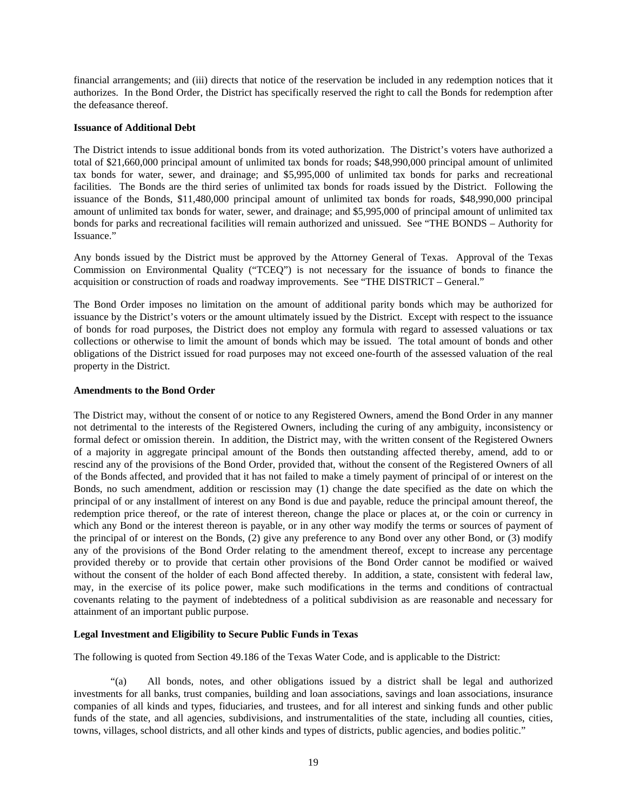financial arrangements; and (iii) directs that notice of the reservation be included in any redemption notices that it authorizes. In the Bond Order, the District has specifically reserved the right to call the Bonds for redemption after the defeasance thereof.

# **Issuance of Additional Debt**

The District intends to issue additional bonds from its voted authorization. The District's voters have authorized a total of \$21,660,000 principal amount of unlimited tax bonds for roads; \$48,990,000 principal amount of unlimited tax bonds for water, sewer, and drainage; and \$5,995,000 of unlimited tax bonds for parks and recreational facilities. The Bonds are the third series of unlimited tax bonds for roads issued by the District. Following the issuance of the Bonds, \$11,480,000 principal amount of unlimited tax bonds for roads, \$48,990,000 principal amount of unlimited tax bonds for water, sewer, and drainage; and \$5,995,000 of principal amount of unlimited tax bonds for parks and recreational facilities will remain authorized and unissued. See "THE BONDS – Authority for Issuance."

Any bonds issued by the District must be approved by the Attorney General of Texas. Approval of the Texas Commission on Environmental Quality ("TCEQ") is not necessary for the issuance of bonds to finance the acquisition or construction of roads and roadway improvements. See "THE DISTRICT – General."

The Bond Order imposes no limitation on the amount of additional parity bonds which may be authorized for issuance by the District's voters or the amount ultimately issued by the District. Except with respect to the issuance of bonds for road purposes, the District does not employ any formula with regard to assessed valuations or tax collections or otherwise to limit the amount of bonds which may be issued. The total amount of bonds and other obligations of the District issued for road purposes may not exceed one-fourth of the assessed valuation of the real property in the District.

# **Amendments to the Bond Order**

The District may, without the consent of or notice to any Registered Owners, amend the Bond Order in any manner not detrimental to the interests of the Registered Owners, including the curing of any ambiguity, inconsistency or formal defect or omission therein. In addition, the District may, with the written consent of the Registered Owners of a majority in aggregate principal amount of the Bonds then outstanding affected thereby, amend, add to or rescind any of the provisions of the Bond Order, provided that, without the consent of the Registered Owners of all of the Bonds affected, and provided that it has not failed to make a timely payment of principal of or interest on the Bonds, no such amendment, addition or rescission may (1) change the date specified as the date on which the principal of or any installment of interest on any Bond is due and payable, reduce the principal amount thereof, the redemption price thereof, or the rate of interest thereon, change the place or places at, or the coin or currency in which any Bond or the interest thereon is payable, or in any other way modify the terms or sources of payment of the principal of or interest on the Bonds, (2) give any preference to any Bond over any other Bond, or (3) modify any of the provisions of the Bond Order relating to the amendment thereof, except to increase any percentage provided thereby or to provide that certain other provisions of the Bond Order cannot be modified or waived without the consent of the holder of each Bond affected thereby. In addition, a state, consistent with federal law, may, in the exercise of its police power, make such modifications in the terms and conditions of contractual covenants relating to the payment of indebtedness of a political subdivision as are reasonable and necessary for attainment of an important public purpose.

# **Legal Investment and Eligibility to Secure Public Funds in Texas**

The following is quoted from Section 49.186 of the Texas Water Code, and is applicable to the District:

 "(a) All bonds, notes, and other obligations issued by a district shall be legal and authorized investments for all banks, trust companies, building and loan associations, savings and loan associations, insurance companies of all kinds and types, fiduciaries, and trustees, and for all interest and sinking funds and other public funds of the state, and all agencies, subdivisions, and instrumentalities of the state, including all counties, cities, towns, villages, school districts, and all other kinds and types of districts, public agencies, and bodies politic."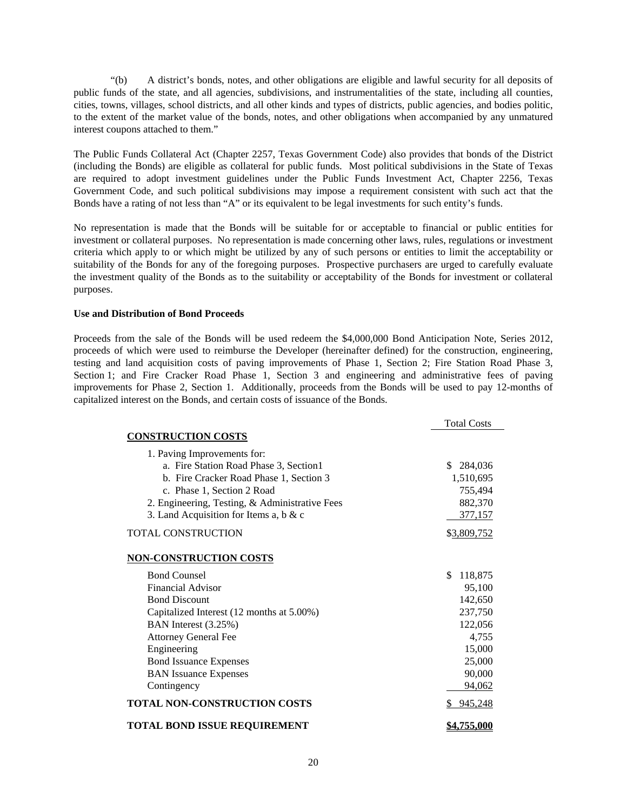"(b) A district's bonds, notes, and other obligations are eligible and lawful security for all deposits of public funds of the state, and all agencies, subdivisions, and instrumentalities of the state, including all counties, cities, towns, villages, school districts, and all other kinds and types of districts, public agencies, and bodies politic, to the extent of the market value of the bonds, notes, and other obligations when accompanied by any unmatured interest coupons attached to them."

The Public Funds Collateral Act (Chapter 2257, Texas Government Code) also provides that bonds of the District (including the Bonds) are eligible as collateral for public funds. Most political subdivisions in the State of Texas are required to adopt investment guidelines under the Public Funds Investment Act, Chapter 2256, Texas Government Code, and such political subdivisions may impose a requirement consistent with such act that the Bonds have a rating of not less than "A" or its equivalent to be legal investments for such entity's funds.

No representation is made that the Bonds will be suitable for or acceptable to financial or public entities for investment or collateral purposes. No representation is made concerning other laws, rules, regulations or investment criteria which apply to or which might be utilized by any of such persons or entities to limit the acceptability or suitability of the Bonds for any of the foregoing purposes. Prospective purchasers are urged to carefully evaluate the investment quality of the Bonds as to the suitability or acceptability of the Bonds for investment or collateral purposes.

# **Use and Distribution of Bond Proceeds**

Proceeds from the sale of the Bonds will be used redeem the \$4,000,000 Bond Anticipation Note, Series 2012, proceeds of which were used to reimburse the Developer (hereinafter defined) for the construction, engineering, testing and land acquisition costs of paving improvements of Phase 1, Section 2; Fire Station Road Phase 3, Section 1; and Fire Cracker Road Phase 1, Section 3 and engineering and administrative fees of paving improvements for Phase 2, Section 1. Additionally, proceeds from the Bonds will be used to pay 12-months of capitalized interest on the Bonds, and certain costs of issuance of the Bonds.

|                                                | <b>Total Costs</b> |
|------------------------------------------------|--------------------|
| <b>CONSTRUCTION COSTS</b>                      |                    |
| 1. Paving Improvements for:                    |                    |
| a. Fire Station Road Phase 3, Section1         | \$<br>284,036      |
| b. Fire Cracker Road Phase 1, Section 3        | 1,510,695          |
| c. Phase 1, Section 2 Road                     | 755,494            |
| 2. Engineering, Testing, & Administrative Fees | 882,370            |
| 3. Land Acquisition for Items a, b $& c$       | 377,157            |
| <b>TOTAL CONSTRUCTION</b>                      | \$3,809,752        |
| <b>NON-CONSTRUCTION COSTS</b>                  |                    |
| <b>Bond Counsel</b>                            | \$<br>118,875      |
| <b>Financial Advisor</b>                       | 95,100             |
| <b>Bond Discount</b>                           | 142,650            |
| Capitalized Interest (12 months at 5.00%)      | 237,750            |
| BAN Interest (3.25%)                           | 122,056            |
| <b>Attorney General Fee</b>                    | 4,755              |
| Engineering                                    | 15,000             |
| <b>Bond Issuance Expenses</b>                  | 25,000             |
| <b>BAN</b> Issuance Expenses                   | 90,000             |
| Contingency                                    | 94,062             |
| TOTAL NON-CONSTRUCTION COSTS                   | 945,248            |
| TOTAL BOND ISSUE REQUIREMENT                   | \$4,755,000        |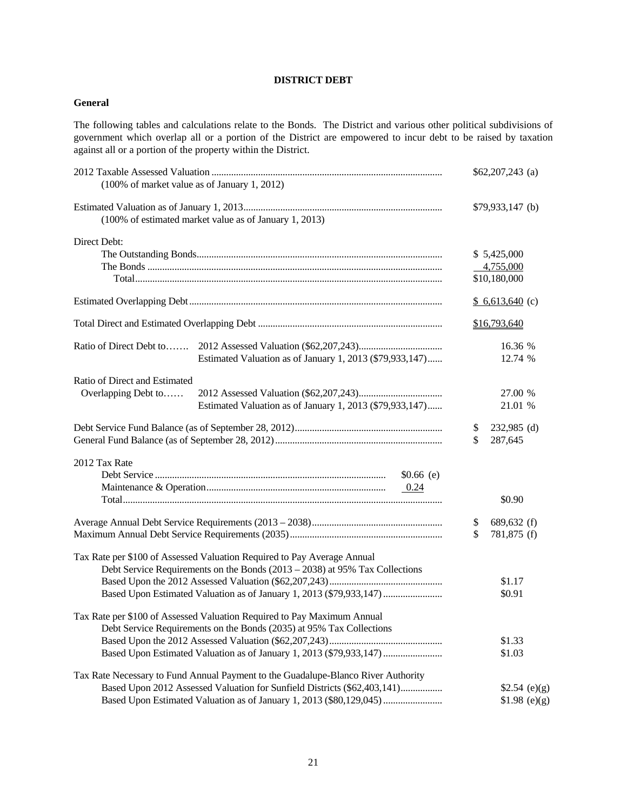# **DISTRICT DEBT**

# **General**

The following tables and calculations relate to the Bonds. The District and various other political subdivisions of government which overlap all or a portion of the District are empowered to incur debt to be raised by taxation against all or a portion of the property within the District.

| (100% of market value as of January 1, 2012)                                                                                                                                                                                         |          | $$62,207,243$ (a)                        |
|--------------------------------------------------------------------------------------------------------------------------------------------------------------------------------------------------------------------------------------|----------|------------------------------------------|
| (100% of estimated market value as of January 1, 2013)                                                                                                                                                                               |          | $$79,933,147$ (b)                        |
| Direct Debt:                                                                                                                                                                                                                         |          | \$5,425,000<br>4,755,000<br>\$10,180,000 |
|                                                                                                                                                                                                                                      |          | $$6,613,640$ (c)                         |
|                                                                                                                                                                                                                                      |          | \$16,793,640                             |
| Ratio of Direct Debt to<br>Estimated Valuation as of January 1, 2013 (\$79,933,147)                                                                                                                                                  |          | 16.36 %<br>12.74 %                       |
| Ratio of Direct and Estimated<br>Overlapping Debt to<br>Estimated Valuation as of January 1, 2013 (\$79,933,147)                                                                                                                     |          | 27.00 %<br>21.01 %                       |
|                                                                                                                                                                                                                                      | \$<br>\$ | 232,985 (d)<br>287,645                   |
| 2012 Tax Rate<br>$$0.66$ (e)<br>0.24                                                                                                                                                                                                 |          | \$0.90                                   |
|                                                                                                                                                                                                                                      | \$       | 689,632 (f)<br>781,875 (f)               |
| Tax Rate per \$100 of Assessed Valuation Required to Pay Average Annual<br>Debt Service Requirements on the Bonds $(2013 – 2038)$ at 95% Tax Collections<br>Based Upon Estimated Valuation as of January 1, 2013 (\$79,933,147)      |          | \$1.17<br>\$0.91                         |
| Tax Rate per \$100 of Assessed Valuation Required to Pay Maximum Annual<br>Debt Service Requirements on the Bonds (2035) at 95% Tax Collections<br>Based Upon Estimated Valuation as of January 1, 2013 (\$79,933,147)               |          | \$1.33<br>\$1.03                         |
| Tax Rate Necessary to Fund Annual Payment to the Guadalupe-Blanco River Authority<br>Based Upon 2012 Assessed Valuation for Sunfield Districts (\$62,403,141)<br>Based Upon Estimated Valuation as of January 1, 2013 (\$80,129,045) |          | \$2.54 (e)(g)<br>\$1.98 (e)(g)           |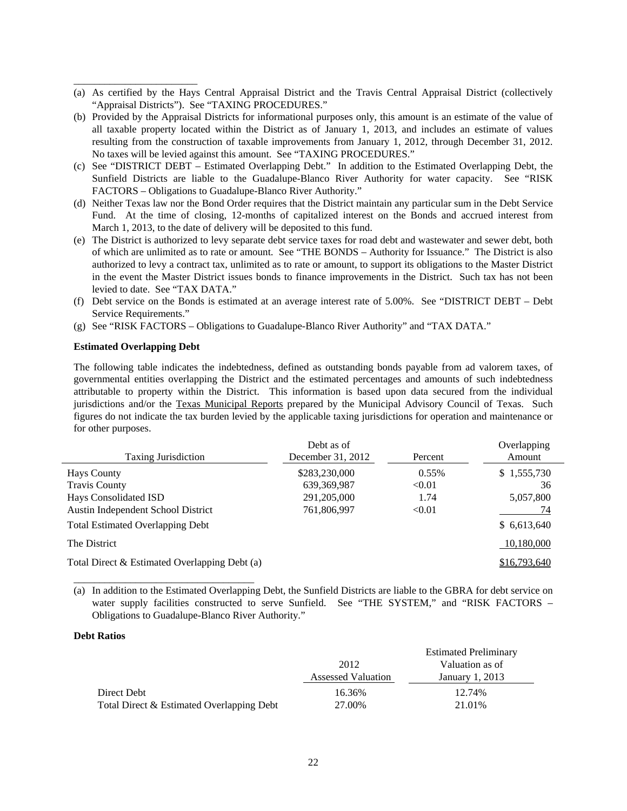- (a) As certified by the Hays Central Appraisal District and the Travis Central Appraisal District (collectively "Appraisal Districts"). See "TAXING PROCEDURES."
- (b) Provided by the Appraisal Districts for informational purposes only, this amount is an estimate of the value of all taxable property located within the District as of January 1, 2013, and includes an estimate of values resulting from the construction of taxable improvements from January 1, 2012, through December 31, 2012. No taxes will be levied against this amount. See "TAXING PROCEDURES."
- (c) See "DISTRICT DEBT Estimated Overlapping Debt." In addition to the Estimated Overlapping Debt, the Sunfield Districts are liable to the Guadalupe-Blanco River Authority for water capacity. See "RISK FACTORS – Obligations to Guadalupe-Blanco River Authority."
- (d) Neither Texas law nor the Bond Order requires that the District maintain any particular sum in the Debt Service Fund. At the time of closing, 12-months of capitalized interest on the Bonds and accrued interest from March 1, 2013, to the date of delivery will be deposited to this fund.
- (e) The District is authorized to levy separate debt service taxes for road debt and wastewater and sewer debt, both of which are unlimited as to rate or amount. See "THE BONDS – Authority for Issuance." The District is also authorized to levy a contract tax, unlimited as to rate or amount, to support its obligations to the Master District in the event the Master District issues bonds to finance improvements in the District. Such tax has not been levied to date. See "TAX DATA."
- (f) Debt service on the Bonds is estimated at an average interest rate of 5.00%. See "DISTRICT DEBT Debt Service Requirements."
- (g) See "RISK FACTORS Obligations to Guadalupe-Blanco River Authority" and "TAX DATA."

# **Estimated Overlapping Debt**

\_\_\_\_\_\_\_\_\_\_\_\_\_\_\_\_\_\_\_\_\_\_\_\_\_\_\_\_\_\_\_\_\_\_\_

\_\_\_\_\_\_\_\_\_\_\_\_\_\_\_\_\_\_\_\_\_\_\_\_

The following table indicates the indebtedness, defined as outstanding bonds payable from ad valorem taxes, of governmental entities overlapping the District and the estimated percentages and amounts of such indebtedness attributable to property within the District. This information is based upon data secured from the individual jurisdictions and/or the Texas Municipal Reports prepared by the Municipal Advisory Council of Texas. Such figures do not indicate the tax burden levied by the applicable taxing jurisdictions for operation and maintenance or for other purposes.

| <b>Taxing Jurisdiction</b>                    | Debt as of<br>December 31, 2012 | Percent | Overlapping<br>Amount |
|-----------------------------------------------|---------------------------------|---------|-----------------------|
| Hays County                                   | \$283,230,000                   | 0.55%   | \$1,555,730           |
| <b>Travis County</b>                          | 639, 369, 987                   | < 0.01  | 36                    |
| Hays Consolidated ISD                         | 291,205,000                     | 1.74    | 5,057,800             |
| Austin Independent School District            | 761,806,997                     | < 0.01  | 74                    |
| <b>Total Estimated Overlapping Debt</b>       |                                 |         | \$6,613,640           |
| The District                                  |                                 |         | 10,180,000            |
| Total Direct & Estimated Overlapping Debt (a) |                                 |         | \$16,793,640          |

<sup>(</sup>a) In addition to the Estimated Overlapping Debt, the Sunfield Districts are liable to the GBRA for debt service on water supply facilities constructed to serve Sunfield. See "THE SYSTEM," and "RISK FACTORS -Obligations to Guadalupe-Blanco River Authority."

# **Debt Ratios**

|                                           |                           | <b>Estimated Preliminary</b> |
|-------------------------------------------|---------------------------|------------------------------|
|                                           | 2012                      | Valuation as of              |
|                                           | <b>Assessed Valuation</b> | January 1, 2013              |
| Direct Debt                               | 16.36%                    | 12.74%                       |
| Total Direct & Estimated Overlapping Debt | 27.00%                    | 21.01%                       |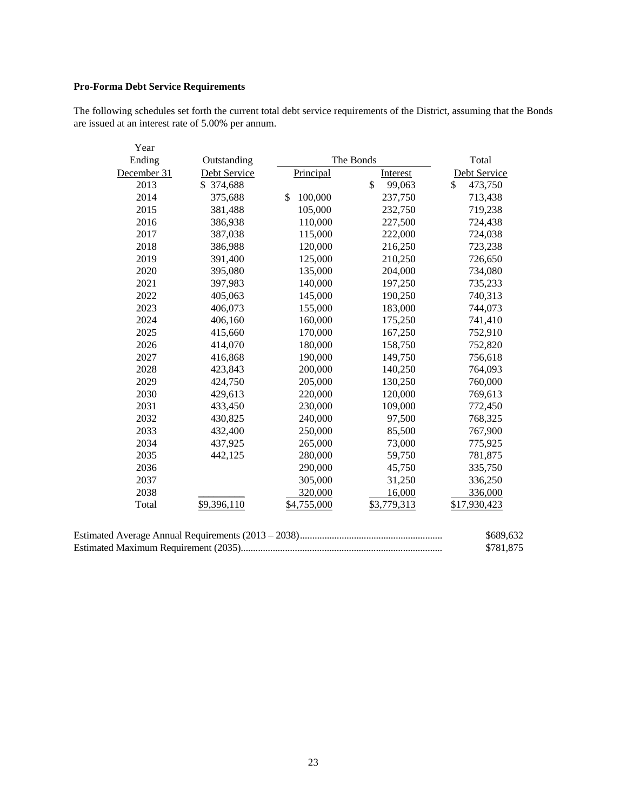# **Pro-Forma Debt Service Requirements**

The following schedules set forth the current total debt service requirements of the District, assuming that the Bonds are issued at an interest rate of 5.00% per annum.

| Year        |              |               |              |               |
|-------------|--------------|---------------|--------------|---------------|
| Ending      | Outstanding  |               | The Bonds    | Total         |
| December 31 | Debt Service | Principal     | Interest     | Debt Service  |
| 2013        | \$ 374,688   |               | \$<br>99,063 | \$<br>473,750 |
| 2014        | 375,688      | 100,000<br>\$ | 237,750      | 713,438       |
| 2015        | 381,488      | 105,000       | 232,750      | 719,238       |
| 2016        | 386,938      | 110,000       | 227,500      | 724,438       |
| 2017        | 387,038      | 115,000       | 222,000      | 724,038       |
| 2018        | 386,988      | 120,000       | 216,250      | 723,238       |
| 2019        | 391,400      | 125,000       | 210,250      | 726,650       |
| 2020        | 395,080      | 135,000       | 204,000      | 734,080       |
| 2021        | 397,983      | 140,000       | 197,250      | 735,233       |
| 2022        | 405,063      | 145,000       | 190,250      | 740,313       |
| 2023        | 406,073      | 155,000       | 183,000      | 744,073       |
| 2024        | 406,160      | 160,000       | 175,250      | 741,410       |
| 2025        | 415,660      | 170,000       | 167,250      | 752,910       |
| 2026        | 414,070      | 180,000       | 158,750      | 752,820       |
| 2027        | 416,868      | 190,000       | 149,750      | 756,618       |
| 2028        | 423,843      | 200,000       | 140,250      | 764,093       |
| 2029        | 424,750      | 205,000       | 130,250      | 760,000       |
| 2030        | 429,613      | 220,000       | 120,000      | 769,613       |
| 2031        | 433,450      | 230,000       | 109,000      | 772,450       |
| 2032        | 430,825      | 240,000       | 97,500       | 768,325       |
| 2033        | 432,400      | 250,000       | 85,500       | 767,900       |
| 2034        | 437,925      | 265,000       | 73,000       | 775,925       |
| 2035        | 442,125      | 280,000       | 59,750       | 781,875       |
| 2036        |              | 290,000       | 45,750       | 335,750       |
| 2037        |              | 305,000       | 31,250       | 336,250       |
| 2038        |              | 320,000       | 16,000       | 336,000       |
| Total       | \$9,396,110  | \$4,755,000   | \$3,779,313  | \$17,930,423  |

| \$689,632 |
|-----------|
| \$781.875 |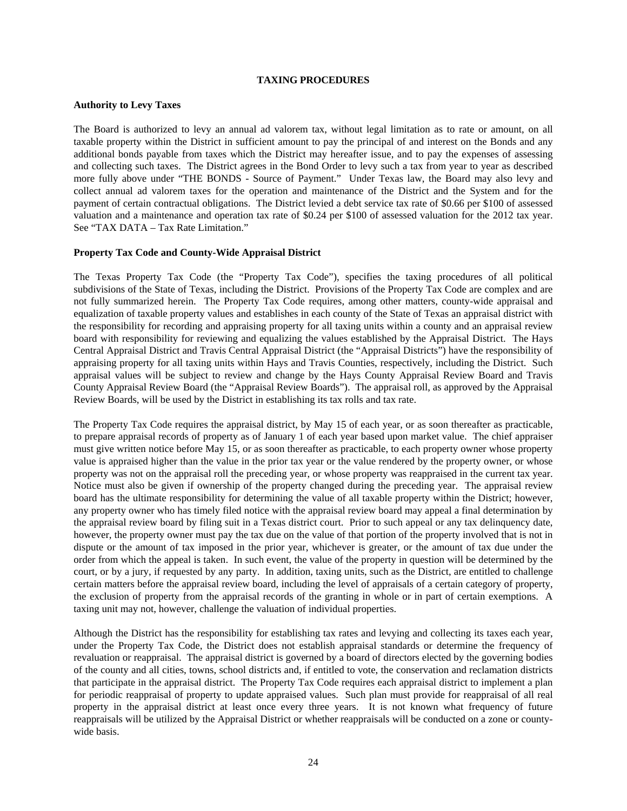## **TAXING PROCEDURES**

## **Authority to Levy Taxes**

The Board is authorized to levy an annual ad valorem tax, without legal limitation as to rate or amount, on all taxable property within the District in sufficient amount to pay the principal of and interest on the Bonds and any additional bonds payable from taxes which the District may hereafter issue, and to pay the expenses of assessing and collecting such taxes. The District agrees in the Bond Order to levy such a tax from year to year as described more fully above under "THE BONDS - Source of Payment." Under Texas law, the Board may also levy and collect annual ad valorem taxes for the operation and maintenance of the District and the System and for the payment of certain contractual obligations. The District levied a debt service tax rate of \$0.66 per \$100 of assessed valuation and a maintenance and operation tax rate of \$0.24 per \$100 of assessed valuation for the 2012 tax year. See "TAX DATA – Tax Rate Limitation."

# **Property Tax Code and County-Wide Appraisal District**

The Texas Property Tax Code (the "Property Tax Code"), specifies the taxing procedures of all political subdivisions of the State of Texas, including the District. Provisions of the Property Tax Code are complex and are not fully summarized herein. The Property Tax Code requires, among other matters, county-wide appraisal and equalization of taxable property values and establishes in each county of the State of Texas an appraisal district with the responsibility for recording and appraising property for all taxing units within a county and an appraisal review board with responsibility for reviewing and equalizing the values established by the Appraisal District. The Hays Central Appraisal District and Travis Central Appraisal District (the "Appraisal Districts") have the responsibility of appraising property for all taxing units within Hays and Travis Counties, respectively, including the District. Such appraisal values will be subject to review and change by the Hays County Appraisal Review Board and Travis County Appraisal Review Board (the "Appraisal Review Boards"). The appraisal roll, as approved by the Appraisal Review Boards, will be used by the District in establishing its tax rolls and tax rate.

The Property Tax Code requires the appraisal district, by May 15 of each year, or as soon thereafter as practicable, to prepare appraisal records of property as of January 1 of each year based upon market value. The chief appraiser must give written notice before May 15, or as soon thereafter as practicable, to each property owner whose property value is appraised higher than the value in the prior tax year or the value rendered by the property owner, or whose property was not on the appraisal roll the preceding year, or whose property was reappraised in the current tax year. Notice must also be given if ownership of the property changed during the preceding year. The appraisal review board has the ultimate responsibility for determining the value of all taxable property within the District; however, any property owner who has timely filed notice with the appraisal review board may appeal a final determination by the appraisal review board by filing suit in a Texas district court. Prior to such appeal or any tax delinquency date, however, the property owner must pay the tax due on the value of that portion of the property involved that is not in dispute or the amount of tax imposed in the prior year, whichever is greater, or the amount of tax due under the order from which the appeal is taken. In such event, the value of the property in question will be determined by the court, or by a jury, if requested by any party. In addition, taxing units, such as the District, are entitled to challenge certain matters before the appraisal review board, including the level of appraisals of a certain category of property, the exclusion of property from the appraisal records of the granting in whole or in part of certain exemptions. A taxing unit may not, however, challenge the valuation of individual properties.

Although the District has the responsibility for establishing tax rates and levying and collecting its taxes each year, under the Property Tax Code, the District does not establish appraisal standards or determine the frequency of revaluation or reappraisal. The appraisal district is governed by a board of directors elected by the governing bodies of the county and all cities, towns, school districts and, if entitled to vote, the conservation and reclamation districts that participate in the appraisal district. The Property Tax Code requires each appraisal district to implement a plan for periodic reappraisal of property to update appraised values. Such plan must provide for reappraisal of all real property in the appraisal district at least once every three years. It is not known what frequency of future reappraisals will be utilized by the Appraisal District or whether reappraisals will be conducted on a zone or countywide basis.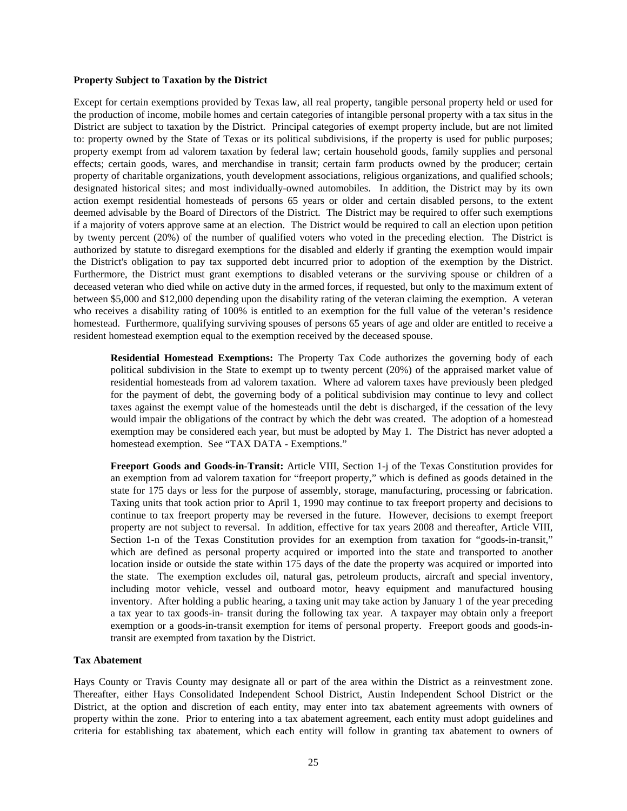#### **Property Subject to Taxation by the District**

Except for certain exemptions provided by Texas law, all real property, tangible personal property held or used for the production of income, mobile homes and certain categories of intangible personal property with a tax situs in the District are subject to taxation by the District. Principal categories of exempt property include, but are not limited to: property owned by the State of Texas or its political subdivisions, if the property is used for public purposes; property exempt from ad valorem taxation by federal law; certain household goods, family supplies and personal effects; certain goods, wares, and merchandise in transit; certain farm products owned by the producer; certain property of charitable organizations, youth development associations, religious organizations, and qualified schools; designated historical sites; and most individually-owned automobiles. In addition, the District may by its own action exempt residential homesteads of persons 65 years or older and certain disabled persons, to the extent deemed advisable by the Board of Directors of the District. The District may be required to offer such exemptions if a majority of voters approve same at an election. The District would be required to call an election upon petition by twenty percent (20%) of the number of qualified voters who voted in the preceding election. The District is authorized by statute to disregard exemptions for the disabled and elderly if granting the exemption would impair the District's obligation to pay tax supported debt incurred prior to adoption of the exemption by the District. Furthermore, the District must grant exemptions to disabled veterans or the surviving spouse or children of a deceased veteran who died while on active duty in the armed forces, if requested, but only to the maximum extent of between \$5,000 and \$12,000 depending upon the disability rating of the veteran claiming the exemption. A veteran who receives a disability rating of 100% is entitled to an exemption for the full value of the veteran's residence homestead. Furthermore, qualifying surviving spouses of persons 65 years of age and older are entitled to receive a resident homestead exemption equal to the exemption received by the deceased spouse.

 **Residential Homestead Exemptions:** The Property Tax Code authorizes the governing body of each political subdivision in the State to exempt up to twenty percent (20%) of the appraised market value of residential homesteads from ad valorem taxation. Where ad valorem taxes have previously been pledged for the payment of debt, the governing body of a political subdivision may continue to levy and collect taxes against the exempt value of the homesteads until the debt is discharged, if the cessation of the levy would impair the obligations of the contract by which the debt was created. The adoption of a homestead exemption may be considered each year, but must be adopted by May 1. The District has never adopted a homestead exemption. See "TAX DATA - Exemptions."

 **Freeport Goods and Goods-in-Transit:** Article VIII, Section 1-j of the Texas Constitution provides for an exemption from ad valorem taxation for "freeport property," which is defined as goods detained in the state for 175 days or less for the purpose of assembly, storage, manufacturing, processing or fabrication. Taxing units that took action prior to April 1, 1990 may continue to tax freeport property and decisions to continue to tax freeport property may be reversed in the future. However, decisions to exempt freeport property are not subject to reversal. In addition, effective for tax years 2008 and thereafter, Article VIII, Section 1-n of the Texas Constitution provides for an exemption from taxation for "goods-in-transit," which are defined as personal property acquired or imported into the state and transported to another location inside or outside the state within 175 days of the date the property was acquired or imported into the state. The exemption excludes oil, natural gas, petroleum products, aircraft and special inventory, including motor vehicle, vessel and outboard motor, heavy equipment and manufactured housing inventory. After holding a public hearing, a taxing unit may take action by January 1 of the year preceding a tax year to tax goods-in- transit during the following tax year. A taxpayer may obtain only a freeport exemption or a goods-in-transit exemption for items of personal property. Freeport goods and goods-intransit are exempted from taxation by the District.

#### **Tax Abatement**

Hays County or Travis County may designate all or part of the area within the District as a reinvestment zone. Thereafter, either Hays Consolidated Independent School District, Austin Independent School District or the District, at the option and discretion of each entity, may enter into tax abatement agreements with owners of property within the zone. Prior to entering into a tax abatement agreement, each entity must adopt guidelines and criteria for establishing tax abatement, which each entity will follow in granting tax abatement to owners of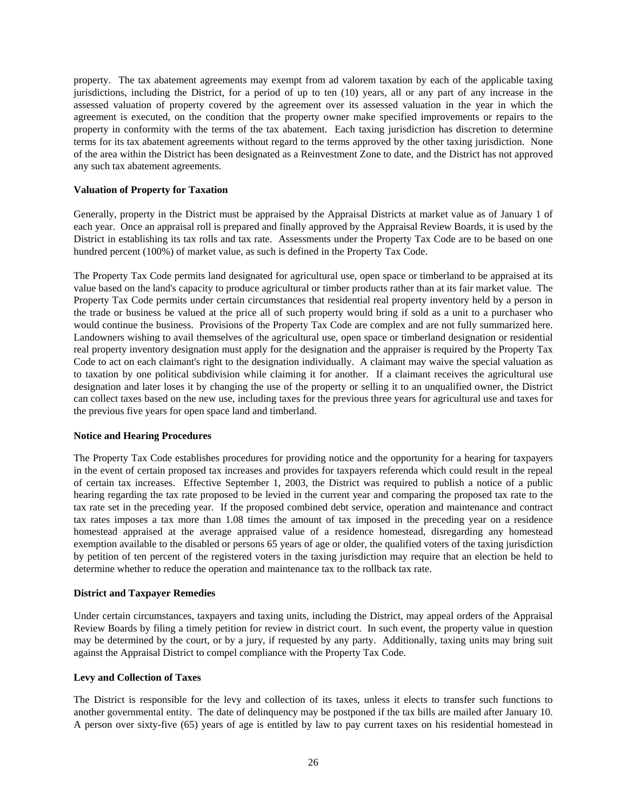property. The tax abatement agreements may exempt from ad valorem taxation by each of the applicable taxing jurisdictions, including the District, for a period of up to ten (10) years, all or any part of any increase in the assessed valuation of property covered by the agreement over its assessed valuation in the year in which the agreement is executed, on the condition that the property owner make specified improvements or repairs to the property in conformity with the terms of the tax abatement. Each taxing jurisdiction has discretion to determine terms for its tax abatement agreements without regard to the terms approved by the other taxing jurisdiction. None of the area within the District has been designated as a Reinvestment Zone to date, and the District has not approved any such tax abatement agreements.

# **Valuation of Property for Taxation**

Generally, property in the District must be appraised by the Appraisal Districts at market value as of January 1 of each year. Once an appraisal roll is prepared and finally approved by the Appraisal Review Boards, it is used by the District in establishing its tax rolls and tax rate. Assessments under the Property Tax Code are to be based on one hundred percent (100%) of market value, as such is defined in the Property Tax Code.

The Property Tax Code permits land designated for agricultural use, open space or timberland to be appraised at its value based on the land's capacity to produce agricultural or timber products rather than at its fair market value. The Property Tax Code permits under certain circumstances that residential real property inventory held by a person in the trade or business be valued at the price all of such property would bring if sold as a unit to a purchaser who would continue the business. Provisions of the Property Tax Code are complex and are not fully summarized here. Landowners wishing to avail themselves of the agricultural use, open space or timberland designation or residential real property inventory designation must apply for the designation and the appraiser is required by the Property Tax Code to act on each claimant's right to the designation individually. A claimant may waive the special valuation as to taxation by one political subdivision while claiming it for another. If a claimant receives the agricultural use designation and later loses it by changing the use of the property or selling it to an unqualified owner, the District can collect taxes based on the new use, including taxes for the previous three years for agricultural use and taxes for the previous five years for open space land and timberland.

# **Notice and Hearing Procedures**

The Property Tax Code establishes procedures for providing notice and the opportunity for a hearing for taxpayers in the event of certain proposed tax increases and provides for taxpayers referenda which could result in the repeal of certain tax increases. Effective September 1, 2003, the District was required to publish a notice of a public hearing regarding the tax rate proposed to be levied in the current year and comparing the proposed tax rate to the tax rate set in the preceding year. If the proposed combined debt service, operation and maintenance and contract tax rates imposes a tax more than 1.08 times the amount of tax imposed in the preceding year on a residence homestead appraised at the average appraised value of a residence homestead, disregarding any homestead exemption available to the disabled or persons 65 years of age or older, the qualified voters of the taxing jurisdiction by petition of ten percent of the registered voters in the taxing jurisdiction may require that an election be held to determine whether to reduce the operation and maintenance tax to the rollback tax rate.

# **District and Taxpayer Remedies**

Under certain circumstances, taxpayers and taxing units, including the District, may appeal orders of the Appraisal Review Boards by filing a timely petition for review in district court. In such event, the property value in question may be determined by the court, or by a jury, if requested by any party. Additionally, taxing units may bring suit against the Appraisal District to compel compliance with the Property Tax Code.

# **Levy and Collection of Taxes**

The District is responsible for the levy and collection of its taxes, unless it elects to transfer such functions to another governmental entity. The date of delinquency may be postponed if the tax bills are mailed after January 10. A person over sixty-five (65) years of age is entitled by law to pay current taxes on his residential homestead in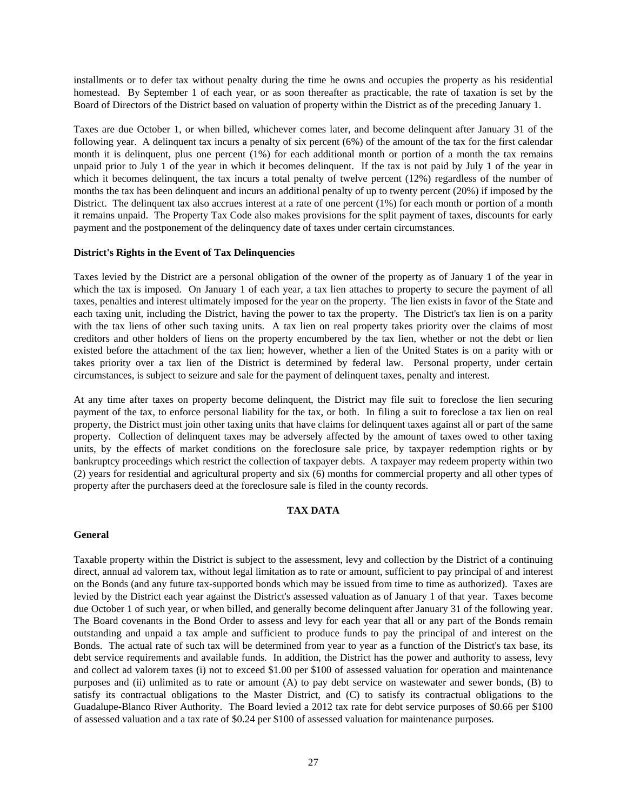installments or to defer tax without penalty during the time he owns and occupies the property as his residential homestead. By September 1 of each year, or as soon thereafter as practicable, the rate of taxation is set by the Board of Directors of the District based on valuation of property within the District as of the preceding January 1.

Taxes are due October 1, or when billed, whichever comes later, and become delinquent after January 31 of the following year. A delinquent tax incurs a penalty of six percent (6%) of the amount of the tax for the first calendar month it is delinquent, plus one percent (1%) for each additional month or portion of a month the tax remains unpaid prior to July 1 of the year in which it becomes delinquent. If the tax is not paid by July 1 of the year in which it becomes delinquent, the tax incurs a total penalty of twelve percent (12%) regardless of the number of months the tax has been delinquent and incurs an additional penalty of up to twenty percent (20%) if imposed by the District. The delinquent tax also accrues interest at a rate of one percent (1%) for each month or portion of a month it remains unpaid. The Property Tax Code also makes provisions for the split payment of taxes, discounts for early payment and the postponement of the delinquency date of taxes under certain circumstances.

## **District's Rights in the Event of Tax Delinquencies**

Taxes levied by the District are a personal obligation of the owner of the property as of January 1 of the year in which the tax is imposed. On January 1 of each year, a tax lien attaches to property to secure the payment of all taxes, penalties and interest ultimately imposed for the year on the property. The lien exists in favor of the State and each taxing unit, including the District, having the power to tax the property. The District's tax lien is on a parity with the tax liens of other such taxing units. A tax lien on real property takes priority over the claims of most creditors and other holders of liens on the property encumbered by the tax lien, whether or not the debt or lien existed before the attachment of the tax lien; however, whether a lien of the United States is on a parity with or takes priority over a tax lien of the District is determined by federal law. Personal property, under certain circumstances, is subject to seizure and sale for the payment of delinquent taxes, penalty and interest.

At any time after taxes on property become delinquent, the District may file suit to foreclose the lien securing payment of the tax, to enforce personal liability for the tax, or both. In filing a suit to foreclose a tax lien on real property, the District must join other taxing units that have claims for delinquent taxes against all or part of the same property. Collection of delinquent taxes may be adversely affected by the amount of taxes owed to other taxing units, by the effects of market conditions on the foreclosure sale price, by taxpayer redemption rights or by bankruptcy proceedings which restrict the collection of taxpayer debts. A taxpayer may redeem property within two (2) years for residential and agricultural property and six (6) months for commercial property and all other types of property after the purchasers deed at the foreclosure sale is filed in the county records.

#### **TAX DATA**

#### **General**

Taxable property within the District is subject to the assessment, levy and collection by the District of a continuing direct, annual ad valorem tax, without legal limitation as to rate or amount, sufficient to pay principal of and interest on the Bonds (and any future tax-supported bonds which may be issued from time to time as authorized). Taxes are levied by the District each year against the District's assessed valuation as of January 1 of that year. Taxes become due October 1 of such year, or when billed, and generally become delinquent after January 31 of the following year. The Board covenants in the Bond Order to assess and levy for each year that all or any part of the Bonds remain outstanding and unpaid a tax ample and sufficient to produce funds to pay the principal of and interest on the Bonds. The actual rate of such tax will be determined from year to year as a function of the District's tax base, its debt service requirements and available funds. In addition, the District has the power and authority to assess, levy and collect ad valorem taxes (i) not to exceed \$1.00 per \$100 of assessed valuation for operation and maintenance purposes and (ii) unlimited as to rate or amount (A) to pay debt service on wastewater and sewer bonds, (B) to satisfy its contractual obligations to the Master District, and (C) to satisfy its contractual obligations to the Guadalupe-Blanco River Authority. The Board levied a 2012 tax rate for debt service purposes of \$0.66 per \$100 of assessed valuation and a tax rate of \$0.24 per \$100 of assessed valuation for maintenance purposes.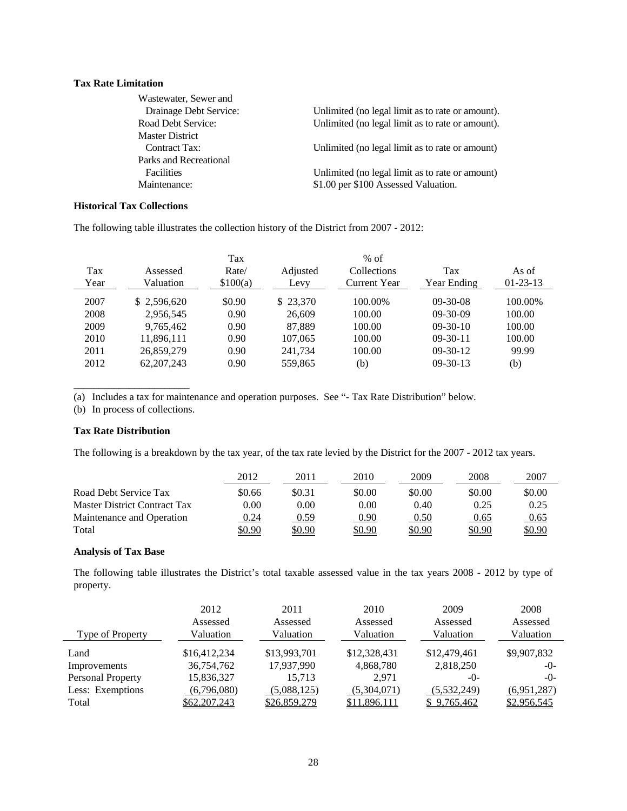# **Tax Rate Limitation**

| Wastewater, Sewer and  |                                                  |
|------------------------|--------------------------------------------------|
| Drainage Debt Service: | Unlimited (no legal limit as to rate or amount). |
| Road Debt Service:     | Unlimited (no legal limit as to rate or amount). |
| <b>Master District</b> |                                                  |
| Contract Tax:          | Unlimited (no legal limit as to rate or amount)  |
| Parks and Recreational |                                                  |
| Facilities             | Unlimited (no legal limit as to rate or amount)  |
| Maintenance:           | \$1.00 per \$100 Assessed Valuation.             |
|                        |                                                  |

# **Historical Tax Collections**

The following table illustrates the collection history of the District from 2007 - 2012:

|      |              | Tax      |          | $%$ of       |                |                |
|------|--------------|----------|----------|--------------|----------------|----------------|
| Tax  | Assessed     | Rate/    | Adjusted | Collections  | Tax            | As of          |
| Year | Valuation    | \$100(a) | Levy     | Current Year | Year Ending    | $01 - 23 - 13$ |
| 2007 | \$2,596,620  | \$0.90   | \$23,370 | 100.00%      | $09 - 30 - 08$ | 100.00%        |
| 2008 | 2,956,545    | 0.90     | 26,609   | 100.00       | $09-30-09$     | 100.00         |
| 2009 | 9,765,462    | 0.90     | 87.889   | 100.00       | $09-30-10$     | 100.00         |
| 2010 | 11,896,111   | 0.90     | 107.065  | 100.00       | $09-30-11$     | 100.00         |
| 2011 | 26,859,279   | 0.90     | 241,734  | 100.00       | $09-30-12$     | 99.99          |
| 2012 | 62, 207, 243 | 0.90     | 559,865  | (b)          | $09-30-13$     | (b)            |

(a) Includes a tax for maintenance and operation purposes. See "- Tax Rate Distribution" below.

(b) In process of collections.

\_\_\_\_\_\_\_\_\_\_\_\_\_\_\_\_\_\_\_\_\_\_\_

# **Tax Rate Distribution**

The following is a breakdown by the tax year, of the tax rate levied by the District for the 2007 - 2012 tax years.

|                              | 2012          | 2011          | 2010          | 2009   | 2008   | 2007   |
|------------------------------|---------------|---------------|---------------|--------|--------|--------|
| Road Debt Service Tax        | \$0.66        | \$0.31        | \$0.00        | \$0.00 | \$0.00 | \$0.00 |
| Master District Contract Tax | $0.00\,$      | 0.00          | 0.00          | 0.40   | 0.25   | 0.25   |
| Maintenance and Operation    | 0.24          | <u>0.59</u>   | 0.90          | 0.50   | 0.65   | 0.65   |
| Total                        | <u>\$0.90</u> | <u>\$0.90</u> | <u>\$0.90</u> | \$0.90 | \$0.90 | \$0.90 |

# **Analysis of Tax Base**

The following table illustrates the District's total taxable assessed value in the tax years 2008 - 2012 by type of property.

| Type of Property  | 2012<br>Assessed<br>Valuation | 2011<br>Assessed<br>Valuation | 2010<br>Assessed<br>Valuation | 2009<br>Assessed<br>Valuation | 2008<br>Assessed<br>Valuation |
|-------------------|-------------------------------|-------------------------------|-------------------------------|-------------------------------|-------------------------------|
| Land              | \$16,412,234                  | \$13,993,701                  | \$12,328,431                  | \$12,479,461                  | \$9,907,832                   |
| Improvements      | 36,754,762                    | 17,937,990                    | 4,868,780                     | 2,818,250                     | $-()$                         |
| Personal Property | 15,836,327                    | 15.713                        | 2.971                         | $-0-$                         | $-()$ -                       |
| Less: Exemptions  | (6,796,080)                   | (5,088,125)                   | (5,304,071)                   | (5,532,249)                   | (6,951,287)                   |
| Total             | \$62,207,243                  | \$26,859,279                  | \$11,896,111                  | \$9,765,462                   | \$2,956,545                   |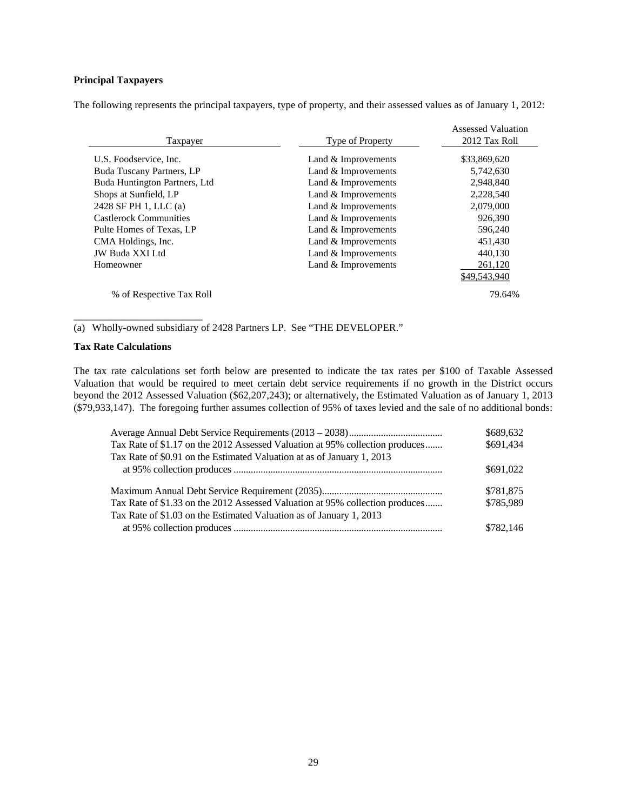# **Principal Taxpayers**

The following represents the principal taxpayers, type of property, and their assessed values as of January 1, 2012:

| Taxpayer                      | <b>Type of Property</b> | <b>Assessed Valuation</b><br>2012 Tax Roll |
|-------------------------------|-------------------------|--------------------------------------------|
|                               |                         |                                            |
| U.S. Foodservice, Inc.        | Land $&$ Improvements   | \$33,869,620                               |
| Buda Tuscany Partners, LP     | Land & Improvements     | 5,742,630                                  |
| Buda Huntington Partners, Ltd | Land & Improvements     | 2,948,840                                  |
| Shops at Sunfield, LP         | Land & Improvements     | 2,228,540                                  |
| 2428 SF PH 1, LLC (a)         | Land $&$ Improvements   | 2,079,000                                  |
| <b>Castlerock Communities</b> | Land & Improvements     | 926,390                                    |
| Pulte Homes of Texas, LP      | Land & Improvements     | 596,240                                    |
| CMA Holdings, Inc.            | Land & Improvements     | 451,430                                    |
| JW Buda XXI Ltd               | Land & Improvements     | 440,130                                    |
| Homeowner                     | Land & Improvements     | 261,120                                    |
|                               |                         | \$49,543,940                               |
| % of Respective Tax Roll      |                         | 79.64%                                     |

(a) Wholly-owned subsidiary of 2428 Partners LP. See "THE DEVELOPER."

# **Tax Rate Calculations**

\_\_\_\_\_\_\_\_\_\_\_\_\_\_\_\_\_\_\_\_\_\_\_\_\_

The tax rate calculations set forth below are presented to indicate the tax rates per \$100 of Taxable Assessed Valuation that would be required to meet certain debt service requirements if no growth in the District occurs beyond the 2012 Assessed Valuation (\$62,207,243); or alternatively, the Estimated Valuation as of January 1, 2013 (\$79,933,147). The foregoing further assumes collection of 95% of taxes levied and the sale of no additional bonds:

|                                                                              | \$689,632 |
|------------------------------------------------------------------------------|-----------|
| Tax Rate of \$1.17 on the 2012 Assessed Valuation at 95% collection produces | \$691,434 |
| Tax Rate of \$0.91 on the Estimated Valuation at as of January 1, 2013       |           |
|                                                                              | \$691,022 |
|                                                                              | \$781,875 |
| Tax Rate of \$1.33 on the 2012 Assessed Valuation at 95% collection produces | \$785,989 |
| Tax Rate of \$1.03 on the Estimated Valuation as of January 1, 2013          |           |
|                                                                              | \$782,146 |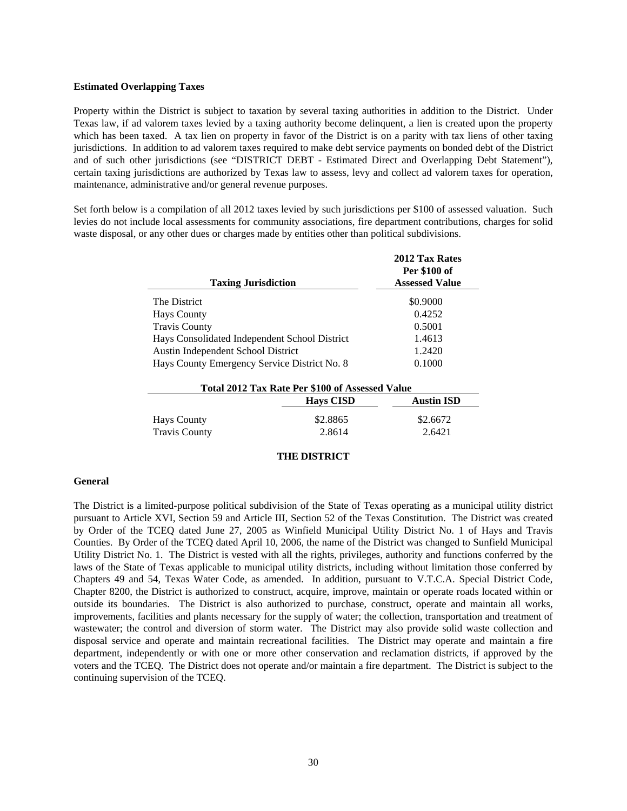#### **Estimated Overlapping Taxes**

Property within the District is subject to taxation by several taxing authorities in addition to the District. Under Texas law, if ad valorem taxes levied by a taxing authority become delinquent, a lien is created upon the property which has been taxed. A tax lien on property in favor of the District is on a parity with tax liens of other taxing jurisdictions. In addition to ad valorem taxes required to make debt service payments on bonded debt of the District and of such other jurisdictions (see "DISTRICT DEBT - Estimated Direct and Overlapping Debt Statement"), certain taxing jurisdictions are authorized by Texas law to assess, levy and collect ad valorem taxes for operation, maintenance, administrative and/or general revenue purposes.

Set forth below is a compilation of all 2012 taxes levied by such jurisdictions per \$100 of assessed valuation. Such levies do not include local assessments for community associations, fire department contributions, charges for solid waste disposal, or any other dues or charges made by entities other than political subdivisions.

|                                               | 2012 Tax Rates<br><b>Per \$100 of</b> |
|-----------------------------------------------|---------------------------------------|
| <b>Taxing Jurisdiction</b>                    | <b>Assessed Value</b>                 |
| The District                                  | \$0.9000                              |
| <b>Hays County</b>                            | 0.4252                                |
| <b>Travis County</b>                          | 0.5001                                |
| Hays Consolidated Independent School District | 1.4613                                |
| Austin Independent School District            | 1.2420                                |
| Hays County Emergency Service District No. 8  | 0.1000                                |

| Total 2012 Tax Rate Per \$100 of Assessed Value |                    |                    |  |
|-------------------------------------------------|--------------------|--------------------|--|
|                                                 | <b>Havs CISD</b>   | <b>Austin ISD</b>  |  |
| <b>Hays County</b><br><b>Travis County</b>      | \$2.8865<br>2.8614 | \$2.6672<br>2.6421 |  |

## **THE DISTRICT**

#### **General**

The District is a limited-purpose political subdivision of the State of Texas operating as a municipal utility district pursuant to Article XVI, Section 59 and Article III, Section 52 of the Texas Constitution. The District was created by Order of the TCEQ dated June 27, 2005 as Winfield Municipal Utility District No. 1 of Hays and Travis Counties. By Order of the TCEQ dated April 10, 2006, the name of the District was changed to Sunfield Municipal Utility District No. 1. The District is vested with all the rights, privileges, authority and functions conferred by the laws of the State of Texas applicable to municipal utility districts, including without limitation those conferred by Chapters 49 and 54, Texas Water Code, as amended. In addition, pursuant to V.T.C.A. Special District Code, Chapter 8200, the District is authorized to construct, acquire, improve, maintain or operate roads located within or outside its boundaries. The District is also authorized to purchase, construct, operate and maintain all works, improvements, facilities and plants necessary for the supply of water; the collection, transportation and treatment of wastewater; the control and diversion of storm water. The District may also provide solid waste collection and disposal service and operate and maintain recreational facilities. The District may operate and maintain a fire department, independently or with one or more other conservation and reclamation districts, if approved by the voters and the TCEQ. The District does not operate and/or maintain a fire department. The District is subject to the continuing supervision of the TCEQ.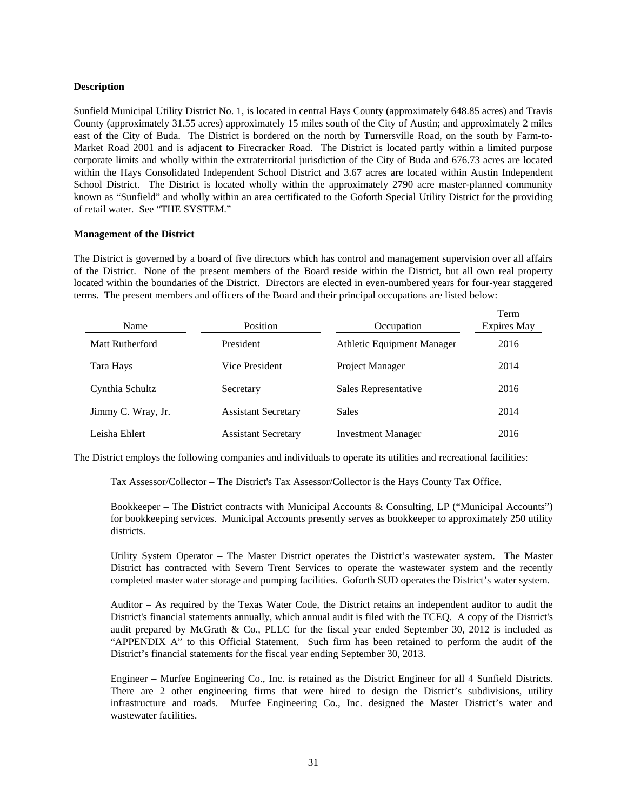# **Description**

Sunfield Municipal Utility District No. 1, is located in central Hays County (approximately 648.85 acres) and Travis County (approximately 31.55 acres) approximately 15 miles south of the City of Austin; and approximately 2 miles east of the City of Buda. The District is bordered on the north by Turnersville Road, on the south by Farm-to-Market Road 2001 and is adjacent to Firecracker Road. The District is located partly within a limited purpose corporate limits and wholly within the extraterritorial jurisdiction of the City of Buda and 676.73 acres are located within the Hays Consolidated Independent School District and 3.67 acres are located within Austin Independent School District. The District is located wholly within the approximately 2790 acre master-planned community known as "Sunfield" and wholly within an area certificated to the Goforth Special Utility District for the providing of retail water. See "THE SYSTEM."

# **Management of the District**

The District is governed by a board of five directors which has control and management supervision over all affairs of the District. None of the present members of the Board reside within the District, but all own real property located within the boundaries of the District. Directors are elected in even-numbered years for four-year staggered terms. The present members and officers of the Board and their principal occupations are listed below:

| Name               | <b>Position</b>            | Occupation                        | Term<br><b>Expires May</b> |
|--------------------|----------------------------|-----------------------------------|----------------------------|
| Matt Rutherford    | President                  | <b>Athletic Equipment Manager</b> | 2016                       |
| Tara Hays          | Vice President             | Project Manager                   | 2014                       |
| Cynthia Schultz    | Secretary                  | Sales Representative              | 2016                       |
| Jimmy C. Wray, Jr. | <b>Assistant Secretary</b> | <b>Sales</b>                      | 2014                       |
| Leisha Ehlert      | <b>Assistant Secretary</b> | <b>Investment Manager</b>         | 2016                       |

The District employs the following companies and individuals to operate its utilities and recreational facilities:

Tax Assessor/Collector – The District's Tax Assessor/Collector is the Hays County Tax Office.

 Bookkeeper – The District contracts with Municipal Accounts & Consulting, LP ("Municipal Accounts") for bookkeeping services. Municipal Accounts presently serves as bookkeeper to approximately 250 utility districts.

 Utility System Operator – The Master District operates the District's wastewater system. The Master District has contracted with Severn Trent Services to operate the wastewater system and the recently completed master water storage and pumping facilities. Goforth SUD operates the District's water system.

 Auditor – As required by the Texas Water Code, the District retains an independent auditor to audit the District's financial statements annually, which annual audit is filed with the TCEQ. A copy of the District's audit prepared by McGrath & Co., PLLC for the fiscal year ended September 30, 2012 is included as "APPENDIX A" to this Official Statement. Such firm has been retained to perform the audit of the District's financial statements for the fiscal year ending September 30, 2013.

 Engineer – Murfee Engineering Co., Inc. is retained as the District Engineer for all 4 Sunfield Districts. There are 2 other engineering firms that were hired to design the District's subdivisions, utility infrastructure and roads. Murfee Engineering Co., Inc. designed the Master District's water and wastewater facilities.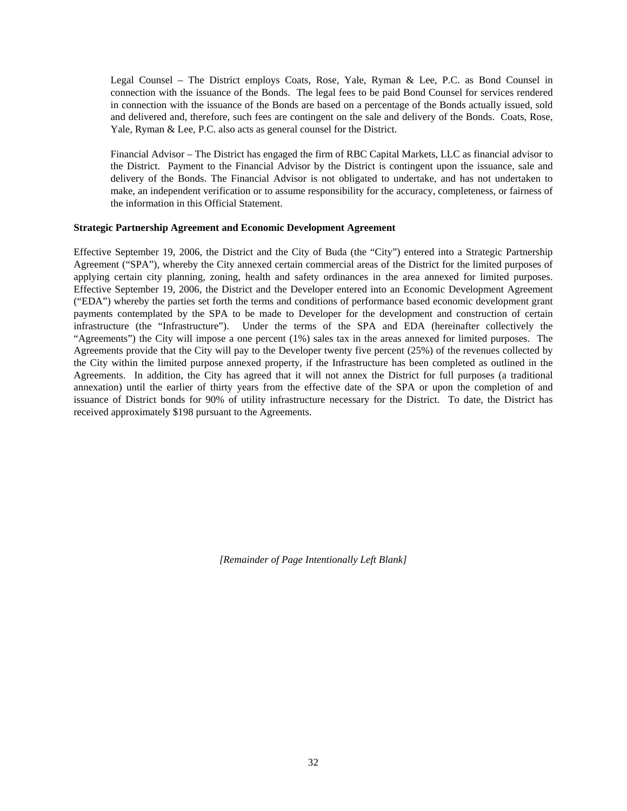Legal Counsel – The District employs Coats, Rose, Yale, Ryman & Lee, P.C. as Bond Counsel in connection with the issuance of the Bonds. The legal fees to be paid Bond Counsel for services rendered in connection with the issuance of the Bonds are based on a percentage of the Bonds actually issued, sold and delivered and, therefore, such fees are contingent on the sale and delivery of the Bonds. Coats, Rose, Yale, Ryman & Lee, P.C. also acts as general counsel for the District.

 Financial Advisor – The District has engaged the firm of RBC Capital Markets, LLC as financial advisor to the District. Payment to the Financial Advisor by the District is contingent upon the issuance, sale and delivery of the Bonds. The Financial Advisor is not obligated to undertake, and has not undertaken to make, an independent verification or to assume responsibility for the accuracy, completeness, or fairness of the information in this Official Statement.

# **Strategic Partnership Agreement and Economic Development Agreement**

Effective September 19, 2006, the District and the City of Buda (the "City") entered into a Strategic Partnership Agreement ("SPA"), whereby the City annexed certain commercial areas of the District for the limited purposes of applying certain city planning, zoning, health and safety ordinances in the area annexed for limited purposes. Effective September 19, 2006, the District and the Developer entered into an Economic Development Agreement ("EDA") whereby the parties set forth the terms and conditions of performance based economic development grant payments contemplated by the SPA to be made to Developer for the development and construction of certain infrastructure (the "Infrastructure"). Under the terms of the SPA and EDA (hereinafter collectively the "Agreements") the City will impose a one percent (1%) sales tax in the areas annexed for limited purposes. The Agreements provide that the City will pay to the Developer twenty five percent (25%) of the revenues collected by the City within the limited purpose annexed property, if the Infrastructure has been completed as outlined in the Agreements. In addition, the City has agreed that it will not annex the District for full purposes (a traditional annexation) until the earlier of thirty years from the effective date of the SPA or upon the completion of and issuance of District bonds for 90% of utility infrastructure necessary for the District. To date, the District has received approximately \$198 pursuant to the Agreements.

*[Remainder of Page Intentionally Left Blank]*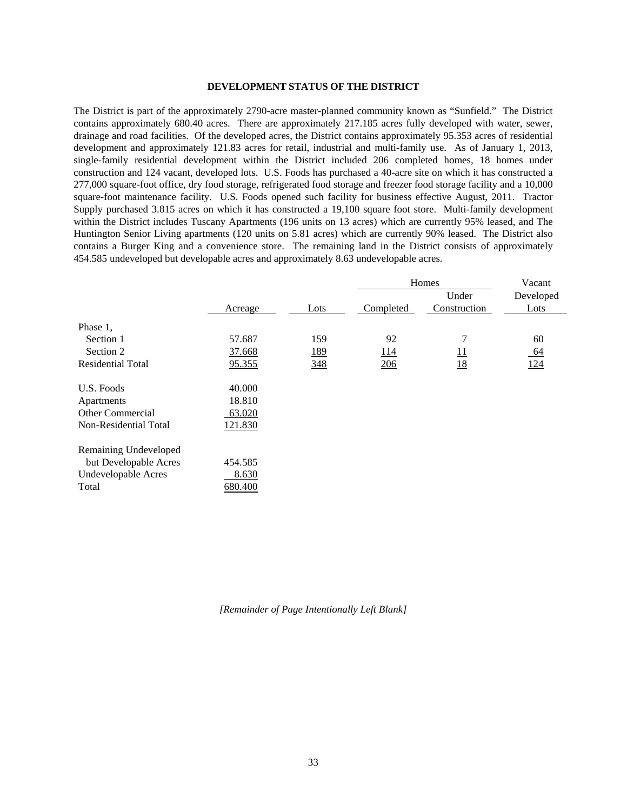#### **DEVELOPMENT STATUS OF THE DISTRICT**

The District is part of the approximately 2790-acre master-planned community known as "Sunfield." The District contains approximately 680.40 acres. There are approximately 217.185 acres fully developed with water, sewer, drainage and road facilities. Of the developed acres, the District contains approximately 95.353 acres of residential development and approximately 121.83 acres for retail, industrial and multi-family use. As of January 1, 2013, single-family residential development within the District included 206 completed homes, 18 homes under construction and 124 vacant, developed lots. U.S. Foods has purchased a 40-acre site on which it has constructed a 277,000 square-foot office, dry food storage, refrigerated food storage and freezer food storage facility and a 10,000 square-foot maintenance facility. U.S. Foods opened such facility for business effective August, 2011. Tractor Supply purchased 3.815 acres on which it has constructed a 19,100 square foot store. Multi-family development within the District includes Tuscany Apartments (196 units on 13 acres) which are currently 95% leased, and The Huntington Senior Living apartments (120 units on 5.81 acres) which are currently 90% leased. The District also contains a Burger King and a convenience store. The remaining land in the District consists of approximately 454.585 undeveloped but developable acres and approximately 8.63 undevelopable acres.

|                            |         |            | Homes      |                 | Vacant    |
|----------------------------|---------|------------|------------|-----------------|-----------|
|                            |         |            |            | Under           | Developed |
|                            | Acreage | Lots       | Completed  | Construction    | Lots      |
| Phase 1,                   |         |            |            |                 |           |
| Section 1                  | 57.687  | 159        | 92         | 7               | 60        |
| Section 2                  | 37.668  | <u>189</u> | <u>114</u> | $\overline{11}$ | <u>64</u> |
| <b>Residential Total</b>   | 95.355  | 348        | 206        | 18              | 124       |
| U.S. Foods                 | 40.000  |            |            |                 |           |
| Apartments                 | 18.810  |            |            |                 |           |
| Other Commercial           | 63.020  |            |            |                 |           |
| Non-Residential Total      | 121.830 |            |            |                 |           |
| Remaining Undeveloped      |         |            |            |                 |           |
| but Developable Acres      | 454.585 |            |            |                 |           |
| <b>Undevelopable Acres</b> | 8.630   |            |            |                 |           |
| Total                      | 680.400 |            |            |                 |           |

*[Remainder of Page Intentionally Left Blank]*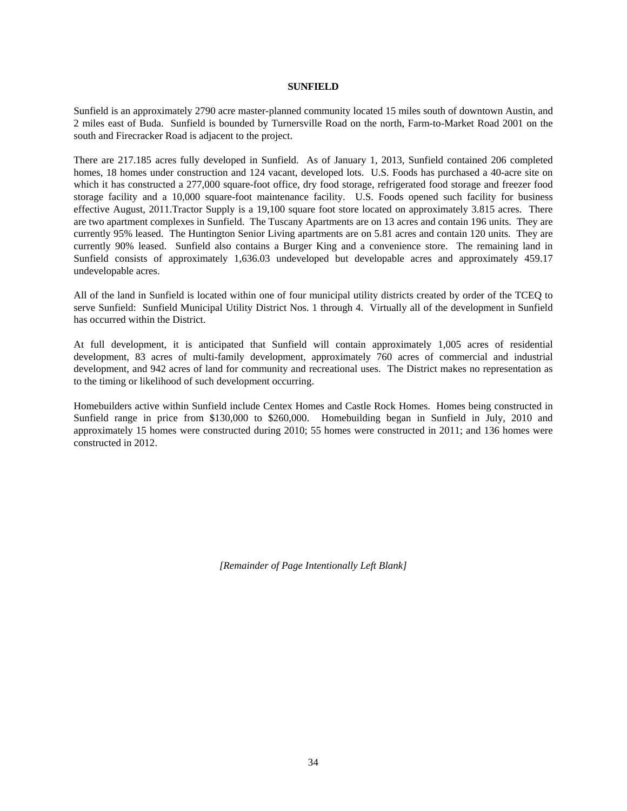# **SUNFIELD**

Sunfield is an approximately 2790 acre master-planned community located 15 miles south of downtown Austin, and 2 miles east of Buda. Sunfield is bounded by Turnersville Road on the north, Farm-to-Market Road 2001 on the south and Firecracker Road is adjacent to the project.

There are 217.185 acres fully developed in Sunfield. As of January 1, 2013, Sunfield contained 206 completed homes, 18 homes under construction and 124 vacant, developed lots. U.S. Foods has purchased a 40-acre site on which it has constructed a 277,000 square-foot office, dry food storage, refrigerated food storage and freezer food storage facility and a 10,000 square-foot maintenance facility. U.S. Foods opened such facility for business effective August, 2011.Tractor Supply is a 19,100 square foot store located on approximately 3.815 acres. There are two apartment complexes in Sunfield. The Tuscany Apartments are on 13 acres and contain 196 units. They are currently 95% leased. The Huntington Senior Living apartments are on 5.81 acres and contain 120 units. They are currently 90% leased. Sunfield also contains a Burger King and a convenience store. The remaining land in Sunfield consists of approximately 1,636.03 undeveloped but developable acres and approximately 459.17 undevelopable acres.

All of the land in Sunfield is located within one of four municipal utility districts created by order of the TCEQ to serve Sunfield: Sunfield Municipal Utility District Nos. 1 through 4. Virtually all of the development in Sunfield has occurred within the District.

At full development, it is anticipated that Sunfield will contain approximately 1,005 acres of residential development, 83 acres of multi-family development, approximately 760 acres of commercial and industrial development, and 942 acres of land for community and recreational uses. The District makes no representation as to the timing or likelihood of such development occurring.

Homebuilders active within Sunfield include Centex Homes and Castle Rock Homes. Homes being constructed in Sunfield range in price from \$130,000 to \$260,000. Homebuilding began in Sunfield in July, 2010 and approximately 15 homes were constructed during 2010; 55 homes were constructed in 2011; and 136 homes were constructed in 2012.

*[Remainder of Page Intentionally Left Blank]*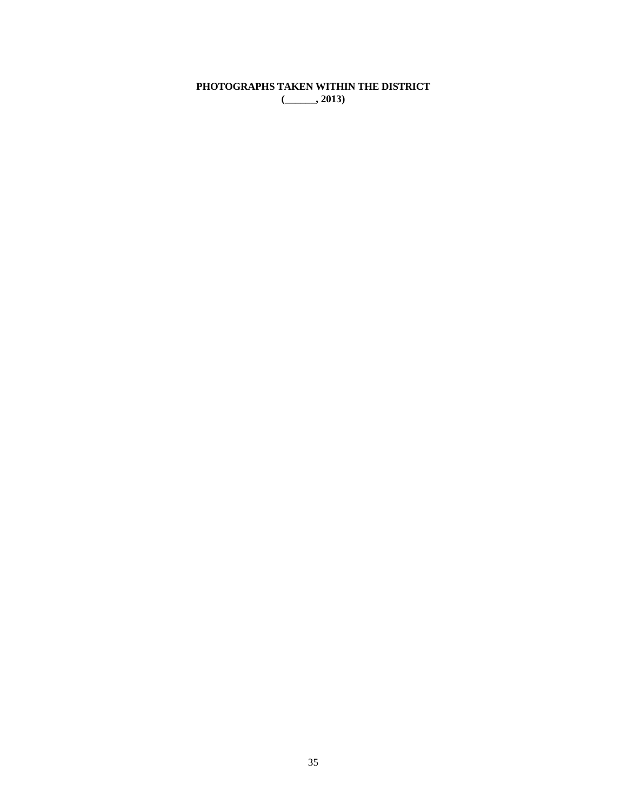**PHOTOGRAPHS TAKEN WITHIN THE DISTRICT (**\_\_\_\_\_\_**, 2013)**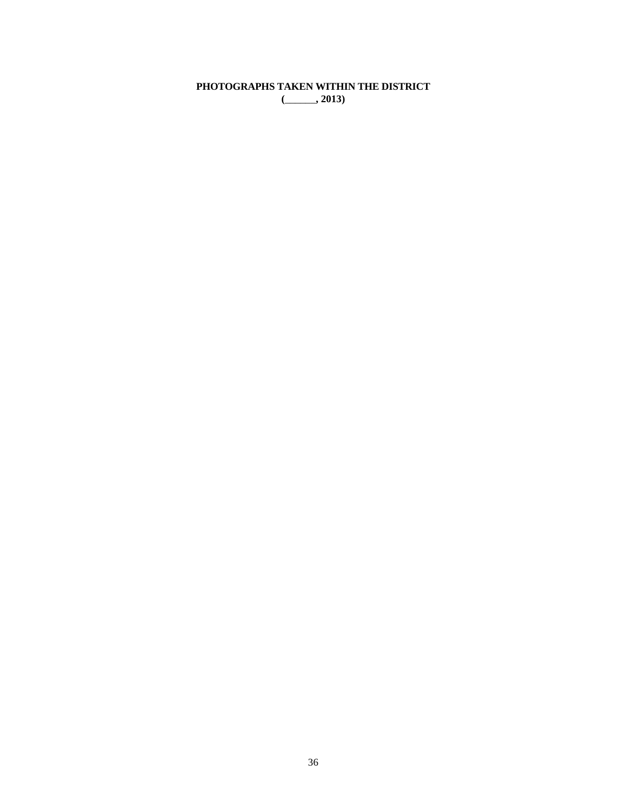**PHOTOGRAPHS TAKEN WITHIN THE DISTRICT (**\_\_\_\_\_\_**, 2013)**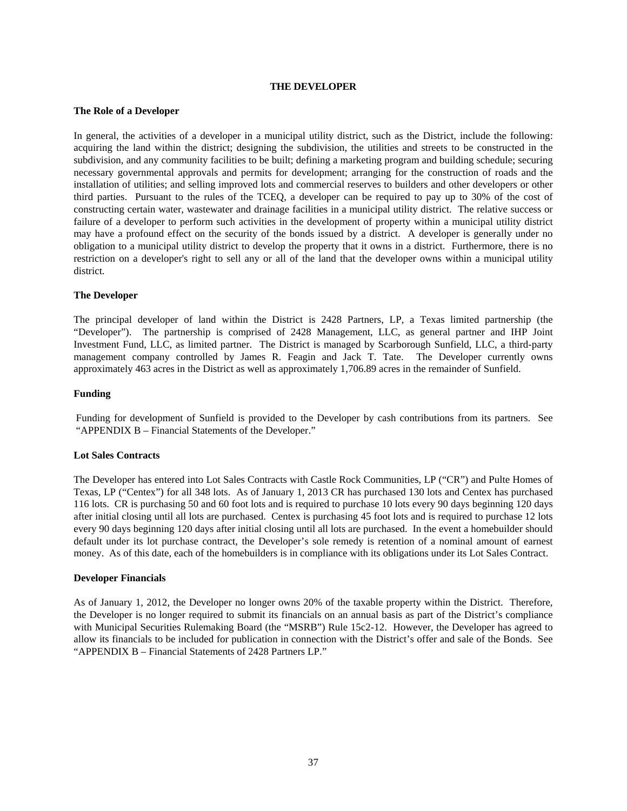#### **THE DEVELOPER**

## **The Role of a Developer**

In general, the activities of a developer in a municipal utility district, such as the District, include the following: acquiring the land within the district; designing the subdivision, the utilities and streets to be constructed in the subdivision, and any community facilities to be built; defining a marketing program and building schedule; securing necessary governmental approvals and permits for development; arranging for the construction of roads and the installation of utilities; and selling improved lots and commercial reserves to builders and other developers or other third parties. Pursuant to the rules of the TCEQ, a developer can be required to pay up to 30% of the cost of constructing certain water, wastewater and drainage facilities in a municipal utility district. The relative success or failure of a developer to perform such activities in the development of property within a municipal utility district may have a profound effect on the security of the bonds issued by a district. A developer is generally under no obligation to a municipal utility district to develop the property that it owns in a district. Furthermore, there is no restriction on a developer's right to sell any or all of the land that the developer owns within a municipal utility district.

# **The Developer**

The principal developer of land within the District is 2428 Partners, LP, a Texas limited partnership (the "Developer"). The partnership is comprised of 2428 Management, LLC, as general partner and IHP Joint Investment Fund, LLC, as limited partner. The District is managed by Scarborough Sunfield, LLC, a third-party management company controlled by James R. Feagin and Jack T. Tate. The Developer currently owns approximately 463 acres in the District as well as approximately 1,706.89 acres in the remainder of Sunfield.

# **Funding**

Funding for development of Sunfield is provided to the Developer by cash contributions from its partners. See "APPENDIX B – Financial Statements of the Developer."

# **Lot Sales Contracts**

The Developer has entered into Lot Sales Contracts with Castle Rock Communities, LP ("CR") and Pulte Homes of Texas, LP ("Centex") for all 348 lots. As of January 1, 2013 CR has purchased 130 lots and Centex has purchased 116 lots. CR is purchasing 50 and 60 foot lots and is required to purchase 10 lots every 90 days beginning 120 days after initial closing until all lots are purchased. Centex is purchasing 45 foot lots and is required to purchase 12 lots every 90 days beginning 120 days after initial closing until all lots are purchased. In the event a homebuilder should default under its lot purchase contract, the Developer's sole remedy is retention of a nominal amount of earnest money. As of this date, each of the homebuilders is in compliance with its obligations under its Lot Sales Contract.

#### **Developer Financials**

As of January 1, 2012, the Developer no longer owns 20% of the taxable property within the District. Therefore, the Developer is no longer required to submit its financials on an annual basis as part of the District's compliance with Municipal Securities Rulemaking Board (the "MSRB") Rule 15c2-12. However, the Developer has agreed to allow its financials to be included for publication in connection with the District's offer and sale of the Bonds. See "APPENDIX B – Financial Statements of 2428 Partners LP."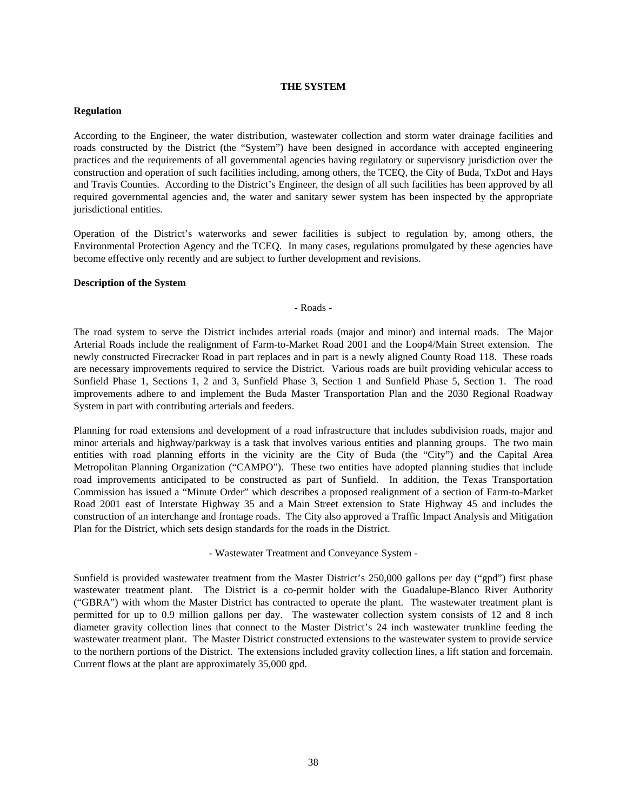## **THE SYSTEM**

### **Regulation**

According to the Engineer, the water distribution, wastewater collection and storm water drainage facilities and roads constructed by the District (the "System") have been designed in accordance with accepted engineering practices and the requirements of all governmental agencies having regulatory or supervisory jurisdiction over the construction and operation of such facilities including, among others, the TCEQ, the City of Buda, TxDot and Hays and Travis Counties. According to the District's Engineer, the design of all such facilities has been approved by all required governmental agencies and, the water and sanitary sewer system has been inspected by the appropriate jurisdictional entities.

Operation of the District's waterworks and sewer facilities is subject to regulation by, among others, the Environmental Protection Agency and the TCEQ. In many cases, regulations promulgated by these agencies have become effective only recently and are subject to further development and revisions.

### **Description of the System**

### - Roads -

The road system to serve the District includes arterial roads (major and minor) and internal roads. The Major Arterial Roads include the realignment of Farm-to-Market Road 2001 and the Loop4/Main Street extension. The newly constructed Firecracker Road in part replaces and in part is a newly aligned County Road 118. These roads are necessary improvements required to service the District. Various roads are built providing vehicular access to Sunfield Phase 1, Sections 1, 2 and 3, Sunfield Phase 3, Section 1 and Sunfield Phase 5, Section 1. The road improvements adhere to and implement the Buda Master Transportation Plan and the 2030 Regional Roadway System in part with contributing arterials and feeders.

Planning for road extensions and development of a road infrastructure that includes subdivision roads, major and minor arterials and highway/parkway is a task that involves various entities and planning groups. The two main entities with road planning efforts in the vicinity are the City of Buda (the "City") and the Capital Area Metropolitan Planning Organization ("CAMPO"). These two entities have adopted planning studies that include road improvements anticipated to be constructed as part of Sunfield. In addition, the Texas Transportation Commission has issued a "Minute Order" which describes a proposed realignment of a section of Farm-to-Market Road 2001 east of Interstate Highway 35 and a Main Street extension to State Highway 45 and includes the construction of an interchange and frontage roads. The City also approved a Traffic Impact Analysis and Mitigation Plan for the District, which sets design standards for the roads in the District.

- Wastewater Treatment and Conveyance System -

Sunfield is provided wastewater treatment from the Master District's 250,000 gallons per day ("gpd") first phase wastewater treatment plant. The District is a co-permit holder with the Guadalupe-Blanco River Authority ("GBRA") with whom the Master District has contracted to operate the plant. The wastewater treatment plant is permitted for up to 0.9 million gallons per day. The wastewater collection system consists of 12 and 8 inch diameter gravity collection lines that connect to the Master District's 24 inch wastewater trunkline feeding the wastewater treatment plant. The Master District constructed extensions to the wastewater system to provide service to the northern portions of the District. The extensions included gravity collection lines, a lift station and forcemain. Current flows at the plant are approximately 35,000 gpd.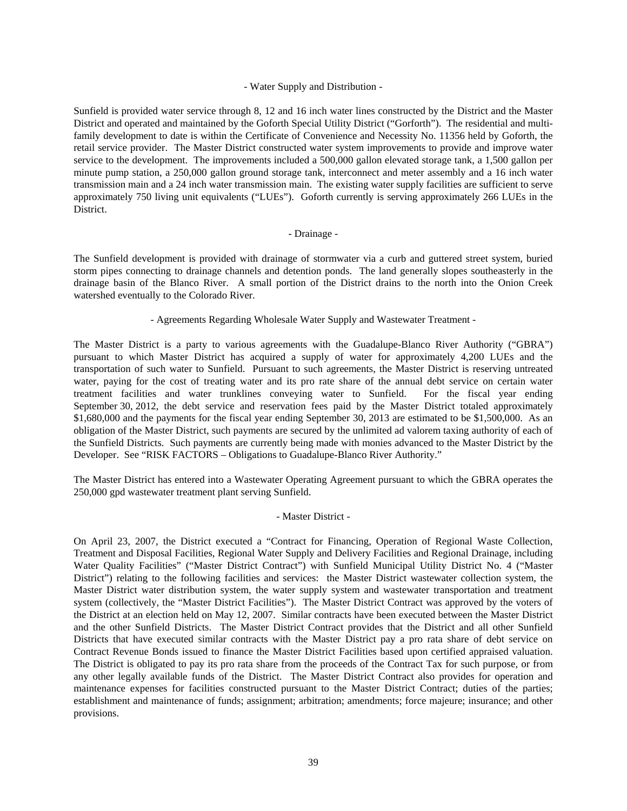# - Water Supply and Distribution -

Sunfield is provided water service through 8, 12 and 16 inch water lines constructed by the District and the Master District and operated and maintained by the Goforth Special Utility District ("Gorforth"). The residential and multifamily development to date is within the Certificate of Convenience and Necessity No. 11356 held by Goforth, the retail service provider. The Master District constructed water system improvements to provide and improve water service to the development. The improvements included a 500,000 gallon elevated storage tank, a 1,500 gallon per minute pump station, a 250,000 gallon ground storage tank, interconnect and meter assembly and a 16 inch water transmission main and a 24 inch water transmission main. The existing water supply facilities are sufficient to serve approximately 750 living unit equivalents ("LUEs"). Goforth currently is serving approximately 266 LUEs in the District.

# - Drainage -

The Sunfield development is provided with drainage of stormwater via a curb and guttered street system, buried storm pipes connecting to drainage channels and detention ponds. The land generally slopes southeasterly in the drainage basin of the Blanco River. A small portion of the District drains to the north into the Onion Creek watershed eventually to the Colorado River.

# - Agreements Regarding Wholesale Water Supply and Wastewater Treatment -

The Master District is a party to various agreements with the Guadalupe-Blanco River Authority ("GBRA") pursuant to which Master District has acquired a supply of water for approximately 4,200 LUEs and the transportation of such water to Sunfield. Pursuant to such agreements, the Master District is reserving untreated water, paying for the cost of treating water and its pro rate share of the annual debt service on certain water treatment facilities and water trunklines conveying water to Sunfield. For the fiscal year ending September 30, 2012, the debt service and reservation fees paid by the Master District totaled approximately \$1,680,000 and the payments for the fiscal year ending September 30, 2013 are estimated to be \$1,500,000. As an obligation of the Master District, such payments are secured by the unlimited ad valorem taxing authority of each of the Sunfield Districts. Such payments are currently being made with monies advanced to the Master District by the Developer. See "RISK FACTORS – Obligations to Guadalupe-Blanco River Authority."

The Master District has entered into a Wastewater Operating Agreement pursuant to which the GBRA operates the 250,000 gpd wastewater treatment plant serving Sunfield.

# - Master District -

On April 23, 2007, the District executed a "Contract for Financing, Operation of Regional Waste Collection, Treatment and Disposal Facilities, Regional Water Supply and Delivery Facilities and Regional Drainage, including Water Quality Facilities" ("Master District Contract") with Sunfield Municipal Utility District No. 4 ("Master District") relating to the following facilities and services: the Master District wastewater collection system, the Master District water distribution system, the water supply system and wastewater transportation and treatment system (collectively, the "Master District Facilities"). The Master District Contract was approved by the voters of the District at an election held on May 12, 2007. Similar contracts have been executed between the Master District and the other Sunfield Districts. The Master District Contract provides that the District and all other Sunfield Districts that have executed similar contracts with the Master District pay a pro rata share of debt service on Contract Revenue Bonds issued to finance the Master District Facilities based upon certified appraised valuation. The District is obligated to pay its pro rata share from the proceeds of the Contract Tax for such purpose, or from any other legally available funds of the District. The Master District Contract also provides for operation and maintenance expenses for facilities constructed pursuant to the Master District Contract; duties of the parties; establishment and maintenance of funds; assignment; arbitration; amendments; force majeure; insurance; and other provisions.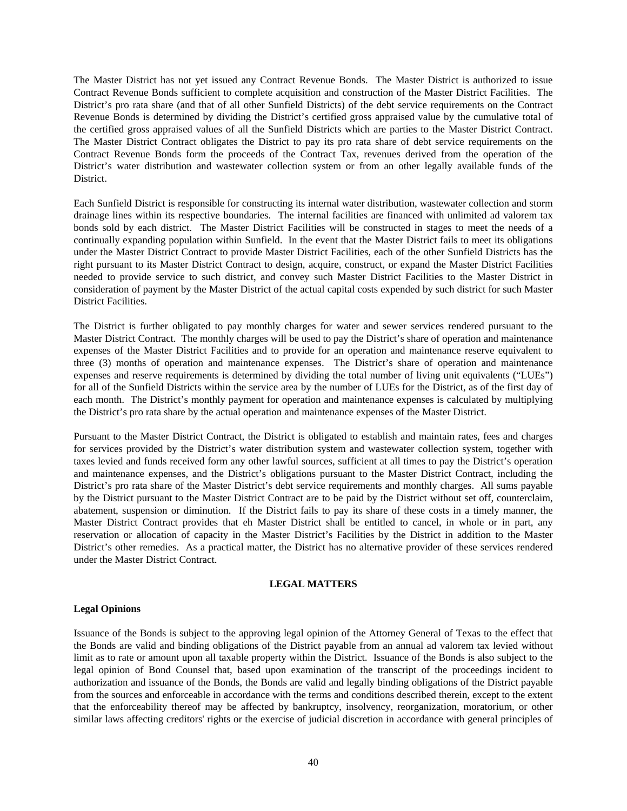The Master District has not yet issued any Contract Revenue Bonds. The Master District is authorized to issue Contract Revenue Bonds sufficient to complete acquisition and construction of the Master District Facilities. The District's pro rata share (and that of all other Sunfield Districts) of the debt service requirements on the Contract Revenue Bonds is determined by dividing the District's certified gross appraised value by the cumulative total of the certified gross appraised values of all the Sunfield Districts which are parties to the Master District Contract. The Master District Contract obligates the District to pay its pro rata share of debt service requirements on the Contract Revenue Bonds form the proceeds of the Contract Tax, revenues derived from the operation of the District's water distribution and wastewater collection system or from an other legally available funds of the District.

Each Sunfield District is responsible for constructing its internal water distribution, wastewater collection and storm drainage lines within its respective boundaries. The internal facilities are financed with unlimited ad valorem tax bonds sold by each district. The Master District Facilities will be constructed in stages to meet the needs of a continually expanding population within Sunfield. In the event that the Master District fails to meet its obligations under the Master District Contract to provide Master District Facilities, each of the other Sunfield Districts has the right pursuant to its Master District Contract to design, acquire, construct, or expand the Master District Facilities needed to provide service to such district, and convey such Master District Facilities to the Master District in consideration of payment by the Master District of the actual capital costs expended by such district for such Master District Facilities.

The District is further obligated to pay monthly charges for water and sewer services rendered pursuant to the Master District Contract. The monthly charges will be used to pay the District's share of operation and maintenance expenses of the Master District Facilities and to provide for an operation and maintenance reserve equivalent to three (3) months of operation and maintenance expenses. The District's share of operation and maintenance expenses and reserve requirements is determined by dividing the total number of living unit equivalents ("LUEs") for all of the Sunfield Districts within the service area by the number of LUEs for the District, as of the first day of each month. The District's monthly payment for operation and maintenance expenses is calculated by multiplying the District's pro rata share by the actual operation and maintenance expenses of the Master District.

Pursuant to the Master District Contract, the District is obligated to establish and maintain rates, fees and charges for services provided by the District's water distribution system and wastewater collection system, together with taxes levied and funds received form any other lawful sources, sufficient at all times to pay the District's operation and maintenance expenses, and the District's obligations pursuant to the Master District Contract, including the District's pro rata share of the Master District's debt service requirements and monthly charges. All sums payable by the District pursuant to the Master District Contract are to be paid by the District without set off, counterclaim, abatement, suspension or diminution. If the District fails to pay its share of these costs in a timely manner, the Master District Contract provides that eh Master District shall be entitled to cancel, in whole or in part, any reservation or allocation of capacity in the Master District's Facilities by the District in addition to the Master District's other remedies. As a practical matter, the District has no alternative provider of these services rendered under the Master District Contract.

#### **LEGAL MATTERS**

# **Legal Opinions**

Issuance of the Bonds is subject to the approving legal opinion of the Attorney General of Texas to the effect that the Bonds are valid and binding obligations of the District payable from an annual ad valorem tax levied without limit as to rate or amount upon all taxable property within the District. Issuance of the Bonds is also subject to the legal opinion of Bond Counsel that, based upon examination of the transcript of the proceedings incident to authorization and issuance of the Bonds, the Bonds are valid and legally binding obligations of the District payable from the sources and enforceable in accordance with the terms and conditions described therein, except to the extent that the enforceability thereof may be affected by bankruptcy, insolvency, reorganization, moratorium, or other similar laws affecting creditors' rights or the exercise of judicial discretion in accordance with general principles of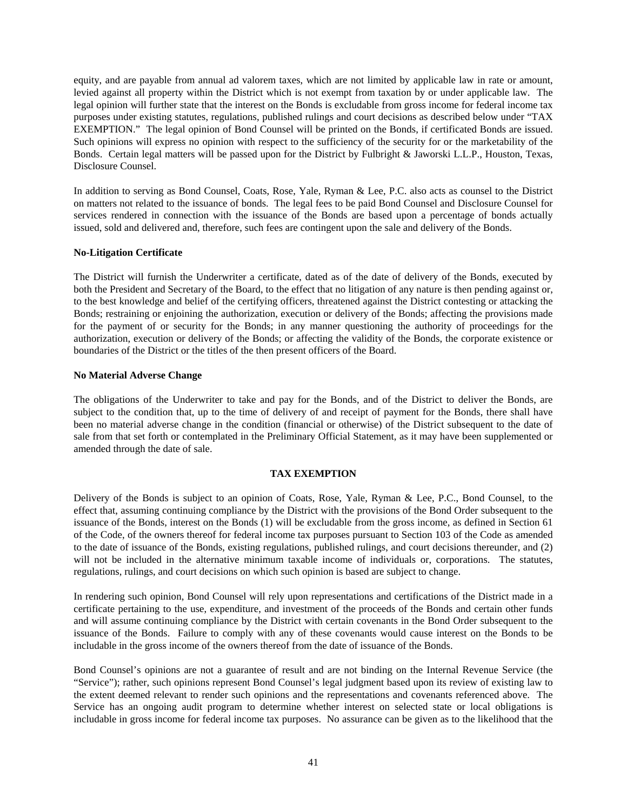equity, and are payable from annual ad valorem taxes, which are not limited by applicable law in rate or amount, levied against all property within the District which is not exempt from taxation by or under applicable law. The legal opinion will further state that the interest on the Bonds is excludable from gross income for federal income tax purposes under existing statutes, regulations, published rulings and court decisions as described below under "TAX EXEMPTION." The legal opinion of Bond Counsel will be printed on the Bonds, if certificated Bonds are issued. Such opinions will express no opinion with respect to the sufficiency of the security for or the marketability of the Bonds. Certain legal matters will be passed upon for the District by Fulbright & Jaworski L.L.P., Houston, Texas, Disclosure Counsel.

In addition to serving as Bond Counsel, Coats, Rose, Yale, Ryman & Lee, P.C. also acts as counsel to the District on matters not related to the issuance of bonds. The legal fees to be paid Bond Counsel and Disclosure Counsel for services rendered in connection with the issuance of the Bonds are based upon a percentage of bonds actually issued, sold and delivered and, therefore, such fees are contingent upon the sale and delivery of the Bonds.

# **No-Litigation Certificate**

The District will furnish the Underwriter a certificate, dated as of the date of delivery of the Bonds, executed by both the President and Secretary of the Board, to the effect that no litigation of any nature is then pending against or, to the best knowledge and belief of the certifying officers, threatened against the District contesting or attacking the Bonds; restraining or enjoining the authorization, execution or delivery of the Bonds; affecting the provisions made for the payment of or security for the Bonds; in any manner questioning the authority of proceedings for the authorization, execution or delivery of the Bonds; or affecting the validity of the Bonds, the corporate existence or boundaries of the District or the titles of the then present officers of the Board.

# **No Material Adverse Change**

The obligations of the Underwriter to take and pay for the Bonds, and of the District to deliver the Bonds, are subject to the condition that, up to the time of delivery of and receipt of payment for the Bonds, there shall have been no material adverse change in the condition (financial or otherwise) of the District subsequent to the date of sale from that set forth or contemplated in the Preliminary Official Statement, as it may have been supplemented or amended through the date of sale.

# **TAX EXEMPTION**

Delivery of the Bonds is subject to an opinion of Coats, Rose, Yale, Ryman & Lee, P.C., Bond Counsel, to the effect that, assuming continuing compliance by the District with the provisions of the Bond Order subsequent to the issuance of the Bonds, interest on the Bonds (1) will be excludable from the gross income, as defined in Section 61 of the Code, of the owners thereof for federal income tax purposes pursuant to Section 103 of the Code as amended to the date of issuance of the Bonds, existing regulations, published rulings, and court decisions thereunder, and (2) will not be included in the alternative minimum taxable income of individuals or, corporations. The statutes, regulations, rulings, and court decisions on which such opinion is based are subject to change.

In rendering such opinion, Bond Counsel will rely upon representations and certifications of the District made in a certificate pertaining to the use, expenditure, and investment of the proceeds of the Bonds and certain other funds and will assume continuing compliance by the District with certain covenants in the Bond Order subsequent to the issuance of the Bonds. Failure to comply with any of these covenants would cause interest on the Bonds to be includable in the gross income of the owners thereof from the date of issuance of the Bonds.

Bond Counsel's opinions are not a guarantee of result and are not binding on the Internal Revenue Service (the "Service"); rather, such opinions represent Bond Counsel's legal judgment based upon its review of existing law to the extent deemed relevant to render such opinions and the representations and covenants referenced above. The Service has an ongoing audit program to determine whether interest on selected state or local obligations is includable in gross income for federal income tax purposes. No assurance can be given as to the likelihood that the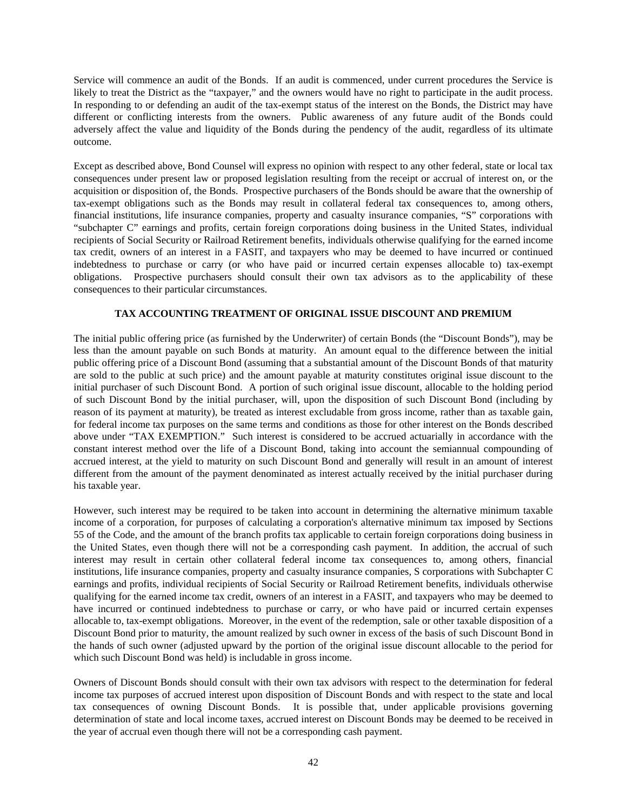Service will commence an audit of the Bonds. If an audit is commenced, under current procedures the Service is likely to treat the District as the "taxpayer," and the owners would have no right to participate in the audit process. In responding to or defending an audit of the tax-exempt status of the interest on the Bonds, the District may have different or conflicting interests from the owners. Public awareness of any future audit of the Bonds could adversely affect the value and liquidity of the Bonds during the pendency of the audit, regardless of its ultimate outcome.

Except as described above, Bond Counsel will express no opinion with respect to any other federal, state or local tax consequences under present law or proposed legislation resulting from the receipt or accrual of interest on, or the acquisition or disposition of, the Bonds. Prospective purchasers of the Bonds should be aware that the ownership of tax-exempt obligations such as the Bonds may result in collateral federal tax consequences to, among others, financial institutions, life insurance companies, property and casualty insurance companies, "S" corporations with "subchapter C" earnings and profits, certain foreign corporations doing business in the United States, individual recipients of Social Security or Railroad Retirement benefits, individuals otherwise qualifying for the earned income tax credit, owners of an interest in a FASIT, and taxpayers who may be deemed to have incurred or continued indebtedness to purchase or carry (or who have paid or incurred certain expenses allocable to) tax-exempt obligations. Prospective purchasers should consult their own tax advisors as to the applicability of these consequences to their particular circumstances.

# **TAX ACCOUNTING TREATMENT OF ORIGINAL ISSUE DISCOUNT AND PREMIUM**

The initial public offering price (as furnished by the Underwriter) of certain Bonds (the "Discount Bonds"), may be less than the amount payable on such Bonds at maturity. An amount equal to the difference between the initial public offering price of a Discount Bond (assuming that a substantial amount of the Discount Bonds of that maturity are sold to the public at such price) and the amount payable at maturity constitutes original issue discount to the initial purchaser of such Discount Bond. A portion of such original issue discount, allocable to the holding period of such Discount Bond by the initial purchaser, will, upon the disposition of such Discount Bond (including by reason of its payment at maturity), be treated as interest excludable from gross income, rather than as taxable gain, for federal income tax purposes on the same terms and conditions as those for other interest on the Bonds described above under "TAX EXEMPTION." Such interest is considered to be accrued actuarially in accordance with the constant interest method over the life of a Discount Bond, taking into account the semiannual compounding of accrued interest, at the yield to maturity on such Discount Bond and generally will result in an amount of interest different from the amount of the payment denominated as interest actually received by the initial purchaser during his taxable year.

However, such interest may be required to be taken into account in determining the alternative minimum taxable income of a corporation, for purposes of calculating a corporation's alternative minimum tax imposed by Sections 55 of the Code, and the amount of the branch profits tax applicable to certain foreign corporations doing business in the United States, even though there will not be a corresponding cash payment. In addition, the accrual of such interest may result in certain other collateral federal income tax consequences to, among others, financial institutions, life insurance companies, property and casualty insurance companies, S corporations with Subchapter C earnings and profits, individual recipients of Social Security or Railroad Retirement benefits, individuals otherwise qualifying for the earned income tax credit, owners of an interest in a FASIT, and taxpayers who may be deemed to have incurred or continued indebtedness to purchase or carry, or who have paid or incurred certain expenses allocable to, tax-exempt obligations. Moreover, in the event of the redemption, sale or other taxable disposition of a Discount Bond prior to maturity, the amount realized by such owner in excess of the basis of such Discount Bond in the hands of such owner (adjusted upward by the portion of the original issue discount allocable to the period for which such Discount Bond was held) is includable in gross income.

Owners of Discount Bonds should consult with their own tax advisors with respect to the determination for federal income tax purposes of accrued interest upon disposition of Discount Bonds and with respect to the state and local tax consequences of owning Discount Bonds. It is possible that, under applicable provisions governing determination of state and local income taxes, accrued interest on Discount Bonds may be deemed to be received in the year of accrual even though there will not be a corresponding cash payment.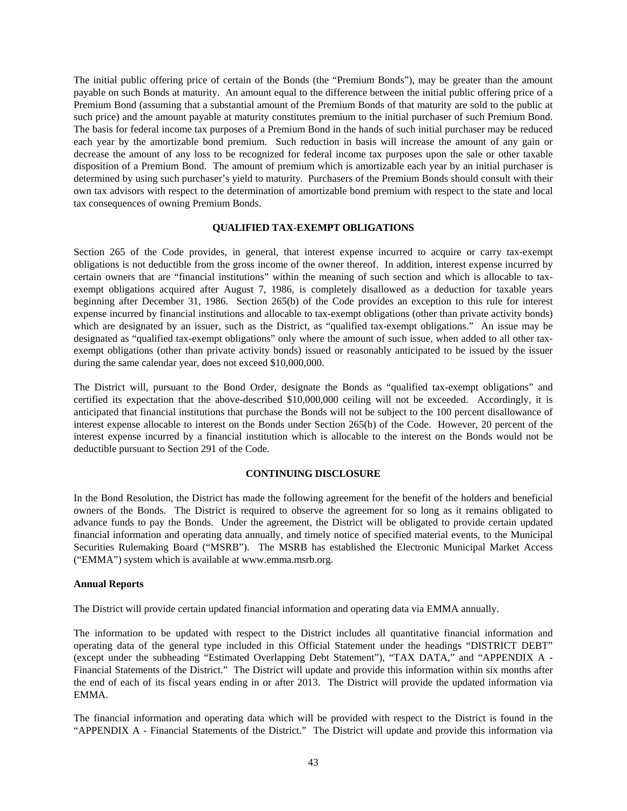The initial public offering price of certain of the Bonds (the "Premium Bonds"), may be greater than the amount payable on such Bonds at maturity. An amount equal to the difference between the initial public offering price of a Premium Bond (assuming that a substantial amount of the Premium Bonds of that maturity are sold to the public at such price) and the amount payable at maturity constitutes premium to the initial purchaser of such Premium Bond. The basis for federal income tax purposes of a Premium Bond in the hands of such initial purchaser may be reduced each year by the amortizable bond premium. Such reduction in basis will increase the amount of any gain or decrease the amount of any loss to be recognized for federal income tax purposes upon the sale or other taxable disposition of a Premium Bond. The amount of premium which is amortizable each year by an initial purchaser is determined by using such purchaser's yield to maturity. Purchasers of the Premium Bonds should consult with their own tax advisors with respect to the determination of amortizable bond premium with respect to the state and local tax consequences of owning Premium Bonds.

# **QUALIFIED TAX-EXEMPT OBLIGATIONS**

Section 265 of the Code provides, in general, that interest expense incurred to acquire or carry tax-exempt obligations is not deductible from the gross income of the owner thereof. In addition, interest expense incurred by certain owners that are "financial institutions" within the meaning of such section and which is allocable to taxexempt obligations acquired after August 7, 1986, is completely disallowed as a deduction for taxable years beginning after December 31, 1986. Section 265(b) of the Code provides an exception to this rule for interest expense incurred by financial institutions and allocable to tax-exempt obligations (other than private activity bonds) which are designated by an issuer, such as the District, as "qualified tax-exempt obligations." An issue may be designated as "qualified tax-exempt obligations" only where the amount of such issue, when added to all other taxexempt obligations (other than private activity bonds) issued or reasonably anticipated to be issued by the issuer during the same calendar year, does not exceed \$10,000,000.

The District will, pursuant to the Bond Order, designate the Bonds as "qualified tax-exempt obligations" and certified its expectation that the above-described \$10,000,000 ceiling will not be exceeded. Accordingly, it is anticipated that financial institutions that purchase the Bonds will not be subject to the 100 percent disallowance of interest expense allocable to interest on the Bonds under Section 265(b) of the Code. However, 20 percent of the interest expense incurred by a financial institution which is allocable to the interest on the Bonds would not be deductible pursuant to Section 291 of the Code.

# **CONTINUING DISCLOSURE**

In the Bond Resolution, the District has made the following agreement for the benefit of the holders and beneficial owners of the Bonds. The District is required to observe the agreement for so long as it remains obligated to advance funds to pay the Bonds. Under the agreement, the District will be obligated to provide certain updated financial information and operating data annually, and timely notice of specified material events, to the Municipal Securities Rulemaking Board ("MSRB"). The MSRB has established the Electronic Municipal Market Access ("EMMA") system which is available at www.emma.msrb.org.

# **Annual Reports**

The District will provide certain updated financial information and operating data via EMMA annually.

The information to be updated with respect to the District includes all quantitative financial information and operating data of the general type included in this Official Statement under the headings "DISTRICT DEBT" (except under the subheading "Estimated Overlapping Debt Statement"), "TAX DATA," and "APPENDIX A - Financial Statements of the District." The District will update and provide this information within six months after the end of each of its fiscal years ending in or after 2013. The District will provide the updated information via EMMA.

The financial information and operating data which will be provided with respect to the District is found in the "APPENDIX A - Financial Statements of the District." The District will update and provide this information via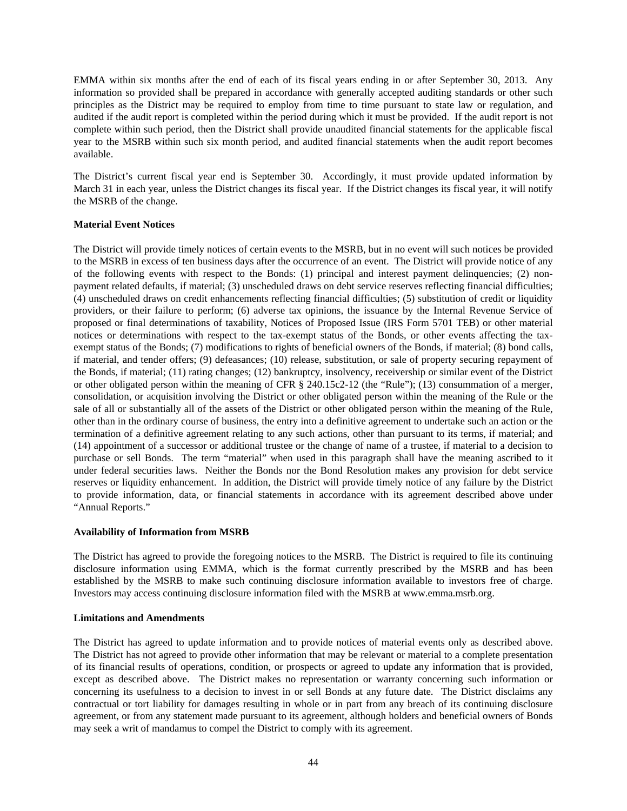EMMA within six months after the end of each of its fiscal years ending in or after September 30, 2013. Any information so provided shall be prepared in accordance with generally accepted auditing standards or other such principles as the District may be required to employ from time to time pursuant to state law or regulation, and audited if the audit report is completed within the period during which it must be provided. If the audit report is not complete within such period, then the District shall provide unaudited financial statements for the applicable fiscal year to the MSRB within such six month period, and audited financial statements when the audit report becomes available.

The District's current fiscal year end is September 30. Accordingly, it must provide updated information by March 31 in each year, unless the District changes its fiscal year. If the District changes its fiscal year, it will notify the MSRB of the change.

# **Material Event Notices**

The District will provide timely notices of certain events to the MSRB, but in no event will such notices be provided to the MSRB in excess of ten business days after the occurrence of an event. The District will provide notice of any of the following events with respect to the Bonds: (1) principal and interest payment delinquencies; (2) nonpayment related defaults, if material; (3) unscheduled draws on debt service reserves reflecting financial difficulties; (4) unscheduled draws on credit enhancements reflecting financial difficulties; (5) substitution of credit or liquidity providers, or their failure to perform; (6) adverse tax opinions, the issuance by the Internal Revenue Service of proposed or final determinations of taxability, Notices of Proposed Issue (IRS Form 5701 TEB) or other material notices or determinations with respect to the tax-exempt status of the Bonds, or other events affecting the taxexempt status of the Bonds; (7) modifications to rights of beneficial owners of the Bonds, if material; (8) bond calls, if material, and tender offers; (9) defeasances; (10) release, substitution, or sale of property securing repayment of the Bonds, if material; (11) rating changes; (12) bankruptcy, insolvency, receivership or similar event of the District or other obligated person within the meaning of CFR § 240.15c2-12 (the "Rule"); (13) consummation of a merger, consolidation, or acquisition involving the District or other obligated person within the meaning of the Rule or the sale of all or substantially all of the assets of the District or other obligated person within the meaning of the Rule, other than in the ordinary course of business, the entry into a definitive agreement to undertake such an action or the termination of a definitive agreement relating to any such actions, other than pursuant to its terms, if material; and (14) appointment of a successor or additional trustee or the change of name of a trustee, if material to a decision to purchase or sell Bonds. The term "material" when used in this paragraph shall have the meaning ascribed to it under federal securities laws. Neither the Bonds nor the Bond Resolution makes any provision for debt service reserves or liquidity enhancement. In addition, the District will provide timely notice of any failure by the District to provide information, data, or financial statements in accordance with its agreement described above under "Annual Reports."

# **Availability of Information from MSRB**

The District has agreed to provide the foregoing notices to the MSRB. The District is required to file its continuing disclosure information using EMMA, which is the format currently prescribed by the MSRB and has been established by the MSRB to make such continuing disclosure information available to investors free of charge. Investors may access continuing disclosure information filed with the MSRB at www.emma.msrb.org.

# **Limitations and Amendments**

The District has agreed to update information and to provide notices of material events only as described above. The District has not agreed to provide other information that may be relevant or material to a complete presentation of its financial results of operations, condition, or prospects or agreed to update any information that is provided, except as described above. The District makes no representation or warranty concerning such information or concerning its usefulness to a decision to invest in or sell Bonds at any future date. The District disclaims any contractual or tort liability for damages resulting in whole or in part from any breach of its continuing disclosure agreement, or from any statement made pursuant to its agreement, although holders and beneficial owners of Bonds may seek a writ of mandamus to compel the District to comply with its agreement.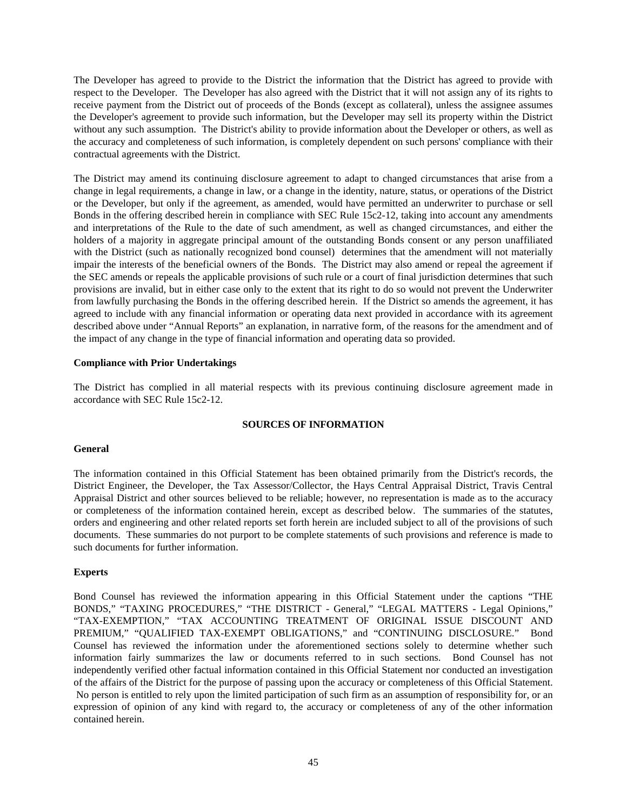The Developer has agreed to provide to the District the information that the District has agreed to provide with respect to the Developer. The Developer has also agreed with the District that it will not assign any of its rights to receive payment from the District out of proceeds of the Bonds (except as collateral), unless the assignee assumes the Developer's agreement to provide such information, but the Developer may sell its property within the District without any such assumption. The District's ability to provide information about the Developer or others, as well as the accuracy and completeness of such information, is completely dependent on such persons' compliance with their contractual agreements with the District.

The District may amend its continuing disclosure agreement to adapt to changed circumstances that arise from a change in legal requirements, a change in law, or a change in the identity, nature, status, or operations of the District or the Developer, but only if the agreement, as amended, would have permitted an underwriter to purchase or sell Bonds in the offering described herein in compliance with SEC Rule 15c2-12, taking into account any amendments and interpretations of the Rule to the date of such amendment, as well as changed circumstances, and either the holders of a majority in aggregate principal amount of the outstanding Bonds consent or any person unaffiliated with the District (such as nationally recognized bond counsel) determines that the amendment will not materially impair the interests of the beneficial owners of the Bonds. The District may also amend or repeal the agreement if the SEC amends or repeals the applicable provisions of such rule or a court of final jurisdiction determines that such provisions are invalid, but in either case only to the extent that its right to do so would not prevent the Underwriter from lawfully purchasing the Bonds in the offering described herein. If the District so amends the agreement, it has agreed to include with any financial information or operating data next provided in accordance with its agreement described above under "Annual Reports" an explanation, in narrative form, of the reasons for the amendment and of the impact of any change in the type of financial information and operating data so provided.

# **Compliance with Prior Undertakings**

The District has complied in all material respects with its previous continuing disclosure agreement made in accordance with SEC Rule 15c2-12.

# **SOURCES OF INFORMATION**

# **General**

The information contained in this Official Statement has been obtained primarily from the District's records, the District Engineer, the Developer, the Tax Assessor/Collector, the Hays Central Appraisal District, Travis Central Appraisal District and other sources believed to be reliable; however, no representation is made as to the accuracy or completeness of the information contained herein, except as described below. The summaries of the statutes, orders and engineering and other related reports set forth herein are included subject to all of the provisions of such documents. These summaries do not purport to be complete statements of such provisions and reference is made to such documents for further information.

# **Experts**

Bond Counsel has reviewed the information appearing in this Official Statement under the captions "THE BONDS," "TAXING PROCEDURES," "THE DISTRICT - General," "LEGAL MATTERS - Legal Opinions," "TAX-EXEMPTION," "TAX ACCOUNTING TREATMENT OF ORIGINAL ISSUE DISCOUNT AND PREMIUM," "QUALIFIED TAX-EXEMPT OBLIGATIONS," and "CONTINUING DISCLOSURE." Bond Counsel has reviewed the information under the aforementioned sections solely to determine whether such information fairly summarizes the law or documents referred to in such sections. Bond Counsel has not independently verified other factual information contained in this Official Statement nor conducted an investigation of the affairs of the District for the purpose of passing upon the accuracy or completeness of this Official Statement. No person is entitled to rely upon the limited participation of such firm as an assumption of responsibility for, or an expression of opinion of any kind with regard to, the accuracy or completeness of any of the other information contained herein.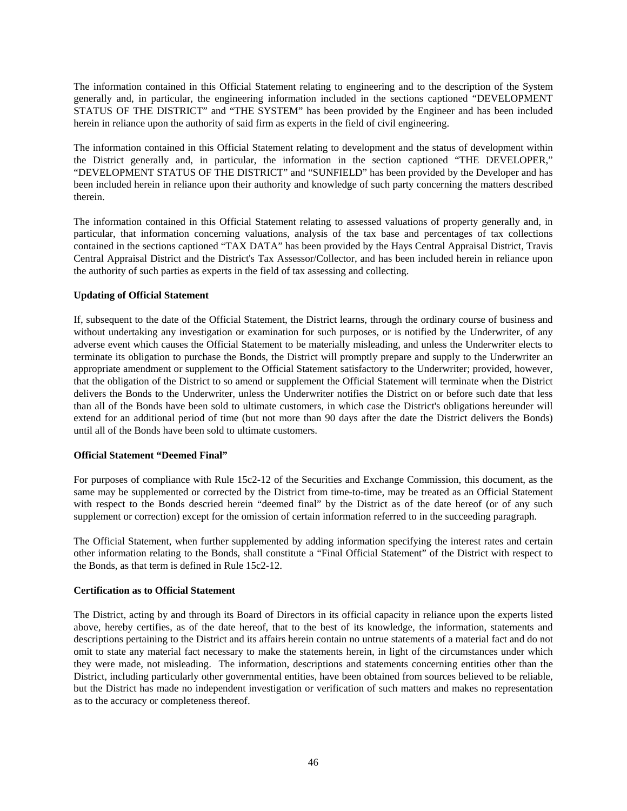The information contained in this Official Statement relating to engineering and to the description of the System generally and, in particular, the engineering information included in the sections captioned "DEVELOPMENT STATUS OF THE DISTRICT" and "THE SYSTEM" has been provided by the Engineer and has been included herein in reliance upon the authority of said firm as experts in the field of civil engineering.

The information contained in this Official Statement relating to development and the status of development within the District generally and, in particular, the information in the section captioned "THE DEVELOPER," "DEVELOPMENT STATUS OF THE DISTRICT" and "SUNFIELD" has been provided by the Developer and has been included herein in reliance upon their authority and knowledge of such party concerning the matters described therein.

The information contained in this Official Statement relating to assessed valuations of property generally and, in particular, that information concerning valuations, analysis of the tax base and percentages of tax collections contained in the sections captioned "TAX DATA" has been provided by the Hays Central Appraisal District, Travis Central Appraisal District and the District's Tax Assessor/Collector, and has been included herein in reliance upon the authority of such parties as experts in the field of tax assessing and collecting.

# **Updating of Official Statement**

If, subsequent to the date of the Official Statement, the District learns, through the ordinary course of business and without undertaking any investigation or examination for such purposes, or is notified by the Underwriter, of any adverse event which causes the Official Statement to be materially misleading, and unless the Underwriter elects to terminate its obligation to purchase the Bonds, the District will promptly prepare and supply to the Underwriter an appropriate amendment or supplement to the Official Statement satisfactory to the Underwriter; provided, however, that the obligation of the District to so amend or supplement the Official Statement will terminate when the District delivers the Bonds to the Underwriter, unless the Underwriter notifies the District on or before such date that less than all of the Bonds have been sold to ultimate customers, in which case the District's obligations hereunder will extend for an additional period of time (but not more than 90 days after the date the District delivers the Bonds) until all of the Bonds have been sold to ultimate customers.

# **Official Statement "Deemed Final"**

For purposes of compliance with Rule 15c2-12 of the Securities and Exchange Commission, this document, as the same may be supplemented or corrected by the District from time-to-time, may be treated as an Official Statement with respect to the Bonds descried herein "deemed final" by the District as of the date hereof (or of any such supplement or correction) except for the omission of certain information referred to in the succeeding paragraph.

The Official Statement, when further supplemented by adding information specifying the interest rates and certain other information relating to the Bonds, shall constitute a "Final Official Statement" of the District with respect to the Bonds, as that term is defined in Rule 15c2-12.

# **Certification as to Official Statement**

The District, acting by and through its Board of Directors in its official capacity in reliance upon the experts listed above, hereby certifies, as of the date hereof, that to the best of its knowledge, the information, statements and descriptions pertaining to the District and its affairs herein contain no untrue statements of a material fact and do not omit to state any material fact necessary to make the statements herein, in light of the circumstances under which they were made, not misleading. The information, descriptions and statements concerning entities other than the District, including particularly other governmental entities, have been obtained from sources believed to be reliable, but the District has made no independent investigation or verification of such matters and makes no representation as to the accuracy or completeness thereof.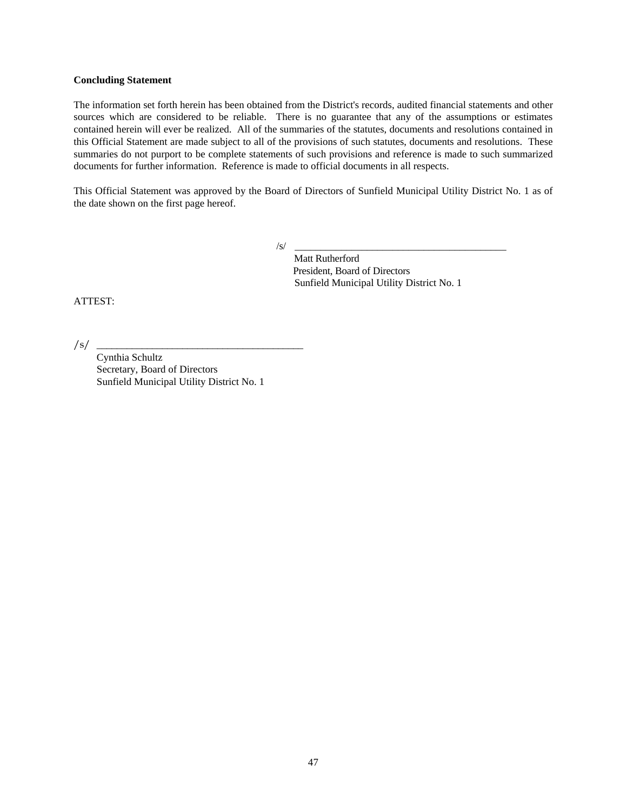# **Concluding Statement**

The information set forth herein has been obtained from the District's records, audited financial statements and other sources which are considered to be reliable. There is no guarantee that any of the assumptions or estimates contained herein will ever be realized. All of the summaries of the statutes, documents and resolutions contained in this Official Statement are made subject to all of the provisions of such statutes, documents and resolutions. These summaries do not purport to be complete statements of such provisions and reference is made to such summarized documents for further information. Reference is made to official documents in all respects.

This Official Statement was approved by the Board of Directors of Sunfield Municipal Utility District No. 1 as of the date shown on the first page hereof.

/s/ \_\_\_\_\_\_\_\_\_\_\_\_\_\_\_\_\_\_\_\_\_\_\_\_\_\_\_\_\_\_\_\_\_\_\_\_\_\_\_\_\_

 Matt Rutherford President, Board of Directors Sunfield Municipal Utility District No. 1

ATTEST:

/s/ \_\_\_\_\_\_\_\_\_\_\_\_\_\_\_\_\_\_\_\_\_\_\_\_\_\_\_\_\_\_\_\_\_\_\_\_\_\_\_\_\_

 Cynthia Schultz Secretary, Board of Directors Sunfield Municipal Utility District No. 1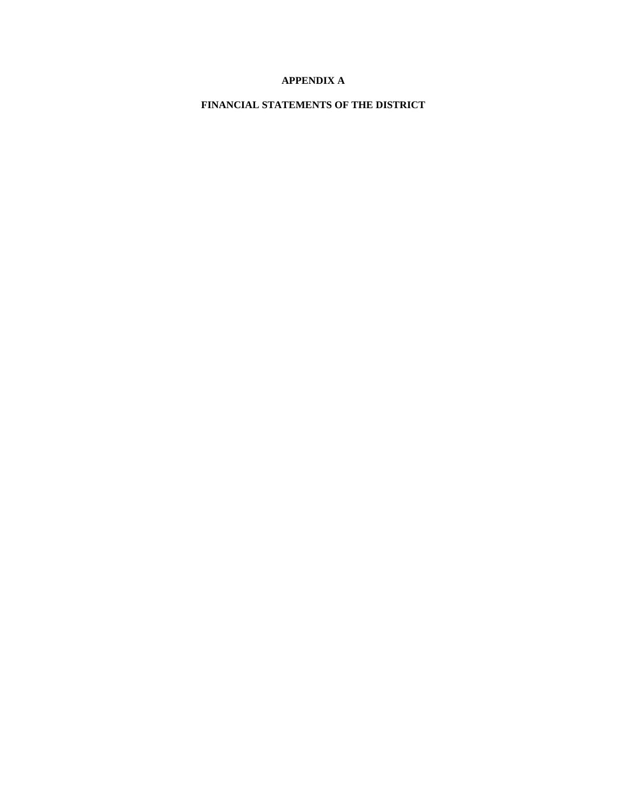# **APPENDIX A**

**FINANCIAL STATEMENTS OF THE DISTRICT**